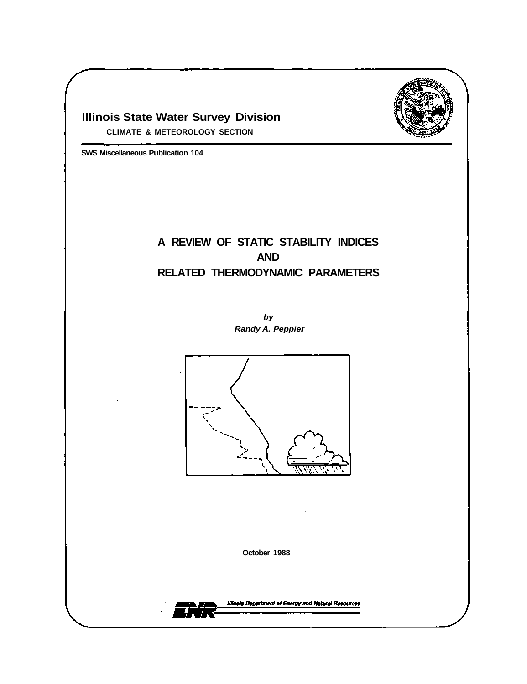

# **Illinois State Water Survey Division**

**CLIMATE & METEOROLOGY SECTION** 

**SWS Miscellaneous Publication 104** 

# **A REVIEW OF STATIC STABILITY INDICES AND RELATED THERMODYNAMIC PARAMETERS**

*by Randy A. Peppier* 



**October 1988** 

**Illinois Department of Energy and Natural Resources**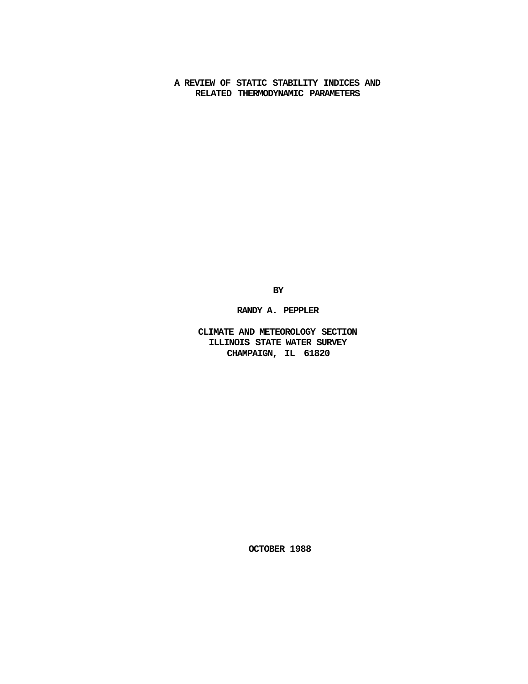**A REVIEW OF STATIC STABILITY INDICES AND RELATED THERMODYNAMIC PARAMETERS** 

**BY** 

**RANDY A. PEPPLER** 

**CLIMATE AND METEOROLOGY SECTION ILLINOIS STATE WATER SURVEY CHAMPAIGN, IL 61820** 

**OCTOBER 1988**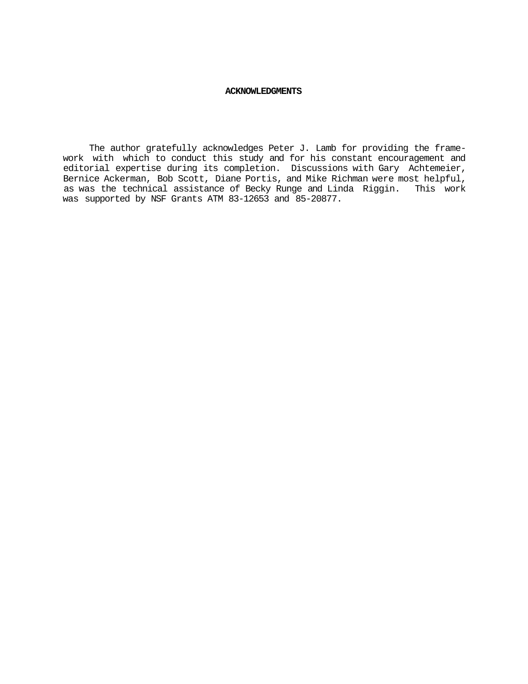#### **ACKNOWLEDGMENTS**

The author gratefully acknowledges Peter J. Lamb for providing the framework with which to conduct this study and for his constant encouragement and editorial expertise during its completion. Discussions with Gary Achtemeier, Bernice Ackerman, Bob Scott, Diane Portis, and Mike Richman were most helpful, as was the technical assistance of Becky Runge and Linda Riggin. This work was supported by NSF Grants ATM 83-12653 and 85-20877.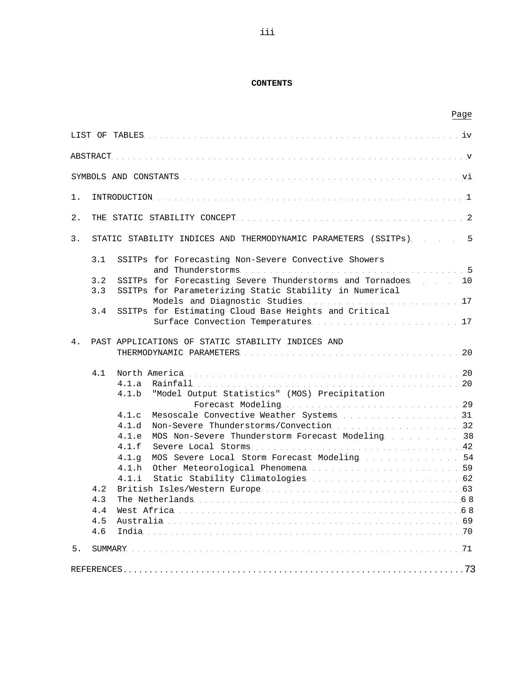## **CONTENTS**

|    |                                 |                                  | Page                                                                                                                     |  |
|----|---------------------------------|----------------------------------|--------------------------------------------------------------------------------------------------------------------------|--|
|    |                                 |                                  |                                                                                                                          |  |
|    |                                 |                                  |                                                                                                                          |  |
|    |                                 |                                  |                                                                                                                          |  |
| 1. |                                 |                                  |                                                                                                                          |  |
| 2. |                                 |                                  |                                                                                                                          |  |
| 3. |                                 |                                  | STATIC STABILITY INDICES AND THERMODYNAMIC PARAMETERS (SSITPs) 5                                                         |  |
|    | 3.1                             |                                  | SSITPs for Forecasting Non-Severe Convective Showers                                                                     |  |
|    | 3.2<br>3.3                      |                                  | SSITPs for Forecasting Severe Thunderstorms and Tornadoes. 10<br>SSITPs for Parameterizing Static Stability in Numerical |  |
|    | 3.4                             |                                  | SSITPs for Estimating Cloud Base Heights and Critical                                                                    |  |
|    |                                 |                                  |                                                                                                                          |  |
| 4. |                                 |                                  | PAST APPLICATIONS OF STATIC STABILITY INDICES AND                                                                        |  |
|    | 4.1                             | 4.1.a<br>4.1.b                   | Rainfall 20<br>"Model Output Statistics" (MOS) Precipitation                                                             |  |
|    |                                 | 4.1.c<br>4.1.d<br>4.1.e          | Non-Severe Thunderstorms/Convection 32<br>MOS Non-Severe Thunderstorm Forecast Modeling 38                               |  |
|    |                                 | 4.1.f<br>4.1.9<br>4.1.h<br>4.1.1 | MOS Severe Local Storm Forecast Modeling 54                                                                              |  |
|    | 4.2<br>4.3<br>4.4<br>4.5<br>4.6 |                                  | 69. Instralia 69                                                                                                         |  |
| 5. |                                 |                                  |                                                                                                                          |  |
|    |                                 |                                  |                                                                                                                          |  |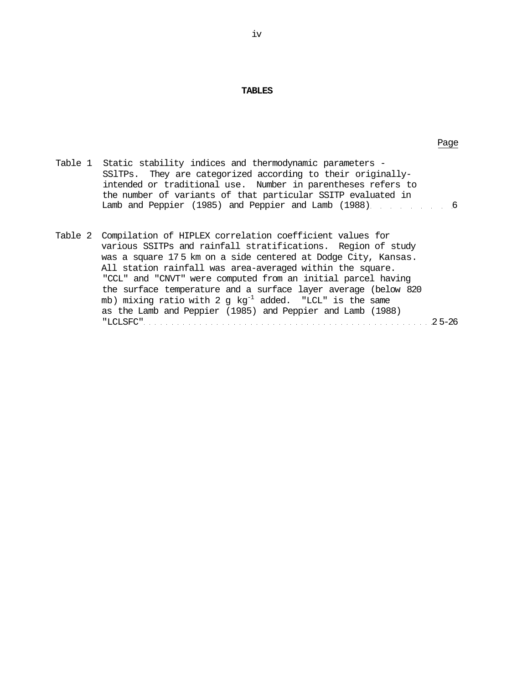#### **TABLES**

| Table 1  Static stability indices and thermodynamic parameters - |
|------------------------------------------------------------------|
| SSITPs. They are categorized according to their originally-      |
| intended or traditional use. Number in parentheses refers to     |
| the number of variants of that particular SSITP evaluated in     |
| Lamb and Peppier (1985) and Peppier and Lamb (1988) [1988]       |
|                                                                  |

Table 2 Compilation of HIPLEX correlation coefficient values for various SSITPs and rainfall stratifications. Region of study was a square 17 5 km on a side centered at Dodge City, Kansas. All station rainfall was area-averaged within the square. "CCL" and "CNVT" were computed from an initial parcel having the surface temperature and a surface layer average (below 820 mb) mixing ratio with 2 g kg<sup>-1</sup> added. "LCL" is the same as the Lamb and Peppier (1985) and Peppier and Lamb (1988) "LCLSFC" 2 5-26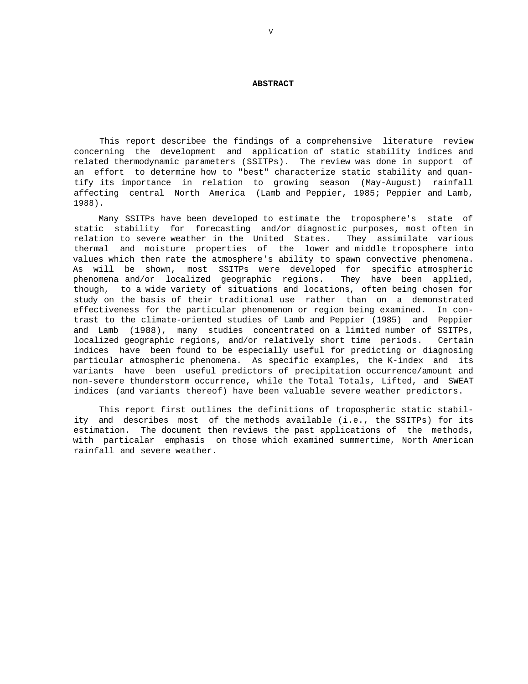#### **ABSTRACT**

This report describee the findings of a comprehensive literature review concerning the development and application of static stability indices and related thermodynamic parameters (SSITPs). The review was done in support of an effort to determine how to "best" characterize static stability and quantify its importance in relation to growing season (May-August) rainfall affecting central North America (Lamb and Peppier, 1985; Peppier and Lamb, 1988).

Many SSITPs have been developed to estimate the troposphere's state of static stability for forecasting and/or diagnostic purposes, most often in relation to severe weather in the United States. They assimilate various thermal and moisture properties of the lower and middle troposphere into values which then rate the atmosphere's ability to spawn convective phenomena. As will be shown, most SSITPs were developed for specific atmospheric phenomena and/or localized geographic regions. They have been applied, though, to a wide variety of situations and locations, often being chosen for study on the basis of their traditional use rather than on a demonstrated effectiveness for the particular phenomenon or region being examined. In contrast to the climate-oriented studies of Lamb and Peppier (1985) and Peppier and Lamb (1988), many studies concentrated on a limited number of SSITPs, localized geographic regions, and/or relatively short time periods. Certain indices have been found to be especially useful for predicting or diagnosing particular atmospheric phenomena. As specific examples, the K-index and its variants have been useful predictors of precipitation occurrence/amount and non-severe thunderstorm occurrence, while the Total Totals, Lifted, and SWEAT indices (and variants thereof) have been valuable severe weather predictors.

This report first outlines the definitions of tropospheric static stability and describes most of the methods available (i.e., the SSITPs) for its estimation. The document then reviews the past applications of the methods, with particalar emphasis on those which examined summertime, North American rainfall and severe weather.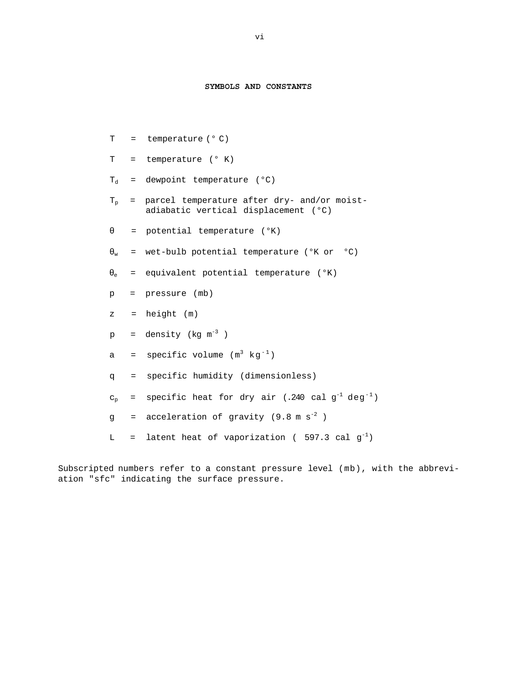# **SYMBOLS AND CONSTANTS**

| T                                                                                                                                                                                                                              |              | $=$ temperature ( $^{\circ}$ C)                                                       |
|--------------------------------------------------------------------------------------------------------------------------------------------------------------------------------------------------------------------------------|--------------|---------------------------------------------------------------------------------------|
| T and the state of the state of the state of the state of the state of the state of the state of the state of the state of the state of the state of the state of the state of the state of the state of the state of the stat |              | $=$ temperature ( $^{\circ}$ K)                                                       |
| $T_A$                                                                                                                                                                                                                          |              | = dewpoint temperature (°C)                                                           |
| $\rm T_p$                                                                                                                                                                                                                      |              | = parcel temperature after dry- and/or moist-<br>adiabatic vertical displacement (°C) |
|                                                                                                                                                                                                                                |              | = potential temperature (°K)                                                          |
| w                                                                                                                                                                                                                              |              | = wet-bulb potential temperature (°K or °C)                                           |
| e                                                                                                                                                                                                                              |              | $=$ equivalent potential temperature ( $(X)$ )                                        |
| $p_{\perp}$                                                                                                                                                                                                                    |              | = pressure (mb)                                                                       |
| z                                                                                                                                                                                                                              |              | $=$ height $(m)$                                                                      |
| $p \rightarrow$                                                                                                                                                                                                                |              | = density ( $kq$ $m^{-3}$ )                                                           |
| а                                                                                                                                                                                                                              |              | = specific volume $(m^3 k g^{-1})$                                                    |
| q                                                                                                                                                                                                                              | $=$          | specific humidity (dimensionless)                                                     |
| $C_{\rm p}$                                                                                                                                                                                                                    | $=$ $\qquad$ | specific heat for dry air (.240 cal $g^{-1}$ deg <sup>-1</sup> )                      |
| q                                                                                                                                                                                                                              |              | = acceleration of gravity $(9.8 \text{ m s}^{-2})$                                    |
| L                                                                                                                                                                                                                              | $=$          | latent heat of vaporization (597.3 cal $g^{-1}$ )                                     |

Subscripted numbers refer to a constant pressure level (mb), with the abbreviation "sfc" indicating the surface pressure.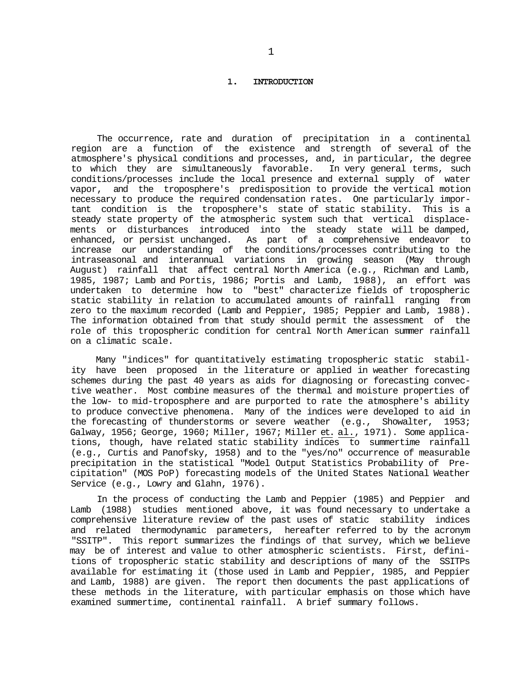#### **1. INTRODUCTION**

The occurrence, rate and duration of precipitation in a continental region are a function of the existence and strength of several of the atmosphere's physical conditions and processes, and, in particular, the degree to which they are simultaneously favorable. In very general terms, such conditions/processes include the local presence and external supply of water vapor, and the troposphere's predisposition to provide the vertical motion necessary to produce the required condensation rates. One particularly important condition is the troposphere's state of static stability. This is a steady state property of the atmospheric system such that vertical displacements or disturbances introduced into the steady state will be damped, enhanced, or persist unchanged. As part of a comprehensive endeavor to increase our understanding of the conditions/processes contributing to the intraseasonal and interannual variations in growing season (May through August) rainfall that affect central North America (e.g., Richman and Lamb, 1985, 1987; Lamb and Portis, 1986; Portis and Lamb, 1988), an effort was undertaken to determine how to "best" characterize fields of tropospheric static stability in relation to accumulated amounts of rainfall ranging from zero to the maximum recorded (Lamb and Peppier, 1985; Peppier and Lamb, 1988). The information obtained from that study should permit the assessment of the role of this tropospheric condition for central North American summer rainfall on a climatic scale.

Many "indices" for quantitatively estimating tropospheric static stability have been proposed in the literature or applied in weather forecasting schemes during the past 40 years as aids for diagnosing or forecasting convective weather. Most combine measures of the thermal and moisture properties of the low- to mid-troposphere and are purported to rate the atmosphere's ability to produce convective phenomena. Many of the indices were developed to aid in the forecasting of thunderstorms or severe weather (e.g., Showalter, 1953; Galway, 1956; George, 1960; Miller, 1967; Miller et. al., 1971). Some applications, though, have related static stability indices to summertime rainfall (e.g., Curtis and Panofsky, 1958) and to the "yes/no" occurrence of measurable precipitation in the statistical "Model Output Statistics Probability of Precipitation" (MOS PoP) forecasting models of the United States National Weather Service (e.g., Lowry and Glahn, 1976).

In the process of conducting the Lamb and Peppier (1985) and Peppier and Lamb (1988) studies mentioned above, it was found necessary to undertake a comprehensive literature review of the past uses of static stability indices and related thermodynamic parameters, hereafter referred to by the acronym "SSITP". This report summarizes the findings of that survey, which we believe may be of interest and value to other atmospheric scientists. First, definitions of tropospheric static stability and descriptions of many of the SSITPs available for estimating it (those used in Lamb and Peppier, 1985, and Peppier and Lamb, 1988) are given. The report then documents the past applications of these methods in the literature, with particular emphasis on those which have examined summertime, continental rainfall. A brief summary follows.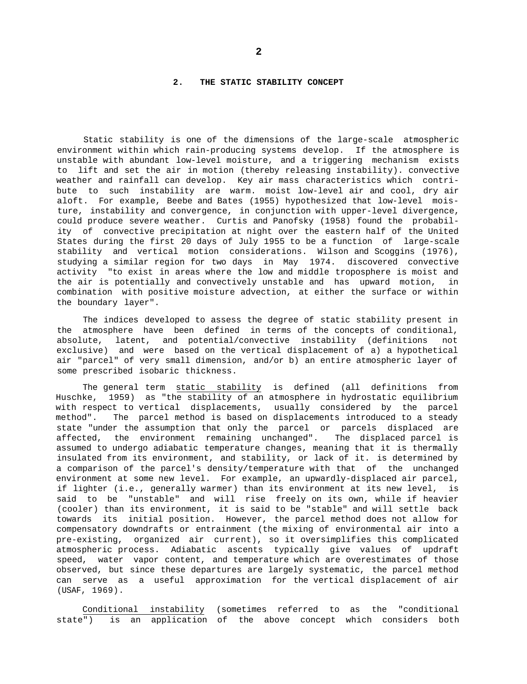#### **2. THE STATIC STABILITY CONCEPT**

Static stability is one of the dimensions of the large-scale atmospheric environment within which rain-producing systems develop. If the atmosphere is unstable with abundant low-level moisture, and a triggering mechanism exists to lift and set the air in motion (thereby releasing instability). convective weather and rainfall can develop. Key air mass characteristics which contribute to such instability are warm. moist low-level air and cool, dry air aloft. For example, Beebe and Bates (1955) hypothesized that low-level moisture, instability and convergence, in conjunction with upper-level divergence, could produce severe weather. Curtis and Panofsky (1958) found the probability of convective precipitation at night over the eastern half of the United States during the first 20 days of July 1955 to be a function of large-scale stability and vertical motion considerations. Wilson and Scoggins (1976), studying a similar region for two days in May 1974. discovered convective activity "to exist in areas where the low and middle troposphere is moist and the air is potentially and convectively unstable and has upward motion, in combination with positive moisture advection, at either the surface or within the boundary layer".

The indices developed to assess the degree of static stability present in the atmosphere have been defined in terms of the concepts of conditional, absolute, latent, and potential/convective instability (definitions not exclusive) and were based on the vertical displacement of a) a hypothetical air "parcel" of very small dimension, and/or b) an entire atmospheric layer of some prescribed isobaric thickness.

The general term static stability is defined (all definitions from Huschke, 1959) as "the stability of an atmosphere in hydrostatic equilibrium with respect to vertical displacements, usually considered by the parcel method". The parcel method is based on displacements introduced to a steady state "under the assumption that only the parcel or parcels displaced are affected, the environment remaining unchanged". The displaced parcel is assumed to undergo adiabatic temperature changes, meaning that it is thermally insulated from its environment, and stability, or lack of it. is determined by a comparison of the parcel's density/temperature with that of the unchanged environment at some new level. For example, an upwardly-displaced air parcel, if lighter (i.e., generally warmer) than its environment at its new level, is said to be "unstable" and will rise freely on its own, while if heavier (cooler) than its environment, it is said to be "stable" and will settle back towards its initial position. However, the parcel method does not allow for compensatory downdrafts or entrainment (the mixing of environmental air into a pre-existing, organized air current), so it oversimplifies this complicated atmospheric process. Adiabatic ascents typically give values of updraft speed, water vapor content, and temperature which are overestimates of those observed, but since these departures are largely systematic, the parcel method can serve as a useful approximation for the vertical displacement of air (USAF, 1969).

Conditional instability (sometimes referred to as the "conditional state") is an application of the above concept which considers both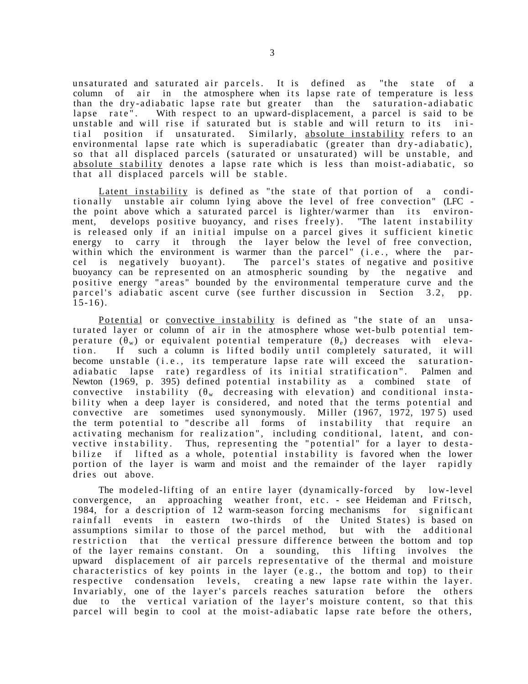unsaturated and saturated air parcels. It is defined as "the state of a column of air in the atmosphere when its lapse rate of temperature is less than the dry-adiabatic lapse rate but greater than the saturation-adiabatic lapse rate". With respect to an upward-displacement, a parcel is said to be unstable and will rise if saturated but is stable and will return to its initial position if unsaturated. Similarly, absolute instability refers to an environmental lapse rate which is superadiabatic (greater than dry-adiabatic), so that all displaced parcels (saturated or unsaturated) will be unstable, and absolute stability denotes a lapse rate which is less than moist-adiabatic, so that all displaced parcels will be stable.

Latent instability is defined as "the state of that portion of a conditionally unstable air column lying above the level of free convection" (LFC the point above which a saturated parcel is lighter/warmer than its environment, develops positive buoyancy, and rises freely). "The latent instability is released only if an initial impulse on a parcel gives it sufficient kinetic energy to carry it through the layer below the level of free convection, within which the environment is warmer than the parcel" (i.e., where the parcel is negatively buoyant). The parcel's states of negative and positive buoyancy can be represented on an atmospheric sounding by the negative and positive energy "areas" bounded by the environmental temperature curve and the parcel's adiabatic ascent curve (see further discussion in Section 3.2, pp.  $15-16$ ).

Potential or convective instability is defined as "the state of an unsaturated layer or column of air in the atmosphere whose wet-bulb potential temperature ( $\psi$ ) or equivalent potential temperature ( $\phi$ ) decreases with elevation. If such a column is lifted bodily until completely saturated, it will become unstable (i.e., its temperature lapse rate will exceed the saturationadiabatic lapse rate) regardless of its initial stratification". Palmen and Newton  $(1969, p. 395)$  defined potential instability as a combined state of convective instability ( $\psi$  decreasing with elevation) and conditional instability when a deep layer is considered, and noted that the terms potential and convective are sometimes used synonymously. Miller (1967, 1972, 1975) used the term potential to "describe all forms of instability that require an activating mechanism for realization", including conditional, latent, and convective instability. Thus, representing the "potential" for a layer to destabilize if lifted as a whole, potential instability is favored when the lower portion of the layer is warm and moist and the remainder of the layer rapidly dries out above.

The modeled-lifting of an entire layer (dynamically-forced by low-level convergence, an approaching weather front, etc. - see Heideman and Fritsch, 1984, for a description of 12 warm-season forcing mechanisms for significant rainfall events in eastern two-thirds of the United States) is based on assumptions similar to those of the parcel method, but with the additional restriction that the vertical pressure difference between the bottom and top of the layer remains constant. On a sounding, this lifting involves the upward displacement of air parcels representative of the thermal and moisture characteristics of key points in the layer (e.g., the bottom and top) to their respective condensation levels, creating a new lapse rate within the layer. Invariably, one of the layer's parcels reaches saturation before the others due to the vertical variation of the layer's moisture content, so that this parcel will begin to cool at the moist-adiabatic lapse rate before the others,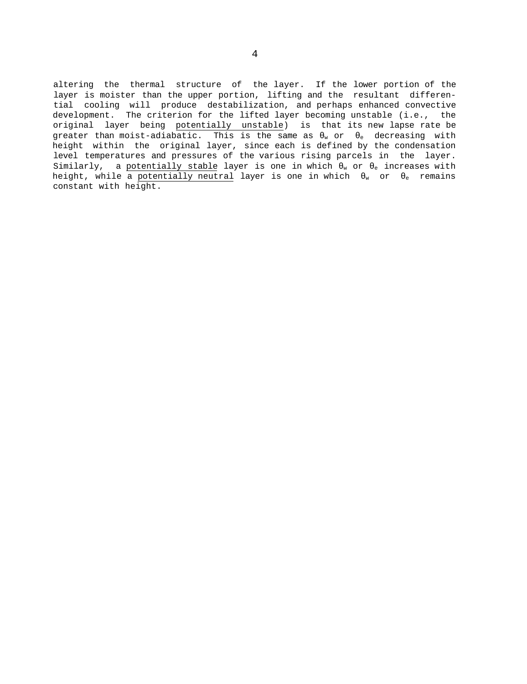altering the thermal structure of the layer. If the lower portion of the layer is moister than the upper portion, lifting and the resultant differential cooling will produce destabilization, and perhaps enhanced convective development. The criterion for the lifted layer becoming unstable (i.e., the original layer being potentially unstable) is that its new lapse rate be greater than moist-adiabatic. This is the same as  $\sqrt{ }$  or  $\frac{1}{e}$  decreasing with height within the original layer, since each is defined by the condensation level temperatures and pressures of the various rising parcels in the layer. Similarly, a potentially stable layer is one in which  $\sqrt{ }$  or  $_e$  increases with height, while a potentially neutral layer is one in which  $\psi$  or  $\phi$  remains constant with height.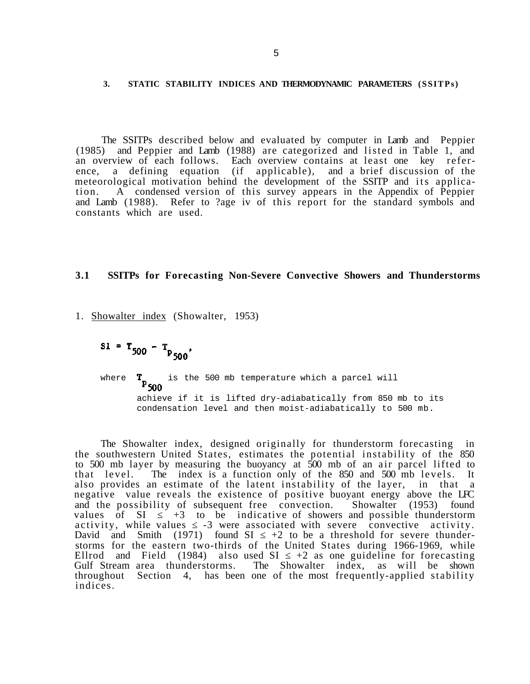#### **3. STATIC STABILITY INDICES AND THERMODYNAMIC PARAMETERS (SSITPs)**

The SSITPs described below and evaluated by computer in Lamb and Peppier (1985) and Peppier and Lamb (1988) are categorized and listed in Table 1, and an overview of each follows. Each overview contains at least one key reference, a defining equation (if applicable), and a brief discussion of the meteorological motivation behind the development of the SSITP and its application. A condensed version of this survey appears in the Appendix of Peppier and Lamb (1988). Refer to ?age iv of this report for the standard symbols and constants which are used.

# **3.1 SSITPs for Forecasting Non-Severe Convective Showers and Thunderstorms**

1. Showalter index (Showalter, 1953)

 $SI = T_{500} - T_{P_{500}}$ 

where  $\mathbf{T}_{\mathbf{D}_{\text{max}}}$  is the 500 mb temperature which a parcel will achieve if it is lifted dry-adiabatically from 850 mb to its condensation level and then moist-adiabatically to 500 mb.

The Showalter index, designed originally for thunderstorm forecasting in the southwestern United States, estimates the potential instability of the 850 to 500 mb layer by measuring the buoyancy at 500 mb of an air parcel lifted to that level. The index is a function only of the 850 and 500 mb levels. It also provides an estimate of the latent instability of the layer, in that a negative value reveals the existence of positive buoyant energy above the LFC and the possibility of subsequent free convection. Showalter (1953) found values of SI +3 to be indicative of showers and possible thunderstorm activity, while values  $-3$  were associated with severe convective activity.<br>David and Smith (1971) found SI  $+2$  to be a threshold for severe thunder-David and Smith (1971) found SI storms for the eastern two-thirds of the United States during 1966-1969, while Ellrod and Field  $(1984)$  also used SI  $+2$  as one guideline for forecasting Gulf Stream area thunderstorms. The Showalter index, as will be shown throughout Section 4, has been one of the most frequently-applied stability indices.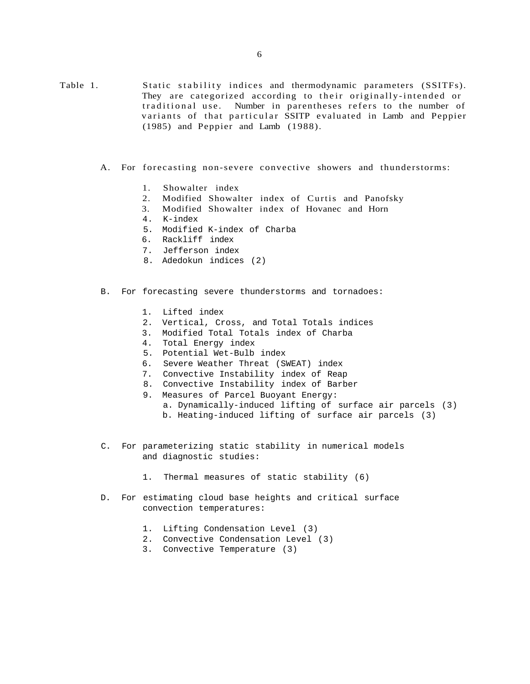Table 1. Static stability indices and thermodynamic parameters (SSITFs). They are categorized according to their originally-intended or traditional use. Number in parentheses refers to the number of variants of that particular SSITP evaluated in Lamb and Peppier (1985) and Peppier and Lamb (1988).

- A. For forecasting non-severe convective showers and thunderstorms:
	- 1. Showalter index
	- 2. Modified Showalter index of Curtis and Panofsky
	- 3. Modified Showalter index of Hovanec and Horn
	- 4. K-index
	- 5. Modified K-index of Charba
	- 6. Rackliff index
	- 7. Jefferson index
	- 8. Adedokun indices (2)
- B. For forecasting severe thunderstorms and tornadoes:
	- 1. Lifted index
	- 2. Vertical, Cross, and Total Totals indices
	- 3. Modified Total Totals index of Charba
	- 4. Total Energy index
	- 5. Potential Wet-Bulb index
	- 6. Severe Weather Threat (SWEAT) index
	- 7. Convective Instability index of Reap
	- 8. Convective Instability index of Barber
	- 9. Measures of Parcel Buoyant Energy:
		- a. Dynamically-induced lifting of surface air parcels (3)
		- b. Heating-induced lifting of surface air parcels (3)
- C. For parameterizing static stability in numerical models and diagnostic studies:
	- 1. Thermal measures of static stability (6)
- D. For estimating cloud base heights and critical surface convection temperatures:
	- 1. Lifting Condensation Level (3)
	- 2. Convective Condensation Level (3)
	- 3. Convective Temperature (3)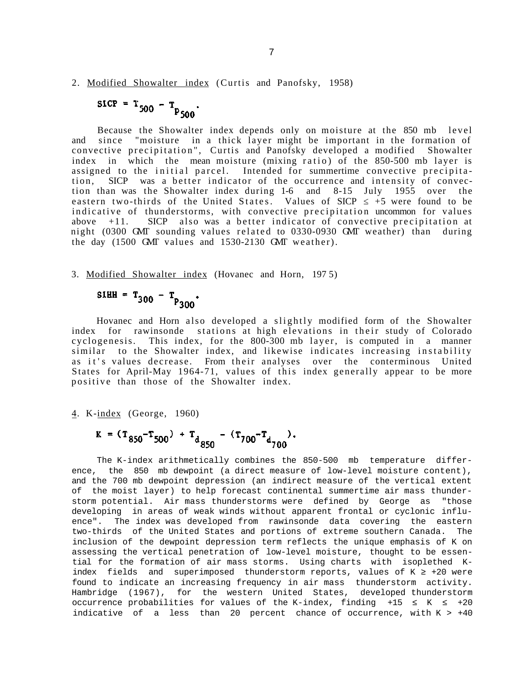# 2. Modified Showalter index (Curtis and Panofsky, 1958)

# $SICP = T_{500} - T_{P_{500}}$

Because the Showalter index depends only on moisture at the 850 mb level and since "moisture in a thick layer might be important in the formation of convective precipitation", Curtis and Panofsky developed a modified Showalter index in which the mean moisture (mixing ratio) of the 850-500 mb layer is assigned to the initial parcel. Intended for summertime convective precipitation, SICP was a better indicator of the occurrence and intensity of convection than was the Showalter index during 1-6 and 8-15 July 1955 over the eastern two-thirds of the United States. Values of  $SICP$  +5 were found to be indicative of thunderstorms, with convective precipitation uncommon for values above  $+11$ . SICP also was a better indicator of convective precipitation at night (0300 GMT sounding values related to 0330-0930 GMT weather) than during the day (1500 GMT values and 1530-2130 GMT weather).

## 3. Modified Showalter index (Hovanec and Horn, 197 5)

$$
SIHH = T_{300} - T_{P_{300}}.
$$

Hovanec and Horn also developed a slightly modified form of the Showalter index for rawinsonde stations at high elevations in their study of Colorado cyclogenesis. This index, for the 800-300 mb layer, is computed in a manner similar to the Showalter index, and likewise indicates increasing instability as it's values decrease. From their analyses over the conterminous United States for April-May 1964-71, values of this index generally appear to be more positive than those of the Showalter index.

4. K-index (George, 1960)

$$
K = (T_{850} - T_{500}) + T_{d} - (T_{700} - T_{d} - 1).
$$

The K-index arithmetically combines the 850-500 mb temperature difference, the 850 mb dewpoint (a direct measure of low-level moisture content), and the 700 mb dewpoint depression (an indirect measure of the vertical extent of the moist layer) to help forecast continental summertime air mass thunderstorm potential. Air mass thunderstorms were defined by George as "those developing in areas of weak winds without apparent frontal or cyclonic influence". The index was developed from rawinsonde data covering the eastern two-thirds of the United States and portions of extreme southern Canada. The inclusion of the dewpoint depression term reflects the unique emphasis of K on assessing the vertical penetration of low-level moisture, thought to be essential for the formation of air mass storms. Using charts with isoplethed Kindex fields and superimposed thunderstorm reports, values of  $K + 20$  were found to indicate an increasing frequency in air mass thunderstorm activity. Hambridge (1967), for the western United States, developed thunderstorm occurrence probabilities for values of the K-index, finding  $+15$  K  $+20$ indicative of a less than 20 percent chance of occurrence, with  $K > +40$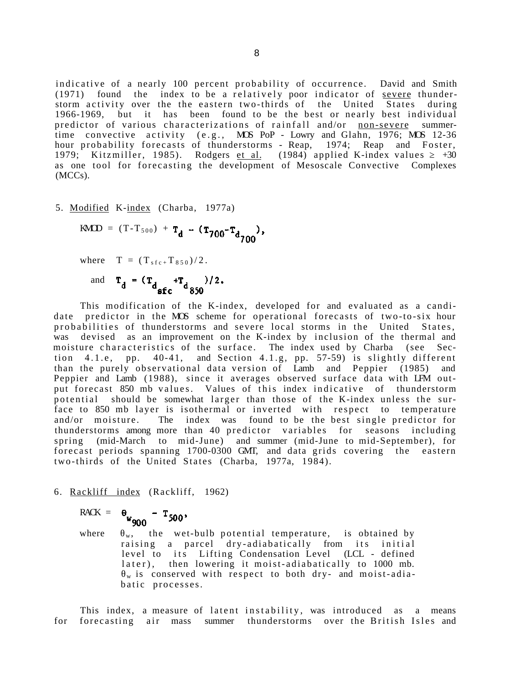indicative of a nearly 100 percent probability of occurrence. David and Smith  $(1971)$  found the index to be a relatively poor indicator of severe thunderstorm activity over the the eastern two-thirds of the United States during 1966-1969, but it has been found to be the best or nearly best individual predictor of various characterizations of rainfall and/or non-severe summertime convective activity  $(e.g., MOS Pop - Lowry and Glahn, 1976; MOS 12-36)$ hour probability forecasts of thunderstorms - Reap, 1974; Reap and Foster, 1979; Kitzmiller, 1985). Rodgers et al.  $(1984)$  applied K-index values +30 as one tool for forecasting the development of Mesoscale Convective Complexes (MCCs).

5. Modified K-index (Charba, 1977a)

$$
KMD = (T - T_{500}) + T_d - (T_{700} - T_{d_{700}}),
$$

where  $T = (T_{sfc} + T_{850})/2$ .

and  $T_d = (T_{d_{\text{sf}}} + T_{d_{\text{850}}})/2$ .

This modification of the K-index, developed for and evaluated as a candidate predictor in the MOS scheme for operational forecasts of two-to-six hour probabilities of thunderstorms and severe local storms in the United States, was devised as an improvement on the K-index by inclusion of the thermal and moisture characteristics of the surface. The index used by Charba (see Section  $4.1.e$ , pp.  $40-41$ , and Section  $4.1.g$ , pp. 57-59) is slightly different than the purely observational data version of Lamb and Peppier (1985) and Peppier and Lamb (1988), since it averages observed surface data with LFM output forecast 850 mb values. Values of this index indicative of thunderstorm potential should be somewhat larger than those of the K-index unless the surface to 850 mb layer is isothermal or inverted with respect to temperature and/or moisture. The index was found to be the best single predictor for thunderstorms among more than 40 predictor variables for seasons including spring (mid-March to mid-June) and summer (mid-June to mid-September), for forecast periods spanning 1700-0300 GMT, and data grids covering the eastern two-thirds of the United States (Charba, 1977a, 1984).

6. Rackliff index (Rackliff, 1962)

$$
RACK = \theta_{w_{\text{max}}} -
$$

 $T_{500}$ <sup>W</sup>900

where  $\psi$ , the wet-bulb potential temperature, is obtained by raising a parcel dry-adiabatically from its initial level to its Lifting Condensation Level (LCL - defined later), then lowering it moist-adiabatically to 1000 mb.  $_{\rm w}$  is conserved with respect to both dry- and moist-adiabatic processes.

This index, a measure of latent instability, was introduced as a means for forecasting air mass summer thunderstorms over the British Isles and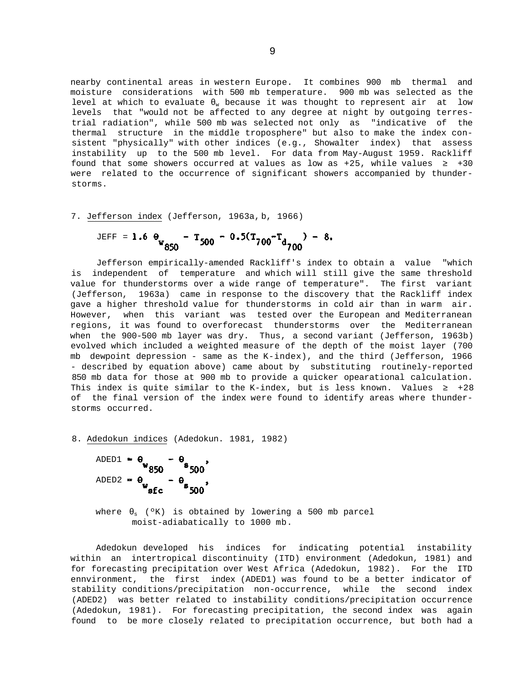nearby continental areas in western Europe. It combines 900 mb thermal and moisture considerations with 500 mb temperature. 900 mb was selected as the level at which to evaluate  $\sqrt{ }$  because it was thought to represent air at low levels that "would not be affected to any degree at night by outgoing terrestrial radiation", while 500 mb was selected not only as "indicative of the thermal structure in the middle troposphere" but also to make the index consistent "physically" with other indices (e.g., Showalter index) that assess instability up to the 500 mb level. For data from May-August 1959. Rackliff found that some showers occurred at values as low as  $+25$ , while values  $+30$ were related to the occurrence of significant showers accompanied by thunderstorms.

7. Jefferson index (Jefferson, 1963a, b, 1966)

$$
JEEFE = 1.6 \Theta_{W_{850}} - T_{500} - 0.5(T_{700}T_{d_{700}}) - 8.
$$

Jefferson empirically-amended Rackliff's index to obtain a value "which is independent of temperature and which will still give the same threshold value for thunderstorms over a wide range of temperature". The first variant (Jefferson, 1963a) came in response to the discovery that the Rackliff index gave a higher threshold value for thunderstorms in cold air than in warm air. However, when this variant was tested over the European and Mediterranean regions, it was found to overforecast thunderstorms over the Mediterranean when the 900-500 mb layer was dry. Thus, a second variant (Jefferson, 1963b) evolved which included a weighted measure of the depth of the moist layer (700 mb dewpoint depression - same as the K-index), and the third (Jefferson, 1966 - described by equation above) came about by substituting routinely-reported 850 mb data for those at 900 mb to provide a quicker opearational calculation. This index is quite similar to the K-index, but is less known. Values  $+28$ of the final version of the index were found to identify areas where thunderstorms occurred.

8. Adedokun indices (Adedokun. 1981, 1982)

 $\theta_{s}$ <sub>500</sub> ADED1 =  $\theta$  850 ADED2 =  $\theta$  sfc  $\theta_{s}$ <sub>500</sub>'

where  $s$  (°K) is obtained by lowering a 500 mb parcel moist-adiabatically to 1000 mb.

Adedokun developed his indices for indicating potential instability within an intertropical discontinuity (ITD) environment (Adedokun, 1981) and for forecasting precipitation over West Africa (Adedokun, 1982). For the ITD ennvironment, the first index (ADED1) was found to be a better indicator of stability conditions/precipitation non-occurrence, while the second index (ADED2) was better related to instability conditions/precipitation occurrence (Adedokun, 1981). For forecasting precipitation, the second index was again found to be more closely related to precipitation occurrence, but both had a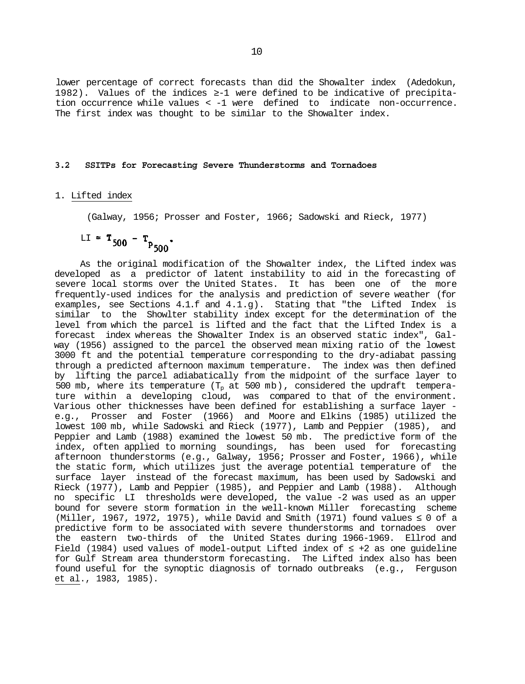lower percentage of correct forecasts than did the Showalter index (Adedokun, 1982). Values of the indices -1 were defined to be indicative of precipitation occurrence while values < -1 were defined to indicate non-occurrence. The first index was thought to be similar to the Showalter index.

#### **3.2 SSITPs for Forecasting Severe Thunderstorms and Tornadoes**

#### 1. Lifted index

(Galway, 1956; Prosser and Foster, 1966; Sadowski and Rieck, 1977)

$$
LL = T_{500} - T_{P_{500}}.
$$

As the original modification of the Showalter index, the Lifted index was developed as a predictor of latent instability to aid in the forecasting of severe local storms over the United States. It has been one of the more frequently-used indices for the analysis and prediction of severe weather (for examples, see Sections 4.1.f and 4.1.g). Stating that "the Lifted Index is similar to the Showlter stability index except for the determination of the level from which the parcel is lifted and the fact that the Lifted Index is a forecast index whereas the Showalter Index is an observed static index", Galway (1956) assigned to the parcel the observed mean mixing ratio of the lowest 3000 ft and the potential temperature corresponding to the dry-adiabat passing through a predicted afternoon maximum temperature. The index was then defined by lifting the parcel adiabatically from the midpoint of the surface layer to 500 mb, where its temperature  $(T_p$  at 500 mb), considered the updraft temperature within a developing cloud, was compared to that of the environment. Various other thicknesses have been defined for establishing a surface layer e.g., Prosser and Foster (1966) and Moore and Elkins (1985) utilized the lowest 100 mb, while Sadowski and Rieck (1977), Lamb and Peppier (1985), and Peppier and Lamb (1988) examined the lowest 50 mb. The predictive form of the index, often applied to morning soundings, has been used for forecasting afternoon thunderstorms (e.g., Galway, 1956; Prosser and Foster, 1966), while the static form, which utilizes just the average potential temperature of the surface layer instead of the forecast maximum, has been used by Sadowski and Rieck (1977), Lamb and Peppier (1985), and Peppier and Lamb (1988). Although no specific LI thresholds were developed, the value -2 was used as an upper bound for severe storm formation in the well-known Miller forecasting scheme (Miller, 1967, 1972, 1975), while David and Smith (1971) found values 0 of a predictive form to be associated with severe thunderstorms and tornadoes over the eastern two-thirds of the United States during 1966-1969. Ellrod and Field  $(1984)$  used values of model-output Lifted index of  $+2$  as one guideline for Gulf Stream area thunderstorm forecasting. The Lifted index also has been found useful for the synoptic diagnosis of tornado outbreaks (e.g., Ferguson et al., 1983, 1985).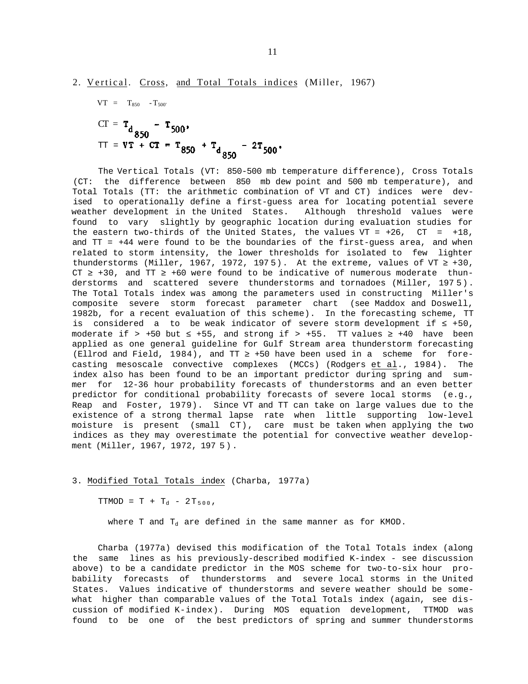$$
VT = T_{850} - T_{500}
$$
  
\n
$$
CT = T_{d} - T_{500}
$$
  
\n
$$
TT = VT + CT = T_{850} + T_{d} - 2T_{500}
$$

The Vertical Totals (VT: 850-500 mb temperature difference), Cross Totals (CT: the difference between 850 mb dew point and 500 mb temperature), and Total Totals (TT: the arithmetic combination of VT and CT) indices were devised to operationally define a first-guess area for locating potential severe weather development in the United States. Although threshold values were found to vary slightly by geographic location during evaluation studies for the eastern two-thirds of the United States, the values VT =  $+26$ , CT =  $+18$ , and TT = +44 were found to be the boundaries of the first-guess area, and when related to storm intensity, the lower thresholds for isolated to few lighter thunderstorms (Miller, 1967, 1972, 1975). At the extreme, values of VT  $+30$ ,  $CT$   $+30$ , and  $TT$   $+60$  were found to be indicative of numerous moderate thunderstorms and scattered severe thunderstorms and tornadoes (Miller, 197 5). The Total Totals index was among the parameters used in constructing Miller's composite severe storm forecast parameter chart (see Maddox and Doswell, 1982b, for a recent evaluation of this scheme). In the forecasting scheme, TT is considered a to be weak indicator of severe storm development if  $+50$ , moderate if > +50 but  $+55$ , and strong if > +55. TT values  $+40$  have been applied as one general guideline for Gulf Stream area thunderstorm forecasting (Ellrod and Field, 1984), and TT +50 have been used in a scheme for forecasting mesoscale convective complexes (MCCs) (Rodgers et al., 1984). The index also has been found to be an important predictor during spring and summer for 12-36 hour probability forecasts of thunderstorms and an even better predictor for conditional probability forecasts of severe local storms (e.g., Reap and Foster, 1979). Since VT and TT can take on large values due to the existence of a strong thermal lapse rate when little supporting low-level moisture is present (small CT), care must be taken when applying the two indices as they may overestimate the potential for convective weather development (Miller, 1967, 1972, 197 5).

#### 3. Modified Total Totals index (Charba, 1977a)

 $TTMOD = T + T_d - 2T_{500}$ 

where T and  $T_d$  are defined in the same manner as for KMOD.

Charba (1977a) devised this modification of the Total Totals index (along the same lines as his previously-described modified K-index - see discussion above) to be a candidate predictor in the MOS scheme for two-to-six hour probability forecasts of thunderstorms and severe local storms in the United States. Values indicative of thunderstorms and severe weather should be somewhat higher than comparable values of the Total Totals index (again, see discussion of modified K-index). During MOS equation development, TTMOD was found to be one of the best predictors of spring and summer thunderstorms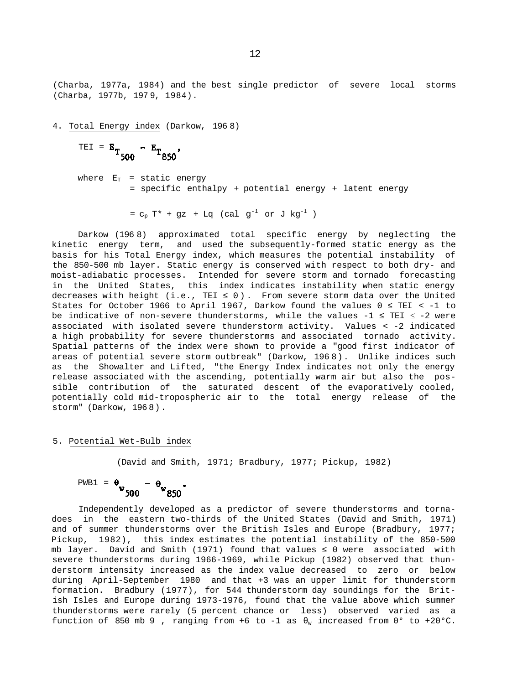(Charba, 1977a, 1984) and the best single predictor of severe local storms (Charba, 1977b, 197 9, 1984).

4. Total Energy index (Darkow, 196 8)

$$
TEI = E_{T_{500}} - E_{T_{850}}.
$$

where  $E_T$  = static energy = specific enthalpy + potential energy + latent energy

 $= c_p T^* + gz + Lq$  (cal  $g^{-1}$  or J  $kg^{-1}$ )

Darkow (196 8) approximated total specific energy by neglecting the kinetic energy term, and used the subsequently-formed static energy as the basis for his Total Energy index, which measures the potential instability of the 850-500 mb layer. Static energy is conserved with respect to both dry- and moist-adiabatic processes. Intended for severe storm and tornado forecasting in the United States, this index indicates instability when static energy decreases with height (i.e., TEI 0). From severe storm data over the United States for October 1966 to April 1967, Darkow found the values  $0$  TEI < -1 to be indicative of non-severe thunderstorms, while the values -1 TEI -2 were associated with isolated severe thunderstorm activity. Values < -2 indicated a high probability for severe thunderstorms and associated tornado activity. Spatial patterns of the index were shown to provide a "good first indicator of areas of potential severe storm outbreak" (Darkow, 196 8). Unlike indices such as the Showalter and Lifted, "the Energy Index indicates not only the energy release associated with the ascending, potentially warm air but also the possible contribution of the saturated descent of the evaporatively cooled, potentially cold mid-tropospheric air to the total energy release of the storm" (Darkow, 196 8).

#### 5. Potential Wet-Bulb index

(David and Smith, 1971; Bradbury, 1977; Pickup, 1982)

$$
PWBI = \theta_{w} - \theta_{w} 850
$$

Independently developed as a predictor of severe thunderstorms and tornadoes in the eastern two-thirds of the United States (David and Smith, 1971) and of summer thunderstorms over the British Isles and Europe (Bradbury, 1977; Pickup, 1982), this index estimates the potential instability of the 850-500 mb layer. David and Smith (1971) found that values 0 were associated with severe thunderstorms during 1966-1969, while Pickup (1982) observed that thunderstorm intensity increased as the index value decreased to zero or below during April-September 1980 and that +3 was an upper limit for thunderstorm formation. Bradbury (1977), for 544 thunderstorm day soundings for the British Isles and Europe during 1973-1976, found that the value above which summer thunderstorms were rarely (5 percent chance or less) observed varied as a function of 850 mb 9, ranging from +6 to -1 as  $\psi$  increased from 0° to +20°C.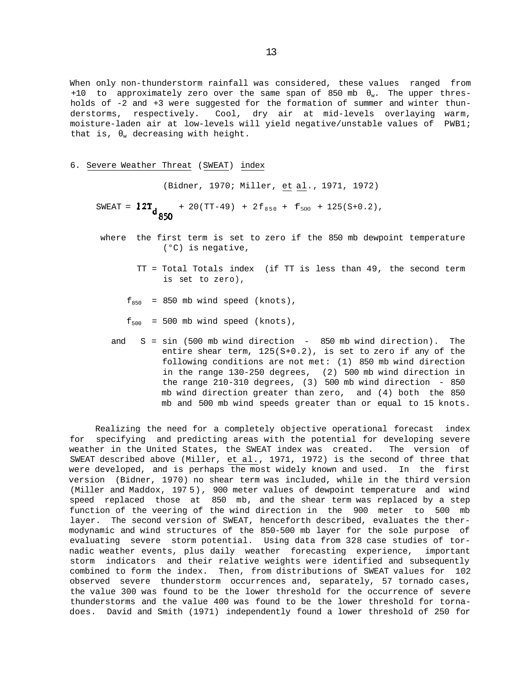When only non-thunderstorm rainfall was considered, these values ranged from +10 to approximately zero over the same span of 850 mb  $\mu$ . The upper thresholds of -2 and +3 were suggested for the formation of summer and winter thunderstorms, respectively. Cool, dry air at mid-levels overlaying warm, moisture-laden air at low-levels will yield negative/unstable values of PWB1; that is,  $\psi$  decreasing with height.

#### 6. Severe Weather Threat (SWEAT) index

(Bidner, 1970; Miller, et al., 1971, 1972)

SWEAT =  $12T_{d}$  + 20(TT-49) + 2f<sub>850</sub> + f<sub>500</sub> + 125(S+0.2),

- where the first term is set to zero if the 850 mb dewpoint temperature (°C) is negative,
	- TT = Total Totals index (if TT is less than 49, the second term is set to zero),
	- $f_{850}$  = 850 mb wind speed (knots),
	- $f_{500}$  = 500 mb wind speed (knots),
	- and S = sin (500 mb wind direction 850 mb wind direction). The entire shear term, 125(S+0.2), is set to zero if any of the following conditions are not met: (1) 850 mb wind direction in the range 130-250 degrees, (2) 500 mb wind direction in the range 210-310 degrees, (3) 500 mb wind direction - 850 mb wind direction greater than zero, and (4) both the 850 mb and 500 mb wind speeds greater than or equal to 15 knots.

Realizing the need for a completely objective operational forecast index for specifying and predicting areas with the potential for developing severe weather in the United States, the SWEAT index was created. The version of SWEAT described above (Miller, et al., 1971, 1972) is the second of three that were developed, and is perhaps the most widely known and used. In the first version (Bidner, 1970) no shear term was included, while in the third version (Miller and Maddox, 197 5), 900 meter values of dewpoint temperature and wind speed replaced those at 850 mb, and the shear term was replaced by a step function of the veering of the wind direction in the 900 meter to 500 mb layer. The second version of SWEAT, henceforth described, evaluates the thermodynamic and wind structures of the 850-500 mb layer for the sole purpose of evaluating severe storm potential. Using data from 328 case studies of tornadic weather events, plus daily weather forecasting experience, important storm indicators and their relative weights were identified and subsequently combined to form the index. Then, from distributions of SWEAT values for 102 observed severe thunderstorm occurrences and, separately, 57 tornado cases, the value 300 was found to be the lower threshold for the occurrence of severe thunderstorms and the value 400 was found to be the lower threshold for tornadoes. David and Smith (1971) independently found a lower threshold of 250 for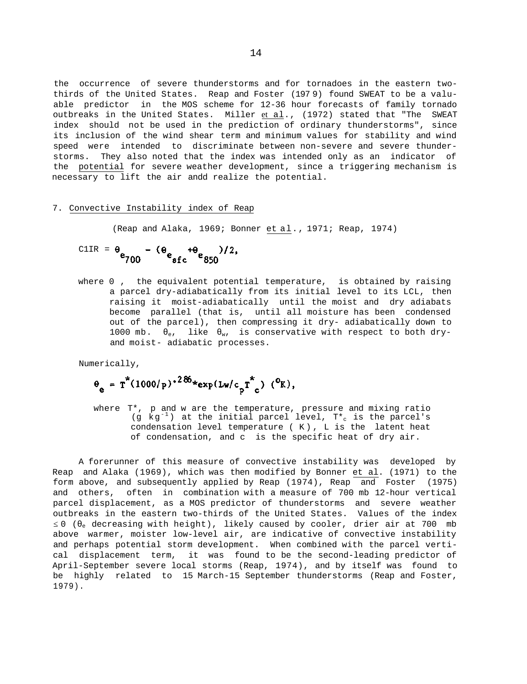the occurrence of severe thunderstorms and for tornadoes in the eastern twothirds of the United States. Reap and Foster (197 9) found SWEAT to be a valuable predictor in the MOS scheme for 12-36 hour forecasts of family tornado outbreaks in the United States. Miller et al., (1972) stated that "The SWEAT index should not be used in the prediction of ordinary thunderstorms", since its inclusion of the wind shear term and minimum values for stability and wind speed were intended to discriminate between non-severe and severe thunderstorms. They also noted that the index was intended only as an indicator of the potential for severe weather development, since a triggering mechanism is necessary to lift the air andd realize the potential.

#### 7. Convective Instability index of Reap

(Reap and Alaka, 1969; Bonner et al., 1971; Reap, 1974)

C1IR = 
$$
\theta_{e_{700}} - (\theta_{e_{sfc}} + \theta_{e_{850}})/2
$$
,

where 0, the equivalent potential temperature, is obtained by raising a parcel dry-adiabatically from its initial level to its LCL, then raising it moist-adiabatically until the moist and dry adiabats become parallel (that is, until all moisture has been condensed out of the parcel), then compressing it dry- adiabatically down to 1000 mb.  $e$ , like  $w$ , is conservative with respect to both dryand moist- adiabatic processes.

Numerically,

$$
\theta_{e} = T^{*}(1000/p)^{*286} * \exp(Lw/c_{p}T^{*}_{c}) (^0K),
$$

where T\*, p and w are the temperature, pressure and mixing ratio (g kg<sup>-1</sup>) at the initial parcel level,  $T^*$  is the parcel's condensation level temperature ( K) , L is the latent heat of condensation, and c is the specific heat of dry air.

A forerunner of this measure of convective instability was developed by Reap and Alaka (1969), which was then modified by Bonner et al. (1971) to the form above, and subsequently applied by Reap (1974), Reap and Foster (1975) and others, often in combination with a measure of 700 mb 12-hour vertical parcel displacement, as a MOS predictor of thunderstorms and severe weather outbreaks in the eastern two-thirds of the United States. Values of the index 0 (e decreasing with height), likely caused by cooler, drier air at 700 mb above warmer, moister low-level air, are indicative of convective instability and perhaps potential storm development. When combined with the parcel vertical displacement term, it was found to be the second-leading predictor of April-September severe local storms (Reap, 1974), and by itself was found to be highly related to 15 March-15 September thunderstorms (Reap and Foster, 1979).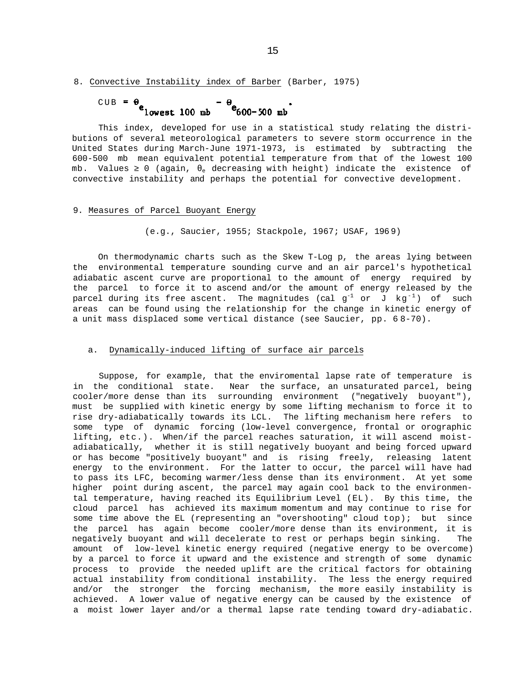#### 8. Convective Instability index of Barber (Barber, 1975)

$$
CUB = \theta \qquad - \theta \qquad -500 \text{ mb}
$$

This index, developed for use in a statistical study relating the distributions of several meteorological parameters to severe storm occurrence in the United States during March-June 1971-1973, is estimated by subtracting the 600-500 mb mean equivalent potential temperature from that of the lowest 100 mb. Values  $0$  (again,  $_e$  decreasing with height) indicate the existence of convective instability and perhaps the potential for convective development.

#### 9. Measures of Parcel Buoyant Energy

(e.g., Saucier, 1955; Stackpole, 1967; USAF, 196 9)

On thermodynamic charts such as the Skew T-Log p, the areas lying between the environmental temperature sounding curve and an air parcel's hypothetical adiabatic ascent curve are proportional to the amount of energy required by the parcel to force it to ascend and/or the amount of energy released by the parcel during its free ascent. The magnitudes (cal  $g^{-1}$  or J kg<sup>-1</sup>) of such areas can be found using the relationship for the change in kinetic energy of a unit mass displaced some vertical distance (see Saucier, pp. 6 8-70).

#### a. Dynamically-induced lifting of surface air parcels

Suppose, for example, that the enviromental lapse rate of temperature is in the conditional state. Near the surface, an unsaturated parcel, being cooler/more dense than its surrounding environment ("negatively buoyant"), must be supplied with kinetic energy by some lifting mechanism to force it to rise dry-adiabatically towards its LCL. The lifting mechanism here refers to some type of dynamic forcing (low-level convergence, frontal or orographic lifting, etc.). When/if the parcel reaches saturation, it will ascend moistadiabatically, whether it is still negatively buoyant and being forced upward or has become "positively buoyant" and is rising freely, releasing latent energy to the environment. For the latter to occur, the parcel will have had to pass its LFC, becoming warmer/less dense than its environment. At yet some higher point during ascent, the parcel may again cool back to the environmental temperature, having reached its Equilibrium Level (EL). By this time, the cloud parcel has achieved its maximum momentum and may continue to rise for some time above the EL (representing an "overshooting" cloud top); but since the parcel has again become cooler/more dense than its environment, it is negatively buoyant and will decelerate to rest or perhaps begin sinking. The amount of low-level kinetic energy required (negative energy to be overcome) by a parcel to force it upward and the existence and strength of some dynamic process to provide the needed uplift are the critical factors for obtaining actual instability from conditional instability. The less the energy required and/or the stronger the forcing mechanism, the more easily instability is achieved. A lower value of negative energy can be caused by the existence of a moist lower layer and/or a thermal lapse rate tending toward dry-adiabatic.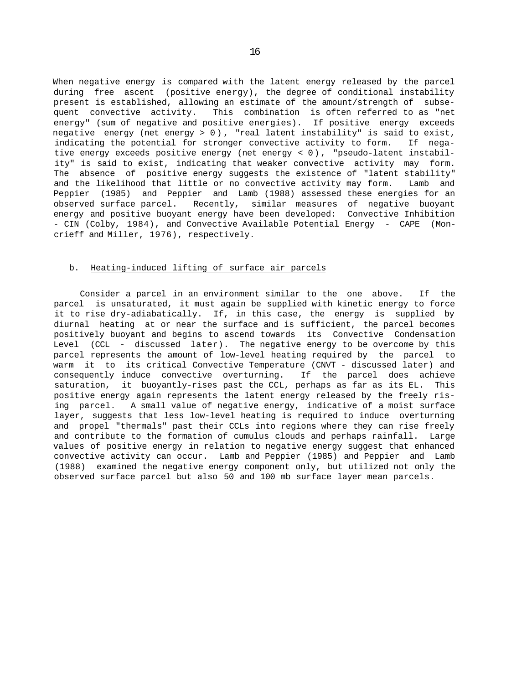When negative energy is compared with the latent energy released by the parcel during free ascent (positive energy), the degree of conditional instability present is established, allowing an estimate of the amount/strength of subsequent convective activity. This combination is often referred to as "net energy" (sum of negative and positive energies). If positive energy exceeds negative energy (net energy > 0) , "real latent instability" is said to exist, indicating the potential for stronger convective activity to form. If negative energy exceeds positive energy (net energy < 0), "pseudo-latent instability" is said to exist, indicating that weaker convective activity may form. The absence of positive energy suggests the existence of "latent stability" and the likelihood that little or no convective activity may form. Lamb and Peppier (1985) and Peppier and Lamb (1988) assessed these energies for an observed surface parcel. Recently, similar measures of negative buoyant energy and positive buoyant energy have been developed: Convective Inhibition - CIN (Colby, 1984), and Convective Available Potential Energy - CAPE (Moncrieff and Miller, 1976), respectively.

#### b. Heating-induced lifting of surface air parcels

Consider a parcel in an environment similar to the one above. If the parcel is unsaturated, it must again be supplied with kinetic energy to force it to rise dry-adiabatically. If, in this case, the energy is supplied by diurnal heating at or near the surface and is sufficient, the parcel becomes positively buoyant and begins to ascend towards its Convective Condensation Level (CCL - discussed later). The negative energy to be overcome by this parcel represents the amount of low-level heating required by the parcel to warm it to its critical Convective Temperature (CNVT - discussed later) and consequently induce convective overturning. If the parcel does achieve saturation, it buoyantly-rises past the CCL, perhaps as far as its EL. This positive energy again represents the latent energy released by the freely rising parcel. A small value of negative energy, indicative of a moist surface layer, suggests that less low-level heating is required to induce overturning and propel "thermals" past their CCLs into regions where they can rise freely and contribute to the formation of cumulus clouds and perhaps rainfall. Large values of positive energy in relation to negative energy suggest that enhanced convective activity can occur. Lamb and Peppier (1985) and Peppier and Lamb (1988) examined the negative energy component only, but utilized not only the observed surface parcel but also 50 and 100 mb surface layer mean parcels.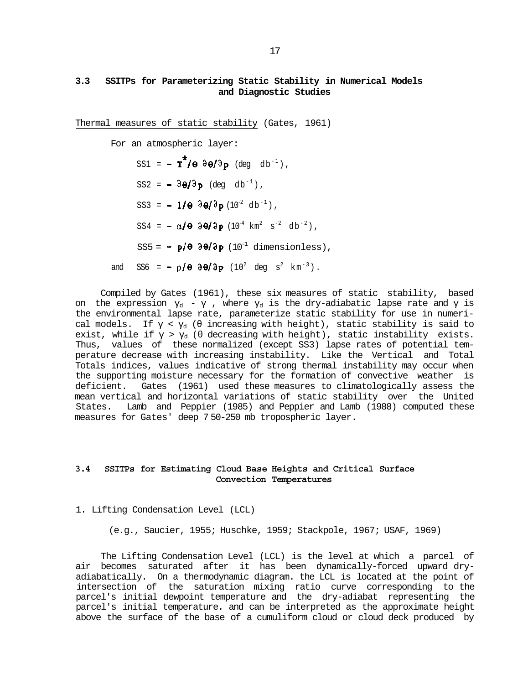# **3.3 SSITPs for Parameterizing Static Stability in Numerical Models and Diagnostic Studies**

Thermal measures of static stability (Gates, 1961)

For an atmospheric layer:

 $SS1 = -T^*/\Theta \frac{\partial \Theta}{\partial p}$  (deg db<sup>-1</sup>),

 $SS2 = -\partial \theta / \partial p$  (deg db<sup>-1</sup>),

 $SS3 = -1/\theta \frac{\partial \theta}{\partial p} (10^{-2} \text{ db}^{-1})$ ,

 $SS4 = -\alpha/\theta$   $\partial\theta/\partial p$   $(10^{-4} \text{ km}^2 \text{ s}^{-2} \text{ db}^{-2})$ ,

SS5 =  $\div$  p/ $\theta$   $\partial \theta$ / $\partial p$  (10<sup>-1</sup> dimensionless),

and SS6 =  $\div$   $\rho$ / $\theta$   $\partial \theta$ / $\partial \mathbf{p}$  (10<sup>2</sup> deg s<sup>2</sup> km<sup>-3</sup>).

Compiled by Gates (1961), these six measures of static stability, based on the expression  $q - \gamma$  , where  $q \gamma$  is the dry-adiabatic lapse rate and is the environmental lapse rate, parameterize static stability for use in numerical models. If  $\prec_d$  ( increasing with height), static stability is said to exist, while if  $\rightarrow$  <sub>d</sub> ( decreasing with height), static instability exists. Thus, values of these normalized (except SS3) lapse rates of potential temperature decrease with increasing instability. Like the Vertical and Total Totals indices, values indicative of strong thermal instability may occur when the supporting moisture necessary for the formation of convective weather is deficient. Gates (1961) used these measures to climatologically assess the mean vertical and horizontal variations of static stability over the United States. Lamb and Peppier (1985) and Peppier and Lamb (1988) computed these measures for Gates' deep 7 50-250 mb tropospheric layer.

# **3.4 SSITPs for Estimating Cloud Base Heights and Critical Surface Convection Temperatures**

#### 1. Lifting Condensation Level (LCL)

(e.g., Saucier, 1955; Huschke, 1959; Stackpole, 1967; USAF, 1969)

The Lifting Condensation Level (LCL) is the level at which a parcel of air becomes saturated after it has been dynamically-forced upward dryadiabatically. On a thermodynamic diagram. the LCL is located at the point of intersection of the saturation mixing ratio curve corresponding to the parcel's initial dewpoint temperature and the dry-adiabat representing the parcel's initial temperature. and can be interpreted as the approximate height above the surface of the base of a cumuliform cloud or cloud deck produced by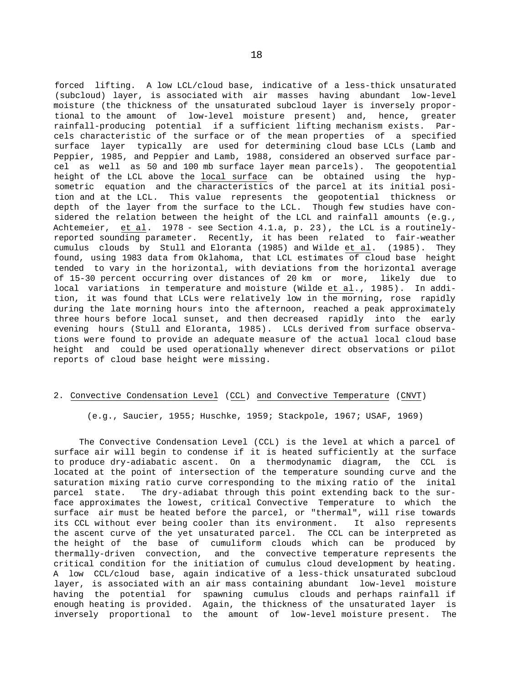forced lifting. A low LCL/cloud base, indicative of a less-thick unsaturated (subcloud) layer, is associated with air masses having abundant low-level moisture (the thickness of the unsaturated subcloud layer is inversely proportional to the amount of low-level moisture present) and, hence, greater rainfall-producing potential if a sufficient lifting mechanism exists. Parcels characteristic of the surface or of the mean properties of a specified surface layer typically are used for determining cloud base LCLs (Lamb and Peppier, 1985, and Peppier and Lamb, 1988, considered an observed surface parcel as well as 50 and 100 mb surface layer mean parcels). The geopotential height of the LCL above the local surface can be obtained using the hypsometric equation and the characteristics of the parcel at its initial position and at the LCL. This value represents the geopotential thickness or depth of the layer from the surface to the LCL. Though few studies have considered the relation between the height of the LCL and rainfall amounts (e.g., Achtemeier, et al. 1978 - see Section 4.1.a, p. 23), the LCL is a routinelyreported sounding parameter. Recently, it has been related to fair-weather cumulus clouds by Stull and Eloranta (1985) and Wilde et al. (1985). They found, using 1983 data from Oklahoma, that LCL estimates of cloud base height tended to vary in the horizontal, with deviations from the horizontal average of 15-30 percent occurring over distances of 20 km or more, likely due to local variations in temperature and moisture (Wilde et al., 1985). In addition, it was found that LCLs were relatively low in the morning, rose rapidly during the late morning hours into the afternoon, reached a peak approximately three hours before local sunset, and then decreased rapidly into the early evening hours (Stull and Eloranta, 1985). LCLs derived from surface observations were found to provide an adequate measure of the actual local cloud base height and could be used operationally whenever direct observations or pilot reports of cloud base height were missing.

#### 2. Convective Condensation Level (CCL) and Convective Temperature (CNVT)

(e.g., Saucier, 1955; Huschke, 1959; Stackpole, 1967; USAF, 1969)

The Convective Condensation Level (CCL) is the level at which a parcel of surface air will begin to condense if it is heated sufficiently at the surface to produce dry-adiabatic ascent. On a thermodynamic diagram, the CCL is located at the point of intersection of the temperature sounding curve and the saturation mixing ratio curve corresponding to the mixing ratio of the inital parcel state. The dry-adiabat through this point extending back to the surface approximates the lowest, critical Convective Temperature to which the surface air must be heated before the parcel, or "thermal", will rise towards its CCL without ever being cooler than its environment. It also represents the ascent curve of the yet unsaturated parcel. The CCL can be interpreted as the height of the base of cumuliform clouds which can be produced by thermally-driven convection, and the convective temperature represents the critical condition for the initiation of cumulus cloud development by heating. A low CCL/cloud base, again indicative of a less-thick unsaturated subcloud layer, is associated with an air mass containing abundant low-level moisture having the potential for spawning cumulus clouds and perhaps rainfall if enough heating is provided. Again, the thickness of the unsaturated layer is inversely proportional to the amount of low-level moisture present. The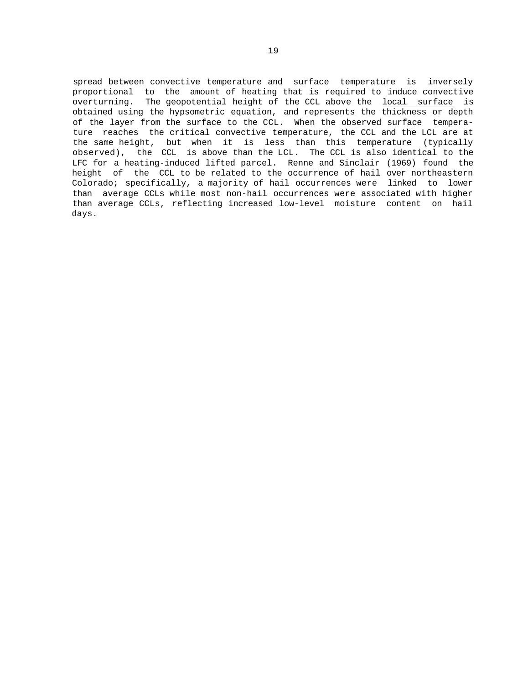spread between convective temperature and surface temperature is inversely proportional to the amount of heating that is required to induce convective overturning. The geopotential height of the CCL above the local surface is obtained using the hypsometric equation, and represents the thickness or depth of the layer from the surface to the CCL. When the observed surface temperature reaches the critical convective temperature, the CCL and the LCL are at the same height, but when it is less than this temperature (typically observed), the CCL is above than the LCL. The CCL is also identical to the LFC for a heating-induced lifted parcel. Renne and Sinclair (1969) found the height of the CCL to be related to the occurrence of hail over northeastern Colorado; specifically, a majority of hail occurrences were linked to lower than average CCLs while most non-hail occurrences were associated with higher than average CCLs, reflecting increased low-level moisture content on hail days.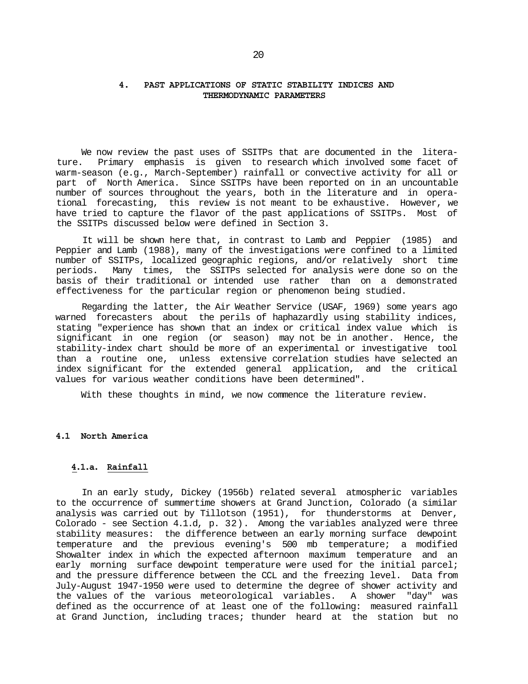## **4. PAST APPLICATIONS OF STATIC STABILITY INDICES AND THERMODYNAMIC PARAMETERS**

We now review the past uses of SSITPs that are documented in the literature. Primary emphasis is given to research which involved some facet of warm-season (e.g., March-September) rainfall or convective activity for all or part of North America. Since SSITPs have been reported on in an uncountable number of sources throughout the years, both in the literature and in operational forecasting, this review is not meant to be exhaustive. However, we have tried to capture the flavor of the past applications of SSITPs. Most of the SSITPs discussed below were defined in Section 3.

It will be shown here that, in contrast to Lamb and Peppier (1985) and Peppier and Lamb (1988), many of the investigations were confined to a limited number of SSITPs, localized geographic regions, and/or relatively short time periods. Many times, the SSITPs selected for analysis were done so on the basis of their traditional or intended use rather than on a demonstrated effectiveness for the particular region or phenomenon being studied.

Regarding the latter, the Air Weather Service (USAF, 1969) some years ago warned forecasters about the perils of haphazardly using stability indices, stating "experience has shown that an index or critical index value which is significant in one region (or season) may not be in another. Hence, the stability-index chart should be more of an experimental or investigative tool than a routine one, unless extensive correlation studies have selected an index significant for the extended general application, and the critical values for various weather conditions have been determined".

With these thoughts in mind, we now commence the literature review.

#### **4.1 North America**

#### **4.1.a. Rainfall**

In an early study, Dickey (1956b) related several atmospheric variables to the occurrence of summertime showers at Grand Junction, Colorado (a similar analysis was carried out by Tillotson (1951), for thunderstorms at Denver, Colorado - see Section 4.1.d, p. 32). Among the variables analyzed were three stability measures: the difference between an early morning surface dewpoint temperature and the previous evening's 500 mb temperature; a modified Showalter index in which the expected afternoon maximum temperature and an early morning surface dewpoint temperature were used for the initial parcel; and the pressure difference between the CCL and the freezing level. Data from July-August 1947-1950 were used to determine the degree of shower activity and the values of the various meteorological variables. A shower "day" was defined as the occurrence of at least one of the following: measured rainfall at Grand Junction, including traces; thunder heard at the station but no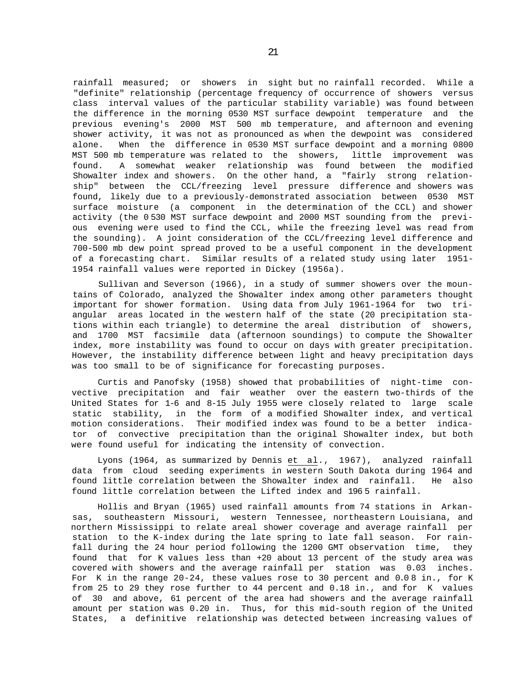rainfall measured; or showers in sight but no rainfall recorded. While a "definite" relationship (percentage frequency of occurrence of showers versus class interval values of the particular stability variable) was found between the difference in the morning 0530 MST surface dewpoint temperature and the previous evening's 2000 MST 500 mb temperature, and afternoon and evening shower activity, it was not as pronounced as when the dewpoint was considered alone. When the difference in 0530 MST surface dewpoint and a morning 0800 MST 500 mb temperature was related to the showers, little improvement was found. A somewhat weaker relationship was found between the modified Showalter index and showers. On the other hand, a "fairly strong relationship" between the CCL/freezing level pressure difference and showers was found, likely due to a previously-demonstrated association between 0530 MST surface moisture (a component in the determination of the CCL) and shower activity (the 0 530 MST surface dewpoint and 2000 MST sounding from the previous evening were used to find the CCL, while the freezing level was read from the sounding). A joint consideration of the CCL/freezing level difference and 700-500 mb dew point spread proved to be a useful component in the development of a forecasting chart. Similar results of a related study using later 1951- 1954 rainfall values were reported in Dickey (1956a).

Sullivan and Severson (1966), in a study of summer showers over the mountains of Colorado, analyzed the Showalter index among other parameters thought important for shower formation. Using data from July 1961-1964 for two triangular areas located in the western half of the state (20 precipitation stations within each triangle) to determine the areal distribution of showers, and 1700 MST facsimile data (afternoon soundings) to compute the Showalter index, more instability was found to occur on days with greater precipitation. However, the instability difference between light and heavy precipitation days was too small to be of significance for forecasting purposes.

Curtis and Panofsky (1958) showed that probabilities of night-time convective precipitation and fair weather over the eastern two-thirds of the United States for 1-6 and 8-15 July 1955 were closely related to large scale static stability, in the form of a modified Showalter index, and vertical motion considerations. Their modified index was found to be a better indicator of convective precipitation than the original Showalter index, but both were found useful for indicating the intensity of convection.

Lyons (1964, as summarized by Dennis et al., 1967), analyzed rainfall data from cloud seeding experiments in western South Dakota during 1964 and found little correlation between the Showalter index and rainfall. He also found little correlation between the Lifted index and 196 5 rainfall.

Hollis and Bryan (1965) used rainfall amounts from 74 stations in Arkansas, southeastern Missouri, western Tennessee, northeastern Louisiana, and northern Mississippi to relate areal shower coverage and average rainfall per station to the K-index during the late spring to late fall season. For rainfall during the 24 hour period following the 1200 GMT observation time, they found that for K values less than +20 about 13 percent of the study area was covered with showers and the average rainfall per station was 0.03 inches. For K in the range 20-24, these values rose to 30 percent and 0.0 8 in., for K from 25 to 29 they rose further to 44 percent and 0.18 in., and for K values of 30 and above, 61 percent of the area had showers and the average rainfall amount per station was 0.20 in. Thus, for this mid-south region of the United States, a definitive relationship was detected between increasing values of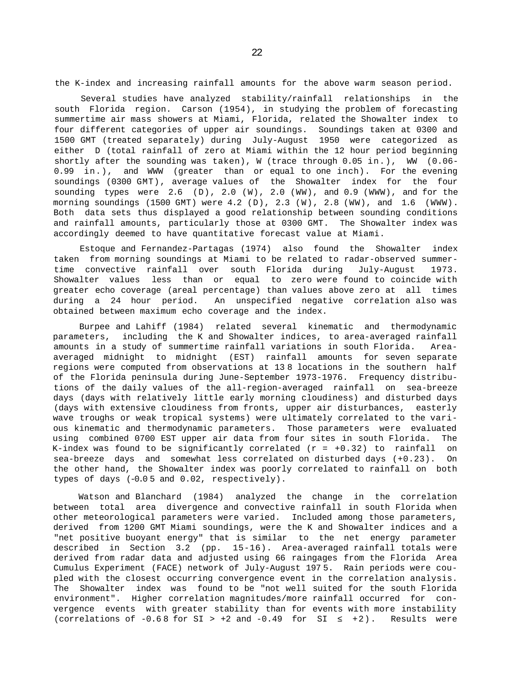the K-index and increasing rainfall amounts for the above warm season period.

Several studies have analyzed stability/rainfall relationships in the south Florida region. Carson (1954), in studying the problem of forecasting summertime air mass showers at Miami, Florida, related the Showalter index to four different categories of upper air soundings. Soundings taken at 0300 and 1500 GMT (treated separately) during July-August 1950 were categorized as either D (total rainfall of zero at Miami within the 12 hour period beginning shortly after the sounding was taken), W (trace through 0.05 in.), WW (0.06- 0.99 in.), and WWW (greater than or equal to one inch). For the evening soundings (0300 GMT), average values of the Showalter index for the four sounding types were 2.6 (D), 2.0 (W), 2.0 (WW), and 0.9 (WWW), and for the morning soundings (1500 GMT) were 4.2 (D), 2.3 (W), 2.8 (WW), and 1.6 (WWW). Both data sets thus displayed a good relationship between sounding conditions and rainfall amounts, particularly those at 0300 GMT. The Showalter index was accordingly deemed to have quantitative forecast value at Miami.

Estoque and Fernandez-Partagas (1974) also found the Showalter index taken from morning soundings at Miami to be related to radar-observed summertime convective rainfall over south Florida during July-August 1973. Showalter values less than or equal to zero were found to coincide with greater echo coverage (areal percentage) than values above zero at all times during a 24 hour period. An unspecified negative correlation also was obtained between maximum echo coverage and the index.

Burpee and Lahiff (1984) related several kinematic and thermodynamic parameters, including the K and Showalter indices, to area-averaged rainfall amounts in a study of summertime rainfall variations in south Florida. Areaaveraged midnight to midnight (EST) rainfall amounts for seven separate regions were computed from observations at 13 8 locations in the southern half of the Florida peninsula during June-September 1973-1976. Frequency distributions of the daily values of the all-region-averaged rainfall on sea-breeze days (days with relatively little early morning cloudiness) and disturbed days (days with extensive cloudiness from fronts, upper air disturbances, easterly wave troughs or weak tropical systems) were ultimately correlated to the various kinematic and thermodynamic parameters. Those parameters were evaluated using combined 0700 EST upper air data from four sites in south Florida. The K-index was found to be significantly correlated  $(r = +0.32)$  to rainfall on sea-breeze days and somewhat less correlated on disturbed days (+0.23). On the other hand, the Showalter index was poorly correlated to rainfall on both types of days (-0.0 5 and 0.02, respectively).

Watson and Blanchard (1984) analyzed the change in the correlation between total area divergence and convective rainfall in south Florida when other meteorological parameters were varied. Included among those parameters, derived from 1200 GMT Miami soundings, were the K and Showalter indices and a "net positive buoyant energy" that is similar to the net energy parameter described in Section 3.2 (pp. 15-16). Area-averaged rainfall totals were derived from radar data and adjusted using 66 raingages from the Florida Area Cumulus Experiment (FACE) network of July-August 197 5. Rain periods were coupled with the closest occurring convergence event in the correlation analysis. The Showalter index was found to be "not well suited for the south Florida environment". Higher correlation magnitudes/more rainfall occurred for convergence events with greater stability than for events with more instability (correlations of  $-0.68$  for  $SI > +2$  and  $-0.49$  for  $SI$   $+2$ ). Results were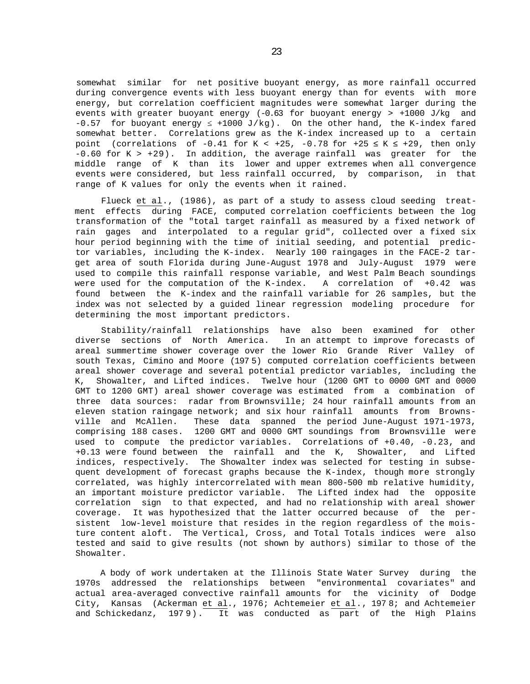somewhat similar for net positive buoyant energy, as more rainfall occurred during convergence events with less buoyant energy than for events with more energy, but correlation coefficient magnitudes were somewhat larger during the events with greater buoyant energy (-0.63 for buoyant energy > +1000 J/kg and -0.57 for buoyant energy *≤* +1000 J/kg). On the other hand, the K-index fared somewhat better. Correlations grew as the K-index increased up to a certain point (correlations of  $-0.41$  for K <  $+25$ ,  $-0.78$  for  $+25$  K  $+29$ , then only  $-0.60$  for K >  $+29$ ). In addition, the average rainfall was greater for the middle range of K than its lower and upper extremes when all convergence events were considered, but less rainfall occurred, by comparison, in that range of K values for only the events when it rained.

Flueck et al., (1986), as part of a study to assess cloud seeding treatment effects during FACE, computed correlation coefficients between the log transformation of the "total target rainfall as measured by a fixed network of rain gages and interpolated to a regular grid", collected over a fixed six hour period beginning with the time of initial seeding, and potential predictor variables, including the K-index. Nearly 100 raingages in the FACE-2 target area of south Florida during June-August 1978 and July-August 1979 were used to compile this rainfall response variable, and West Palm Beach soundings were used for the computation of the K-index. A correlation of +0.42 was found between the K-index and the rainfall variable for 26 samples, but the index was not selected by a guided linear regression modeling procedure for determining the most important predictors.

Stability/rainfall relationships have also been examined for other diverse sections of North America. In an attempt to improve forecasts of areal summertime shower coverage over the lower Rio Grande River Valley of south Texas, Cimino and Moore (197 5) computed correlation coefficients between areal shower coverage and several potential predictor variables, including the K, Showalter, and Lifted indices. Twelve hour (1200 GMT to 0000 GMT and 0000 GMT to 1200 GMT) areal shower coverage was estimated from a combination of three data sources: radar from Brownsville; 24 hour rainfall amounts from an eleven station raingage network; and six hour rainfall amounts from Brownsville and McAllen. These data spanned the period June-August 1971-1973, comprising 188 cases. 1200 GMT and 0000 GMT soundings from Brownsville were used to compute the predictor variables. Correlations of +0.40, -0.23, and +0.13 were found between the rainfall and the K, Showalter, and Lifted indices, respectively. The Showalter index was selected for testing in subsequent development of forecast graphs because the K-index, though more strongly correlated, was highly intercorrelated with mean 800-500 mb relative humidity, an important moisture predictor variable. The Lifted index had the opposite correlation sign to that expected, and had no relationship with areal shower coverage. It was hypothesized that the latter occurred because of the persistent low-level moisture that resides in the region regardless of the moisture content aloft. The Vertical, Cross, and Total Totals indices were also tested and said to give results (not shown by authors) similar to those of the Showalter.

A body of work undertaken at the Illinois State Water Survey during the 1970s addressed the relationships between "environmental covariates" and actual area-averaged convective rainfall amounts for the vicinity of Dodge City, Kansas (Ackerman et al., 1976; Achtemeier et al., 197 8; and Achtemeier and Schickedanz, 1979). It was conducted as part of the High Plains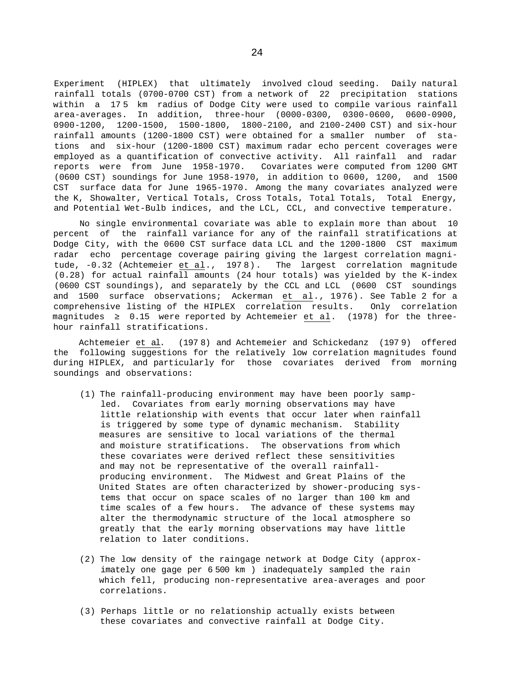Experiment (HIPLEX) that ultimately involved cloud seeding. Daily natural rainfall totals (0700-0700 CST) from a network of 22 precipitation stations within a 17 5 km radius of Dodge City were used to compile various rainfall area-averages. In addition, three-hour (0000-0300, 0300-0600, 0600-0900, 0900-1200, 1200-1500, 1500-1800, 1800-2100, and 2100-2400 CST) and six-hour rainfall amounts (1200-1800 CST) were obtained for a smaller number of stations and six-hour (1200-1800 CST) maximum radar echo percent coverages were employed as a quantification of convective activity. All rainfall and radar reports were from June 1958-1970. Covariates were computed from 1200 GMT (0600 CST) soundings for June 1958-1970, in addition to 0600, 1200, and 1500 CST surface data for June 1965-1970. Among the many covariates analyzed were the K, Showalter, Vertical Totals, Cross Totals, Total Totals, Total Energy, and Potential Wet-Bulb indices, and the LCL, CCL, and convective temperature.

No single environmental covariate was able to explain more than about 10 percent of the rainfall variance for any of the rainfall stratifications at Dodge City, with the 0600 CST surface data LCL and the 1200-1800 CST maximum radar echo percentage coverage pairing giving the largest correlation magnitude, -0.32 (Achtemeier et al., 197 8). The largest correlation magnitude (0.28) for actual rainfall amounts (24 hour totals) was yielded by the K-index (0600 CST soundings), and separately by the CCL and LCL (0600 CST soundings and 1500 surface observations; Ackerman et al., 1976). See Table 2 for a comprehensive listing of the HIPLEX correlation results. Only correlation magnitudes 0.15 were reported by Achtemeier et al. (1978) for the threehour rainfall stratifications.

Achtemeier et al. (197 8) and Achtemeier and Schickedanz (197 9) offered the following suggestions for the relatively low correlation magnitudes found during HIPLEX, and particularly for those covariates derived from morning soundings and observations:

- (1) The rainfall-producing environment may have been poorly sampled. Covariates from early morning observations may have little relationship with events that occur later when rainfall is triggered by some type of dynamic mechanism. Stability measures are sensitive to local variations of the thermal and moisture stratifications. The observations from which these covariates were derived reflect these sensitivities and may not be representative of the overall rainfallproducing environment. The Midwest and Great Plains of the United States are often characterized by shower-producing systems that occur on space scales of no larger than 100 km and time scales of a few hours. The advance of these systems may alter the thermodynamic structure of the local atmosphere so greatly that the early morning observations may have little relation to later conditions.
- (2) The low density of the raingage network at Dodge City (approximately one gage per 6 500 km ) inadequately sampled the rain which fell, producing non-representative area-averages and poor correlations.
- (3) Perhaps little or no relationship actually exists between these covariates and convective rainfall at Dodge City.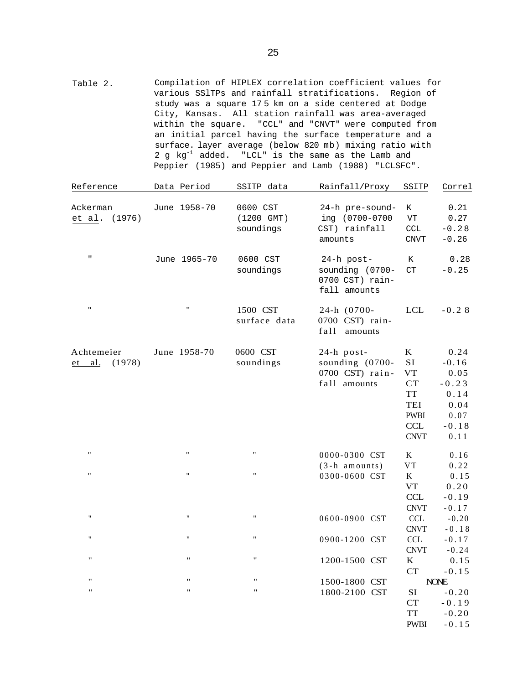Table 2. Compilation of HIPLEX correlation coefficient values for various SSlTPs and rainfall stratifications. Region of study was a square 17 5 km on a side centered at Dodge City, Kansas. All station rainfall was area-averaged within the square. "CCL" and "CNVT" were computed from an initial parcel having the surface temperature and a surface. layer average (below 820 mb) mixing ratio with 2 g kg-1 added. "LCL" is the same as the Lamb and Peppier (1985) and Peppier and Lamb (1988) "LCLSFC".

| Reference                        | Data Period        | SSITP data                          | Rainfall/Proxy                                                     | SSITP                                                                              | Correl                                                                        |
|----------------------------------|--------------------|-------------------------------------|--------------------------------------------------------------------|------------------------------------------------------------------------------------|-------------------------------------------------------------------------------|
| Ackerman<br>(1976)<br>et al.     | June 1958-70       | 0600 CST<br>(1200 GMT)<br>soundings | 24-h pre-sound-<br>ing (0700-0700<br>CST) rainfall<br>amounts      | K<br>${\tt VT}$<br>$\mathop{\rm CCL}\nolimits$<br><b>CNVT</b>                      | 0.21<br>0.27<br>$-0.28$<br>$-0.26$                                            |
| $\sf H$                          | June 1965-70       | 0600 CST<br>soundings               | 24-h post-<br>sounding (0700-<br>0700 CST) rain-<br>fall amounts   | К<br>CT                                                                            | 0.28<br>$-0.25$                                                               |
| $\pmb{\mathsf{H}}$               | $\pmb{\mathsf{H}}$ | 1500 CST<br>surface data            | 24-h (0700-<br>0700 CST) rain-<br>fa11<br>amounts                  | <b>LCL</b>                                                                         | $-0.28$                                                                       |
| Achtemeier<br>(1978)<br>$et$ al. | June 1958-70       | 0600 CST<br>soundings               | $24-h$ post-<br>sounding (0700-<br>0700 CST) rain-<br>fall amounts | $\bf K$<br>SI<br>VT<br>CT<br>TT<br>TEI<br><b>PWBI</b><br><b>CCL</b><br><b>CNVT</b> | 0.24<br>$-0.16$<br>0.05<br>$-0.23$<br>0.14<br>0.04<br>0.07<br>$-0.18$<br>0.11 |
| $\pmb{\mathsf{H}}$               | $\pmb{\mathsf{H}}$ | $\pmb{\mathsf{H}}$                  | 0000-0300 CST                                                      | K                                                                                  | 0.16                                                                          |
| $\pmb{\mathsf{H}}$               | $\mathbf{H}$       | $\pmb{\mathsf{H}}$                  | $(3-h$ amounts)<br>0300-0600 CST                                   | $_{\rm VT}$<br>$\mathbf K$                                                         | 0.22<br>0.15                                                                  |
|                                  |                    |                                     |                                                                    | <b>VT</b><br>CCL<br><b>CNVT</b>                                                    | 0.20<br>$-0.19$<br>$-0.17$                                                    |
| $\pmb{\mathsf{H}}$               | $\pmb{\mathsf{H}}$ | $\mathbf{H}$                        | 0600-0900 CST                                                      | $\ensuremath{\textup{CCL}}\xspace$<br><b>CNVT</b>                                  | $-0.20$<br>$-0.18$                                                            |
| Ħ                                | $\pmb{\mathsf{H}}$ | Ħ                                   | 0900-1200 CST                                                      | CCL<br><b>CNVT</b>                                                                 | $-0.17$<br>$-0.24$                                                            |
| "                                | $\pmb{\mathsf{H}}$ | $\pmb{\cdots}$                      | 1200-1500 CST                                                      | K<br><b>CT</b>                                                                     | 0.15<br>$-0.15$                                                               |
| 11                               | $\pmb{\mathsf{H}}$ | $\pmb{\mathsf{H}}$                  | 1500-1800 CST                                                      |                                                                                    | <b>NONE</b>                                                                   |
| $\mathbf{H}$                     | $\pmb{\mathsf{H}}$ | $\pmb{\mathsf{H}}$                  | 1800-2100 CST                                                      | SI                                                                                 | $-0.20$                                                                       |
|                                  |                    |                                     |                                                                    | <b>CT</b>                                                                          | $-0.19$                                                                       |
|                                  |                    |                                     |                                                                    | <b>TT</b>                                                                          | $-0.20$                                                                       |
|                                  |                    |                                     |                                                                    | <b>PWBI</b>                                                                        | $-0.15$                                                                       |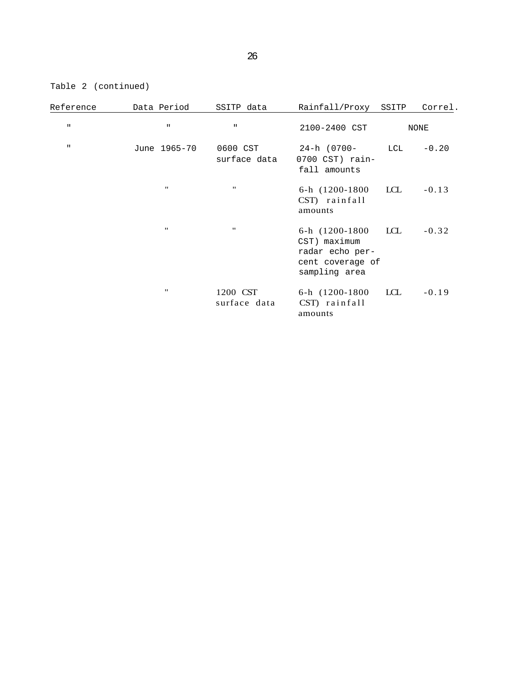Table 2 (continued)

| Reference    | Data Period       | SSITP data               | Rainfall/Proxy                                                                          | SSITP | Correl. |
|--------------|-------------------|--------------------------|-----------------------------------------------------------------------------------------|-------|---------|
| $\mathbf H$  | $\mathbf H$       | $\mathbf H$              | 2100-2400 CST                                                                           |       | NONE    |
| $\mathbf{H}$ | June 1965-70      | 0600 CST<br>surface data | 24-h (0700-<br>0700 CST) rain-<br>fall amounts                                          | LCL   | $-0.20$ |
|              | $^{\prime\prime}$ | $^{\prime\prime}$        | 6-h (1200-1800)<br>CST) rainfall<br>amounts                                             | LCL   | $-0.13$ |
|              |                   | $^{\prime\prime}$        | 6-h (1200-1800)<br>CST) maximum<br>radar echo per-<br>cent coverage of<br>sampling area | LCL   | $-0.32$ |
|              |                   | 1200 CST<br>surface data | 6-h (1200-1800)<br>CST) rainfall<br>amounts                                             | LCL   | $-0.19$ |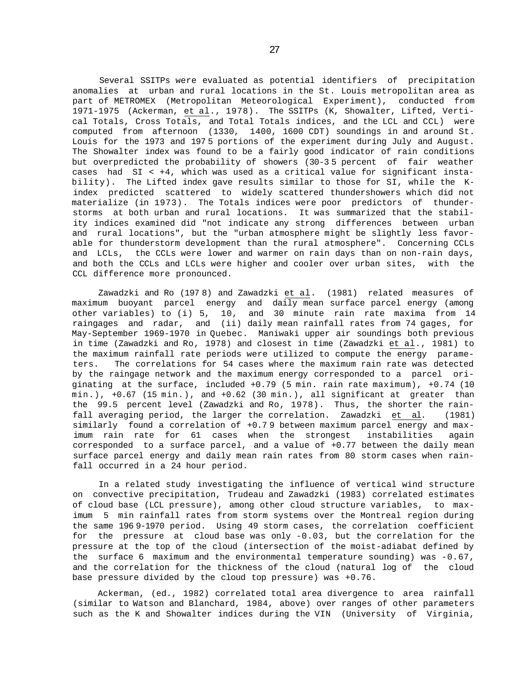Several SSITPs were evaluated as potential identifiers of precipitation anomalies at urban and rural locations in the St. Louis metropolitan area as part of METROMEX (Metropolitan Meteorological Experiment), conducted from 1971-1975 (Ackerman, et al., 1978). The SSITPs (K, Showalter, Lifted, Vertical Totals, Cross Totals, and Total Totals indices, and the LCL and CCL) were computed from afternoon (1330, 1400, 1600 CDT) soundings in and around St. Louis for the 1973 and 197 5 portions of the experiment during July and August. The Showalter index was found to be a fairly good indicator of rain conditions but overpredicted the probability of showers (30-3 5 percent of fair weather cases had SI < +4, which was used as a critical value for significant instability). The Lifted index gave results similar to those for SI, while the Kindex predicted scattered to widely scattered thundershowers which did not materialize (in 1973). The Totals indices were poor predictors of thunderstorms at both urban and rural locations. It was summarized that the stability indices examined did "not indicate any strong differences between urban and rural locations", but the "urban atmosphere might be slightly less favorable for thunderstorm development than the rural atmosphere". Concerning CCLs and LCLs, the CCLs were lower and warmer on rain days than on non-rain days, and both the CCLs and LCLs were higher and cooler over urban sites, with the CCL difference more pronounced.

Zawadzki and Ro (197 8) and Zawadzki et al. (1981) related measures of maximum buoyant parcel energy and daily mean surface parcel energy (among other variables) to (i) 5, 10, and 30 minute rain rate maxima from 14 raingages and radar, and (ii) daily mean rainfall rates from 74 gages, for May-September 1969-1970 in Quebec. Maniwaki upper air soundings both previous in time (Zawadzki and Ro, 1978) and closest in time (Zawadzki et al., 1981) to the maximum rainfall rate periods were utilized to compute the energy parameters. The correlations for 54 cases where the maximum rain rate was detected by the raingage network and the maximum energy corresponded to a parcel originating at the surface, included +0.79 (5 min. rain rate maximum), +0.74 (10  $min.$ ),  $+0.67$  (15 min.), and  $+0.62$  (30 min.), all significant at greater than the 99.5 percent level (Zawadzki and Ro, 1978). Thus, the shorter the rainfall averaging period, the larger the correlation. Zawadzki et al. (1981) similarly found a correlation of +0.7 9 between maximum parcel energy and maximum rain rate for 61 cases when the strongest instabilities again corresponded to a surface parcel, and a value of +0.77 between the daily mean surface parcel energy and daily mean rain rates from 80 storm cases when rainfall occurred in a 24 hour period.

In a related study investigating the influence of vertical wind structure on convective precipitation, Trudeau and Zawadzki (1983) correlated estimates of cloud base (LCL pressure), among other cloud structure variables, to maximum 5 min rainfall rates from storm systems over the Montreal region during the same 196 9-1970 period. Using 49 storm cases, the correlation coefficient for the pressure at cloud base was only -0.03, but the correlation for the pressure at the top of the cloud (intersection of the moist-adiabat defined by the surface 6 maximum and the environmental temperature sounding) was  $-0.67$ , and the correlation for the thickness of the cloud (natural log of the cloud base pressure divided by the cloud top pressure) was +0.76.

Ackerman, (ed., 1982) correlated total area divergence to area rainfall (similar to Watson and Blanchard, 1984, above) over ranges of other parameters such as the K and Showalter indices during the VIN (University of Virginia,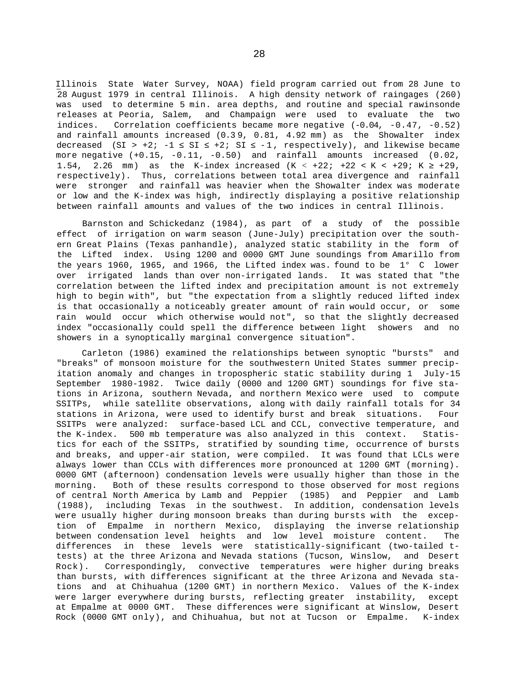Illinois State Water Survey, NOAA) field program carried out from 28 June to 28 August 1979 in central Illinois. A high density network of raingages (260) was used to determine 5 min. area depths, and routine and special rawinsonde releases at Peoria, Salem, and Champaign were used to evaluate the two indices. Correlation coefficients became more negative (-0.04, -0.47, -0.52) and rainfall amounts increased (0.3 9, 0.81, 4.92 mm) as the Showalter index decreased (SI > +2; -1 SI +2; SI -1, respectively), and likewise became more negative (+0.15, -0.11, -0.50) and rainfall amounts increased (0.02, 1.54, 2.26 mm) as the K-index increased (K < +22; +22 < K < +29; K +29, respectively). Thus, correlations between total area divergence and rainfall were stronger and rainfall was heavier when the Showalter index was moderate or low and the K-index was high, indirectly displaying a positive relationship between rainfall amounts and values of the two indices in central Illinois.

Barnston and Schickedanz (1984), as part of a study of the possible effect of irrigation on warm season (June-July) precipitation over the southern Great Plains (Texas panhandle), analyzed static stability in the form of the Lifted index. Using 1200 and 0000 GMT June soundings from Amarillo from the years 1960, 1965, and 1966, the Lifted index was. found to be 1° C lower over irrigated lands than over non-irrigated lands. It was stated that "the correlation between the lifted index and precipitation amount is not extremely high to begin with", but "the expectation from a slightly reduced lifted index is that occasionally a noticeably greater amount of rain would occur, or some rain would occur which otherwise would not", so that the slightly decreased index "occasionally could spell the difference between light showers and no showers in a synoptically marginal convergence situation".

Carleton (1986) examined the relationships between synoptic "bursts" and "breaks" of monsoon moisture for the southwestern United States summer precipitation anomaly and changes in tropospheric static stability during 1 July-15 September 1980-1982. Twice daily (0000 and 1200 GMT) soundings for five stations in Arizona, southern Nevada, and northern Mexico were used to compute SSITPs, while satellite observations, along with daily rainfall totals for 34 stations in Arizona, were used to identify burst and break situations. Four SSITPs were analyzed: surface-based LCL and CCL, convective temperature, and the K-index. 500 mb temperature was also analyzed in this context. Statistics for each of the SSITPs, stratified by sounding time, occurrence of bursts and breaks, and upper-air station, were compiled. It was found that LCLs were always lower than CCLs with differences more pronounced at 1200 GMT (morning). 0000 GMT (afternoon) condensation levels were usually higher than those in the morning. Both of these results correspond to those observed for most regions of central North America by Lamb and Peppier (1985) and Peppier and Lamb (1988), including Texas in the southwest. In addition, condensation levels were usually higher during monsoon breaks than during bursts with the exception of Empalme in northern Mexico, displaying the inverse relationship between condensation level heights and low level moisture content. The differences in these levels were statistically-significant (two-tailed ttests) at the three Arizona and Nevada stations (Tucson, Winslow, and Desert Rock). Correspondingly, convective temperatures were higher during breaks than bursts, with differences significant at the three Arizona and Nevada stations and at Chihuahua (1200 GMT) in northern Mexico. Values of the K-index were larger everywhere during bursts, reflecting greater instability, except at Empalme at 0000 GMT. These differences were significant at Winslow, Desert Rock (0000 GMT only), and Chihuahua, but not at Tucson or Empalme. K-index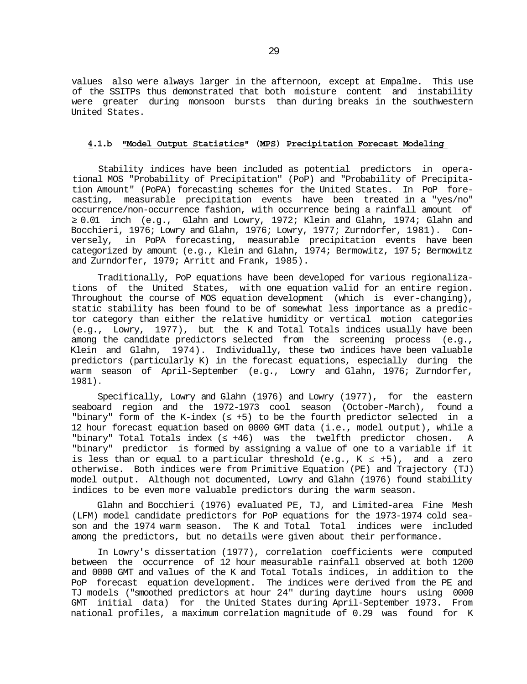values also were always larger in the afternoon, except at Empalme. This use of the SSITPs thus demonstrated that both moisture content and instability were greater during monsoon bursts than during breaks in the southwestern United States.

#### **4.1.b "Model Output Statistics" (MPS) Precipitation Forecast Modeling**

Stability indices have been included as potential predictors in operational MOS "Probability of Precipitation" (PoP) and "Probability of Precipitation Amount" (PoPA) forecasting schemes for the United States. In PoP forecasting, measurable precipitation events have been treated in a "yes/no" occurrence/non-occurrence fashion, with occurrence being a rainfall amount of 0.01 inch (e.g., Glahn and Lowry, 1972; Klein and Glahn, 1974; Glahn and

Bocchieri, 1976; Lowry and Glahn, 1976; Lowry, 1977; Zurndorfer, 1981). Conversely, in PoPA forecasting, measurable precipitation events have been categorized by amount (e.g., Klein and Glahn, 1974; Bermowitz, 197 5; Bermowitz and Zurndorfer, 1979; Arritt and Frank, 1985).

Traditionally, PoP equations have been developed for various regionalizations of the United States, with one equation valid for an entire region. Throughout the course of MOS equation development (which is ever-changing), static stability has been found to be of somewhat less importance as a predictor category than either the relative humidity or vertical motion categories (e.g., Lowry, 1977), but the K and Total Totals indices usually have been among the candidate predictors selected from the screening process (e.g., Klein and Glahn, 1974). Individually, these two indices have been valuable predictors (particularly K) in the forecast equations, especially during the warm season of April-September (e.g., Lowry and Glahn, 1976; Zurndorfer, 1981).

Specifically, Lowry and Glahn (1976) and Lowry (1977), for the eastern seaboard region and the 1972-1973 cool season (October-March), found a "binary" form of the K-index ( +5) to be the fourth predictor selected in a 12 hour forecast equation based on 0000 GMT data (i.e., model output), while a "binary" Total Totals index ( +46) was the twelfth predictor chosen. A "binary" predictor is formed by assigning a value of one to a variable if it is less than or equal to a particular threshold (e.g., K *≤* +5), and a zero otherwise. Both indices were from Primitive Equation (PE) and Trajectory (TJ) model output. Although not documented, Lowry and Glahn (1976) found stability indices to be even more valuable predictors during the warm season.

Glahn and Bocchieri (1976) evaluated PE, TJ, and Limited-area Fine Mesh (LFM) model candidate predictors for PoP equations for the 1973-1974 cold season and the 1974 warm season. The K and Total Total indices were included among the predictors, but no details were given about their performance.

In Lowry's dissertation (1977), correlation coefficients were computed between the occurrence of 12 hour measurable rainfall observed at both 1200 and 0000 GMT and values of the K and Total Totals indices, in addition to the PoP forecast equation development. The indices were derived from the PE and TJ models ("smoothed predictors at hour 24" during daytime hours using 0000 GMT initial data) for the United States during April-September 1973. From national profiles, a maximum correlation magnitude of 0.29 was found for K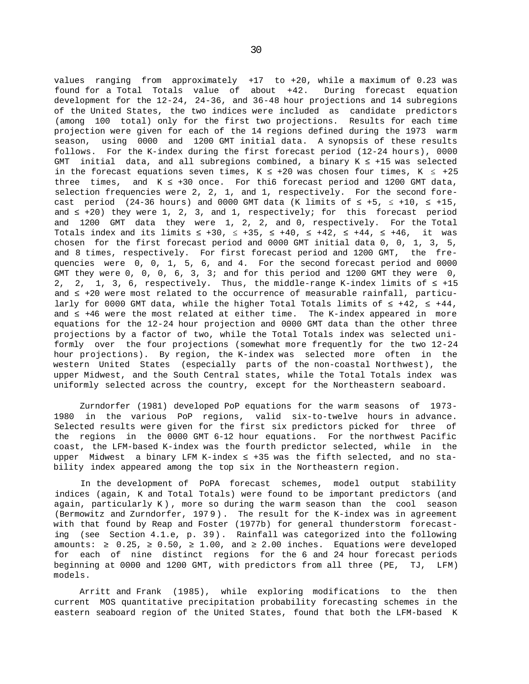values ranging from approximately +17 to +20, while a maximum of 0.23 was found for a Total Totals value of about +42. During forecast equation development for the 12-24, 24-36, and 36-48 hour projections and 14 subregions of the United States, the two indices were included as candidate predictors (among 100 total) only for the first two projections. Results for each time projection were given for each of the 14 regions defined during the 1973 warm season, using 0000 and 1200 GMT initial data. A synopsis of these results follows. For the K-index during the first forecast period (12-24 hours), 0000 GMT initial data, and all subregions combined, a binary  $K$  +15 was selected in the forecast equations seven times, K +20 was chosen four times, K +25 three times, and  $K$  +30 once. For thi6 forecast period and 1200 GMT data, selection frequencies were 2, 2, 1, and 1, respectively. For the second forecast period  $(24-36 \text{ hours})$  and 0000 GMT data (K limits of  $+5$ ,  $+10$ ,  $+15$ , and  $+20$ ) they were 1, 2, 3, and 1, respectively; for this forecast period and 1200 GMT data they were 1, 2, 2, and 0, respectively. For the Total Totals index and its limits  $+30$ ,  $+35$ ,  $+40$ ,  $+42$ ,  $+44$ ,  $+46$ , it was chosen for the first forecast period and 0000 GMT initial data 0, 0, 1, 3, 5, and 8 times, respectively. For first forecast period and 1200 GMT, the frequencies were 0, 0, 1, 5, 6, and 4. For the second forecast period and 0000 GMT they were  $0$ ,  $0$ ,  $0$ ,  $6$ ,  $3$ ,  $3$ ; and for this period and 1200 GMT they were  $0$ , 2, 2, 1, 3, 6, respectively. Thus, the middle-range K-index limits of +15 and  $+20$  were most related to the occurrence of measurable rainfall, particularly for 0000 GMT data, while the higher Total Totals limits of  $+42$ ,  $+44$ , and  $+46$  were the most related at either time. The K-index appeared in more equations for the 12-24 hour projection and 0000 GMT data than the other three projections by a factor of two, while the Total Totals index was selected uniformly over the four projections (somewhat more frequently for the two 12-24 hour projections). By region, the K-index was selected more often in the western United States (especially parts of the non-coastal Northwest), the upper Midwest, and the South Central states, while the Total Totals index was uniformly selected across the country, except for the Northeastern seaboard.

Zurndorfer (1981) developed PoP equations for the warm seasons of 1973- 1980 in the various PoP regions, valid six-to-twelve hours in advance. Selected results were given for the first six predictors picked for three of the regions in the 0000 GMT 6-12 hour equations. For the northwest Pacific coast, the LFM-based K-index was the fourth predictor selected, while in the upper Midwest a binary LFM K-index  $+35$  was the fifth selected, and no stability index appeared among the top six in the Northeastern region.

In the development of PoPA forecast schemes, model output stability indices (again, K and Total Totals) were found to be important predictors (and again, particularly K) , more so during the warm season than the cool season (Bermowitz and Zurndorfer, 197 9). The result for the K-index was in agreement with that found by Reap and Foster (1977b) for general thunderstorm forecasting (see Section 4.1.e, p. 39). Rainfall was categorized into the following amounts: 0.25, 0.50, 1.00, and 2.00 inches. Equations were developed for each of nine distinct regions for the 6 and 24 hour forecast periods beginning at 0000 and 1200 GMT, with predictors from all three (PE, TJ, LFM) models.

Arritt and Frank (1985), while exploring modifications to the then current MOS quantitative precipitation probability forecasting schemes in the eastern seaboard region of the United States, found that both the LFM-based K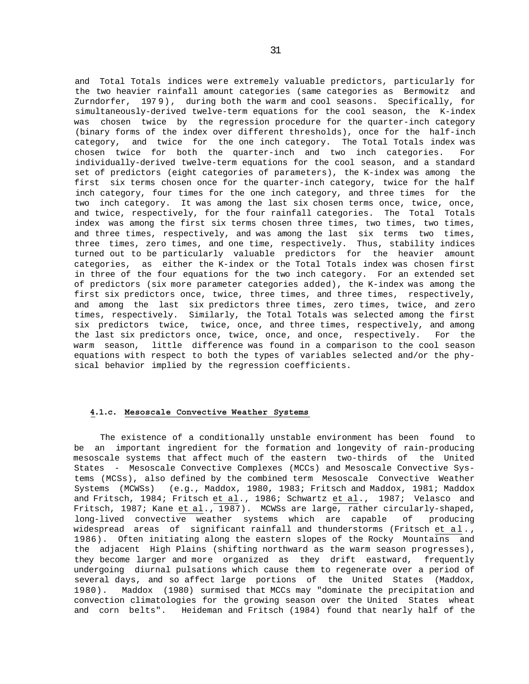and Total Totals indices were extremely valuable predictors, particularly for the two heavier rainfall amount categories (same categories as Bermowitz and Zurndorfer, 197 9), during both the warm and cool seasons. Specifically, for simultaneously-derived twelve-term equations for the cool season, the K-index was chosen twice by the regression procedure for the quarter-inch category (binary forms of the index over different thresholds), once for the half-inch category, and twice for the one inch category. The Total Totals index was chosen twice for both the quarter-inch and two inch categories. For individually-derived twelve-term equations for the cool season, and a standard set of predictors (eight categories of parameters), the K-index was among the first six terms chosen once for the quarter-inch category, twice for the half inch category, four times for the one inch category, and three times for the two inch category. It was among the last six chosen terms once, twice, once, and twice, respectively, for the four rainfall categories. The Total Totals index was among the first six terms chosen three times, two times, two times, and three times, respectively, and was among the last six terms two times, three times, zero times, and one time, respectively. Thus, stability indices turned out to be particularly valuable predictors for the heavier amount categories, as either the K-index or the Total Totals index was chosen first in three of the four equations for the two inch category. For an extended set of predictors (six more parameter categories added), the K-index was among the first six predictors once, twice, three times, and three times, respectively, and among the last six predictors three times, zero times, twice, and zero times, respectively. Similarly, the Total Totals was selected among the first six predictors twice, twice, once, and three times, respectively, and among the last six predictors once, twice, once, and once, respectively. For the warm season, little difference was found in a comparison to the cool season equations with respect to both the types of variables selected and/or the physical behavior implied by the regression coefficients.

#### **4.1.c. Mesoscale Convective Weather Systems**

The existence of a conditionally unstable environment has been found to be an important ingredient for the formation and longevity of rain-producing mesoscale systems that affect much of the eastern two-thirds of the United States - Mesoscale Convective Complexes (MCCs) and Mesoscale Convective Systems (MCSs), also defined by the combined term Mesoscale Convective Weather Systems (MCWSs) (e.g., Maddox, 1980, 1983; Fritsch and Maddox, 1981; Maddox and Fritsch, 1984; Fritsch et al., 1986; Schwartz et al., 1987; Velasco and Fritsch, 1987; Kane et al., 1987). MCWSs are large, rather circularly-shaped, long-lived convective weather systems which are capable of producing widespread areas of significant rainfall and thunderstorms (Fritsch et al. , 1986). Often initiating along the eastern slopes of the Rocky Mountains and the adjacent High Plains (shifting northward as the warm season progresses), they become larger and more organized as they drift eastward, frequently undergoing diurnal pulsations which cause them to regenerate over a period of several days, and so affect large portions of the United States (Maddox, 1980). Maddox (1980) surmised that MCCs may "dominate the precipitation and convection climatologies for the growing season over the United States wheat and corn belts". Heideman and Fritsch (1984) found that nearly half of the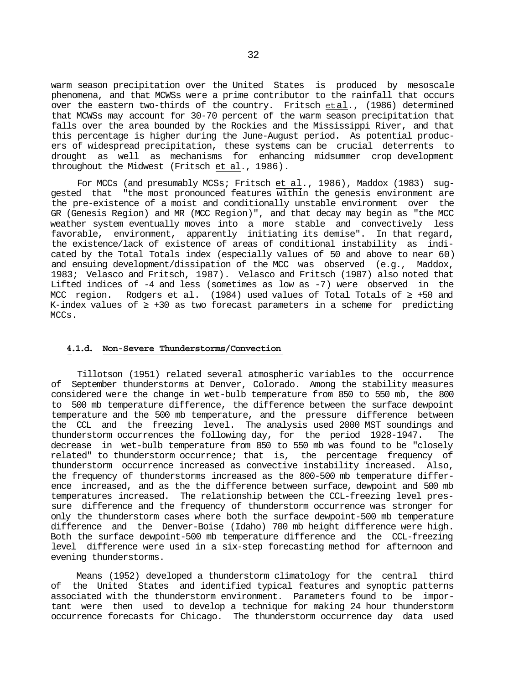warm season precipitation over the United States is produced by mesoscale phenomena, and that MCWSs were a prime contributor to the rainfall that occurs over the eastern two-thirds of the country. Fritsch et al., (1986) determined that MCWSs may account for 30-70 percent of the warm season precipitation that falls over the area bounded by the Rockies and the Mississippi River, and that this percentage is higher during the June-August period. As potential producers of widespread precipitation, these systems can be crucial deterrents to drought as well as mechanisms for enhancing midsummer crop development throughout the Midwest (Fritsch et al., 1986).

For MCCs (and presumably MCSs; Fritsch et al., 1986), Maddox (1983) suggested that "the most pronounced features within the genesis environment are the pre-existence of a moist and conditionally unstable environment over the GR (Genesis Region) and MR (MCC Region)", and that decay may begin as "the MCC weather system eventually moves into a more stable and convectively less favorable, environment, apparently initiating its demise". In that regard, the existence/lack of existence of areas of conditional instability as indicated by the Total Totals index (especially values of 50 and above to near 60) and ensuing development/dissipation of the MCC was observed (e.g., Maddox, 1983; Velasco and Fritsch, 1987). Velasco and Fritsch (1987) also noted that Lifted indices of -4 and less (sometimes as low as -7) were observed in the MCC region. Rodgers et al. (1984) used values of Total Totals of +50 and K-index values of  $+30$  as two forecast parameters in a scheme for predicting MCCs.

#### **4.1.d. Non-Severe Thunderstorms/Convection**

Tillotson (1951) related several atmospheric variables to the occurrence of September thunderstorms at Denver, Colorado. Among the stability measures considered were the change in wet-bulb temperature from 850 to 550 mb, the 800 to 500 mb temperature difference, the difference between the surface dewpoint temperature and the 500 mb temperature, and the pressure difference between the CCL and the freezing level. The analysis used 2000 MST soundings and thunderstorm occurrences the following day, for the period 1928-1947. The decrease in wet-bulb temperature from 850 to 550 mb was found to be "closely related" to thunderstorm occurrence; that is, the percentage frequency of thunderstorm occurrence increased as convective instability increased. Also, the frequency of thunderstorms increased as the 800-500 mb temperature difference increased, and as the the difference between surface, dewpoint and 500 mb temperatures increased. The relationship between the CCL-freezing level pressure difference and the frequency of thunderstorm occurrence was stronger for only the thunderstorm cases where both the surface dewpoint-500 mb temperature difference and the Denver-Boise (Idaho) 700 mb height difference were high. Both the surface dewpoint-500 mb temperature difference and the CCL-freezing level difference were used in a six-step forecasting method for afternoon and evening thunderstorms.

Means (1952) developed a thunderstorm climatology for the central third of the United States and identified typical features and synoptic patterns associated with the thunderstorm environment. Parameters found to be important were then used to develop a technique for making 24 hour thunderstorm occurrence forecasts for Chicago. The thunderstorm occurrence day data used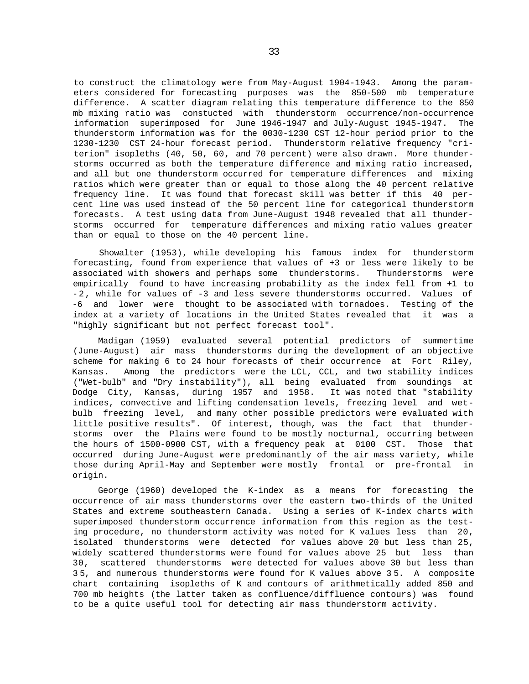to construct the climatology were from May-August 1904-1943. Among the parameters considered for forecasting purposes was the 850-500 mb temperature difference. A scatter diagram relating this temperature difference to the 850 mb mixing ratio was constucted with thunderstorm occurrence/non-occurrence information superimposed for June 1946-1947 and July-August 1945-1947. The thunderstorm information was for the 0030-1230 CST 12-hour period prior to the 1230-1230 CST 24-hour forecast period. Thunderstorm relative frequency "criterion" isopleths (40, 50, 60, and 70 percent) were also drawn. More thunderstorms occurred as both the temperature difference and mixing ratio increased, and all but one thunderstorm occurred for temperature differences and mixing ratios which were greater than or equal to those along the 40 percent relative frequency line. It was found that forecast skill was better if this 40 percent line was used instead of the 50 percent line for categorical thunderstorm forecasts. A test using data from June-August 1948 revealed that all thunderstorms occurred for temperature differences and mixing ratio values greater than or equal to those on the 40 percent line.

Showalter (1953), while developing his famous index for thunderstorm forecasting, found from experience that values of +3 or less were likely to be associated with showers and perhaps some thunderstorms. Thunderstorms were empirically found to have increasing probability as the index fell from +1 to - 2, while for values of -3 and less severe thunderstorms occurred. Values of -6 and lower were thought to be associated with tornadoes. Testing of the index at a variety of locations in the United States revealed that it was a "highly significant but not perfect forecast tool".

Madigan (1959) evaluated several potential predictors of summertime (June-August) air mass thunderstorms during the development of an objective scheme for making 6 to 24 hour forecasts of their occurrence at Fort Riley, Kansas. Among the predictors were the LCL, CCL, and two stability indices ("Wet-bulb" and "Dry instability"), all being evaluated from soundings at Dodge City, Kansas, during 1957 and 1958. It was noted that "stability indices, convective and lifting condensation levels, freezing level and wetbulb freezing level, and many other possible predictors were evaluated with little positive results". Of interest, though, was the fact that thunderstorms over the Plains were found to be mostly nocturnal, occurring between the hours of 1500-0900 CST, with a frequency peak at 0100 CST. Those that occurred during June-August were predominantly of the air mass variety, while those during April-May and September were mostly frontal or pre-frontal in origin.

George (1960) developed the K-index as a means for forecasting the occurrence of air mass thunderstorms over the eastern two-thirds of the United States and extreme southeastern Canada. Using a series of K-index charts with superimposed thunderstorm occurrence information from this region as the testing procedure, no thunderstorm activity was noted for K values less than 20, isolated thunderstorms were detected for values above 20 but less than 25, widely scattered thunderstorms were found for values above 25 but less than 30, scattered thunderstorms were detected for values above 30 but less than 3 5, and numerous thunderstorms were found for K values above 3 5. A composite chart containing isopleths of K and contours of arithmetically added 850 and 700 mb heights (the latter taken as confluence/diffluence contours) was found to be a quite useful tool for detecting air mass thunderstorm activity.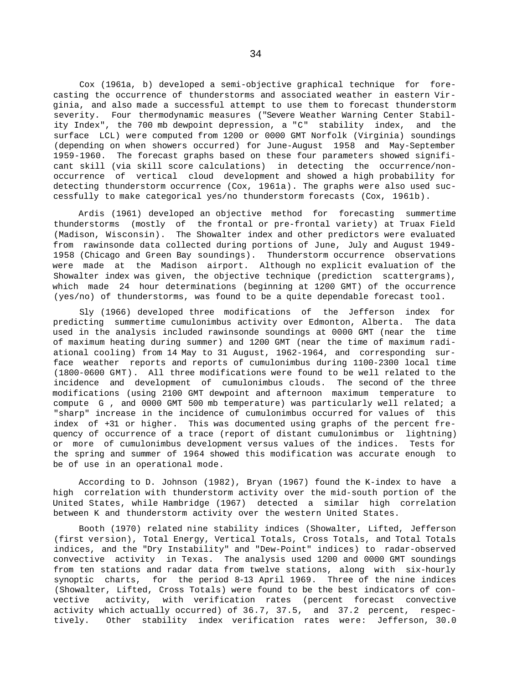Cox (1961a, b) developed a semi-objective graphical technique for forecasting the occurrence of thunderstorms and associated weather in eastern Virginia, and also made a successful attempt to use them to forecast thunderstorm severity. Four thermodynamic measures ("Severe Weather Warning Center Stability Index", the 700 mb dewpoint depression, a "C" stability index, and the surface LCL) were computed from 1200 or 0000 GMT Norfolk (Virginia) soundings (depending on when showers occurred) for June-August 1958 and May-September 1959-1960. The forecast graphs based on these four parameters showed significant skill (via skill score calculations) in detecting the occurrence/nonoccurrence of vertical cloud development and showed a high probability for detecting thunderstorm occurrence (Cox, 1961a). The graphs were also used successfully to make categorical yes/no thunderstorm forecasts (Cox, 1961b).

Ardis (1961) developed an objective method for forecasting summertime thunderstorms (mostly of the frontal or pre-frontal variety) at Truax Field (Madison, Wisconsin). The Showalter index and other predictors were evaluated from rawinsonde data collected during portions of June, July and August 1949- 1958 (Chicago and Green Bay soundings). Thunderstorm occurrence observations were made at the Madison airport. Although no explicit evaluation of the Showalter index was given, the objective technique (prediction scattergrams), which made 24 hour determinations (beginning at 1200 GMT) of the occurrence (yes/no) of thunderstorms, was found to be a quite dependable forecast tool.

Sly (1966) developed three modifications of the Jefferson index for predicting summertime cumulonimbus activity over Edmonton, Alberta. The data used in the analysis included rawinsonde soundings at 0000 GMT (near the time of maximum heating during summer) and 1200 GMT (near the time of maximum radiational cooling) from 14 May to 31 August, 1962-1964, and corresponding surface weather reports and reports of cumulonimbus during 1100-2300 local time (1800-0600 GMT). All three modifications were found to be well related to the incidence and development of cumulonimbus clouds. The second of the three modifications (using 2100 GMT dewpoint and afternoon maximum temperature to compute G , and 0000 GMT 500 mb temperature) was particularly well related; a "sharp" increase in the incidence of cumulonimbus occurred for values of this index of +31 or higher. This was documented using graphs of the percent frequency of occurrence of a trace (report of distant cumulonimbus or lightning) or more of cumulonimbus development versus values of the indices. Tests for the spring and summer of 1964 showed this modification was accurate enough to be of use in an operational mode.

According to D. Johnson (1982), Bryan (1967) found the K-index to have a high correlation with thunderstorm activity over the mid-south portion of the United States, while Hambridge (1967) detected a similar high correlation between K and thunderstorm activity over the western United States.

Booth (1970) related nine stability indices (Showalter, Lifted, Jefferson (first version), Total Energy, Vertical Totals, Cross Totals, and Total Totals indices, and the "Dry Instability" and "Dew-Point" indices) to radar-observed convective activity in Texas. The analysis used 1200 and 0000 GMT soundings from ten stations and radar data from twelve stations, along with six-hourly synoptic charts, for the period 8-13 April 1969. Three of the nine indices (Showalter, Lifted, Cross Totals) were found to be the best indicators of convective activity, with verification rates (percent forecast convective activity which actually occurred) of 36.7, 37.5, and 37.2 percent, respectively. Other stability index verification rates were: Jefferson, 30.0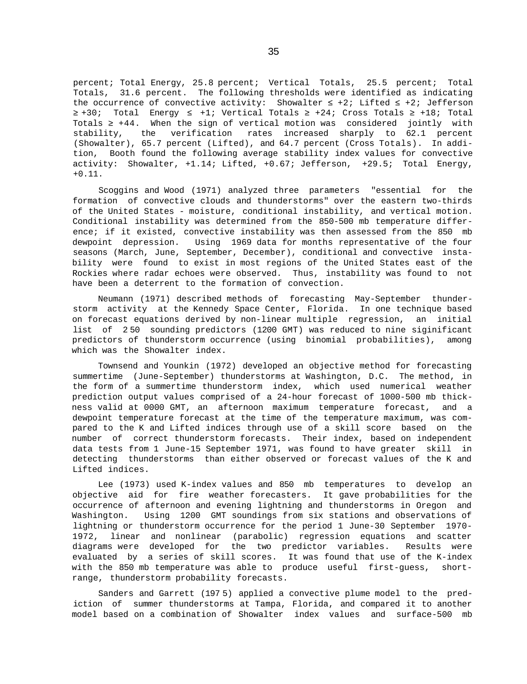percent; Total Energy, 25.8 percent; Vertical Totals, 25.5 percent; Total Totals, 31.6 percent. The following thresholds were identified as indicating the occurrence of convective activity: Showalter  $+2$ ; Lifted  $+2$ ; Jefferson +30; Total Energy +1; Vertical Totals +24; Cross Totals +18; Total Totals +44. When the sign of vertical motion was considered jointly with stability, the verification rates increased sharply to 62.1 percent (Showalter), 65.7 percent (Lifted), and 64.7 percent (Cross Totals). In addition, Booth found the following average stability index values for convective activity: Showalter, +1.14; Lifted, +0.67; Jefferson, +29.5; Total Energy, +0.11.

Scoggins and Wood (1971) analyzed three parameters "essential for the formation of convective clouds and thunderstorms" over the eastern two-thirds of the United States - moisture, conditional instability, and vertical motion. Conditional instability was determined from the 850-500 mb temperature difference; if it existed, convective instability was then assessed from the 850 mb dewpoint depression. Using 1969 data for months representative of the four seasons (March, June, September, December), conditional and convective instability were found to exist in most regions of the United States east of the Rockies where radar echoes were observed. Thus, instability was found to not have been a deterrent to the formation of convection.

Neumann (1971) described methods of forecasting May-September thunderstorm activity at the Kennedy Space Center, Florida. In one technique based on forecast equations derived by non-linear multiple regression, an initial list of 2 50 sounding predictors (1200 GMT) was reduced to nine siginificant predictors of thunderstorm occurrence (using binomial probabilities), among which was the Showalter index.

Townsend and Younkin (1972) developed an objective method for forecasting summertime (June-September) thunderstorms at Washington, D.C. The method, in the form of a summertime thunderstorm index, which used numerical weather prediction output values comprised of a 24-hour forecast of 1000-500 mb thickness valid at 0000 GMT, an afternoon maximum temperature forecast, and a dewpoint temperature forecast at the time of the temperature maximum, was compared to the K and Lifted indices through use of a skill score based on the number of correct thunderstorm forecasts. Their index, based on independent data tests from 1 June-15 September 1971, was found to have greater skill in detecting thunderstorms than either observed or forecast values of the K and Lifted indices.

Lee (1973) used K-index values and 850 mb temperatures to develop an objective aid for fire weather forecasters. It gave probabilities for the occurrence of afternoon and evening lightning and thunderstorms in Oregon and Washington. Using 1200 GMT soundings from six stations and observations of lightning or thunderstorm occurrence for the period 1 June-30 September 1970- 1972, linear and nonlinear (parabolic) regression equations and scatter diagrams were developed for the two predictor variables. Results were evaluated by a series of skill scores. It was found that use of the K-index with the 850 mb temperature was able to produce useful first-guess, shortrange, thunderstorm probability forecasts.

Sanders and Garrett (197 5) applied a convective plume model to the prediction of summer thunderstorms at Tampa, Florida, and compared it to another model based on a combination of Showalter index values and surface-500 mb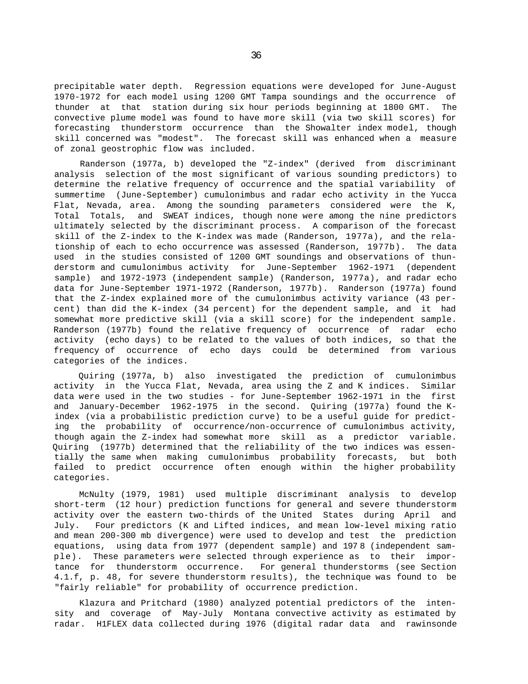precipitable water depth. Regression equations were developed for June-August 1970-1972 for each model using 1200 GMT Tampa soundings and the occurrence of thunder at that station during six hour periods beginning at 1800 GMT. The convective plume model was found to have more skill (via two skill scores) for forecasting thunderstorm occurrence than the Showalter index model, though skill concerned was "modest". The forecast skill was enhanced when a measure of zonal geostrophic flow was included.

Randerson (1977a, b) developed the "Z-index" (derived from discriminant analysis selection of the most significant of various sounding predictors) to determine the relative frequency of occurrence and the spatial variability of summertime (June-September) cumulonimbus and radar echo activity in the Yucca Flat, Nevada, area. Among the sounding parameters considered were the K, Total Totals, and SWEAT indices, though none were among the nine predictors ultimately selected by the discriminant process. A comparison of the forecast skill of the Z-index to the K-index was made (Randerson, 1977a), and the relationship of each to echo occurrence was assessed (Randerson, 1977b). The data used in the studies consisted of 1200 GMT soundings and observations of thunderstorm and cumulonimbus activity for June-September 1962-1971 (dependent sample) and 1972-1973 (independent sample) (Randerson, 1977a), and radar echo data for June-September 1971-1972 (Randerson, 1977b). Randerson (1977a) found that the Z-index explained more of the cumulonimbus activity variance (43 percent) than did the K-index (34 percent) for the dependent sample, and it had somewhat more predictive skill (via a skill score) for the independent sample. Randerson (1977b) found the relative frequency of occurrence of radar echo activity (echo days) to be related to the values of both indices, so that the frequency of occurrence of echo days could be determined from various categories of the indices.

Quiring (1977a, b) also investigated the prediction of cumulonimbus activity in the Yucca Flat, Nevada, area using the Z and K indices. Similar data were used in the two studies - for June-September 1962-1971 in the first and January-December 1962-1975 in the second. Quiring (1977a) found the Kindex (via a probabilistic prediction curve) to be a useful guide for predicting the probability of occurrence/non-occurrence of cumulonimbus activity, though again the Z-index had somewhat more skill as a predictor variable. Quiring (1977b) determined that the reliability of the two indices was essentially the same when making cumulonimbus probability forecasts, but both failed to predict occurrence often enough within the higher probability categories.

McNulty (1979, 1981) used multiple discriminant analysis to develop short-term (12 hour) prediction functions for general and severe thunderstorm activity over the eastern two-thirds of the United States during April and July. Four predictors (K and Lifted indices, and mean low-level mixing ratio and mean 200-300 mb divergence) were used to develop and test the prediction equations, using data from 1977 (dependent sample) and 197 8 (independent sample). These parameters were selected through experience as to their importance for thunderstorm occurrence. For general thunderstorms (see Section 4.1.f, p. 48, for severe thunderstorm results), the technique was found to be "fairly reliable" for probability of occurrence prediction.

Klazura and Pritchard (1980) analyzed potential predictors of the intensity and coverage of May-July Montana convective activity as estimated by radar. H1FLEX data collected during 1976 (digital radar data and rawinsonde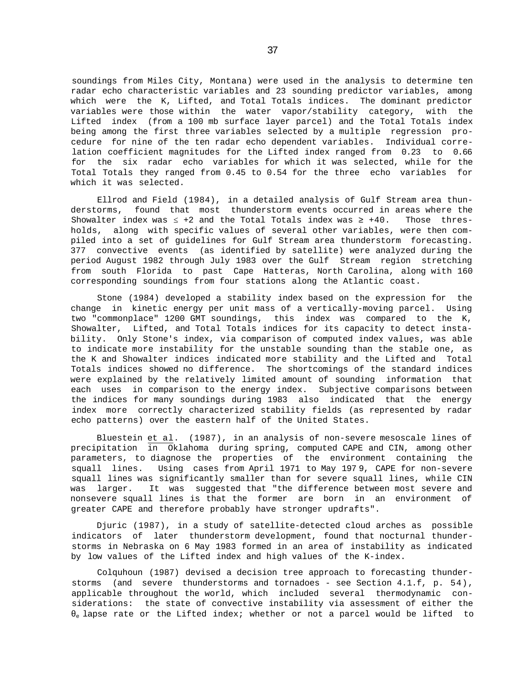soundings from Miles City, Montana) were used in the analysis to determine ten radar echo characteristic variables and 23 sounding predictor variables, among which were the K, Lifted, and Total Totals indices. The dominant predictor variables were those within the water vapor/stability category, with the Lifted index (from a 100 mb surface layer parcel) and the Total Totals index being among the first three variables selected by a multiple regression procedure for nine of the ten radar echo dependent variables. Individual correlation coefficient magnitudes for the Lifted index ranged from 0.23 to 0.66 for the six radar echo variables for which it was selected, while for the Total Totals they ranged from 0.45 to 0.54 for the three echo variables for which it was selected.

Ellrod and Field (1984), in a detailed analysis of Gulf Stream area thunderstorms, found that most thunderstorm events occurred in areas where the Showalter index was  $+2$  and the Total Totals index was  $+40$ . Those thresholds, along with specific values of several other variables, were then compiled into a set of guidelines for Gulf Stream area thunderstorm forecasting. 377 convective events (as identified by satellite) were analyzed during the period August 1982 through July 1983 over the Gulf Stream region stretching from south Florida to past Cape Hatteras, North Carolina, along with 160 corresponding soundings from four stations along the Atlantic coast.

Stone (1984) developed a stability index based on the expression for the change in kinetic energy per unit mass of a vertically-moving parcel. Using two "commonplace" 1200 GMT soundings, this index was compared to the K, Showalter, Lifted, and Total Totals indices for its capacity to detect instability. Only Stone's index, via comparison of computed index values, was able to indicate more instability for the unstable sounding than the stable one, as the K and Showalter indices indicated more stability and the Lifted and Total Totals indices showed no difference. The shortcomings of the standard indices were explained by the relatively limited amount of sounding information that each uses in comparison to the energy index. Subjective comparisons between the indices for many soundings during 1983 also indicated that the energy index more correctly characterized stability fields (as represented by radar echo patterns) over the eastern half of the United States.

Bluestein  $et a1.$  (1987), in an analysis of non-severe mesoscale lines of precipitation in Oklahoma during spring, computed CAPE and CIN, among other parameters, to diagnose the properties of the environment containing the squall lines. Using cases from April 1971 to May 197 9, CAPE for non-severe squall lines was significantly smaller than for severe squall lines, while CIN was larger. It was suggested that "the difference between most severe and nonsevere squall lines is that the former are born in an environment of greater CAPE and therefore probably have stronger updrafts".

Djuric (1987), in a study of satellite-detected cloud arches as possible indicators of later thunderstorm development, found that nocturnal thunderstorms in Nebraska on 6 May 1983 formed in an area of instability as indicated by low values of the Lifted index and high values of the K-index.

Colquhoun (1987) devised a decision tree approach to forecasting thunderstorms (and severe thunderstorms and tornadoes - see Section 4.1.f, p. 54), applicable throughout the world, which included several thermodynamic considerations: the state of convective instability via assessment of either the e lapse rate or the Lifted index; whether or not a parcel would be lifted to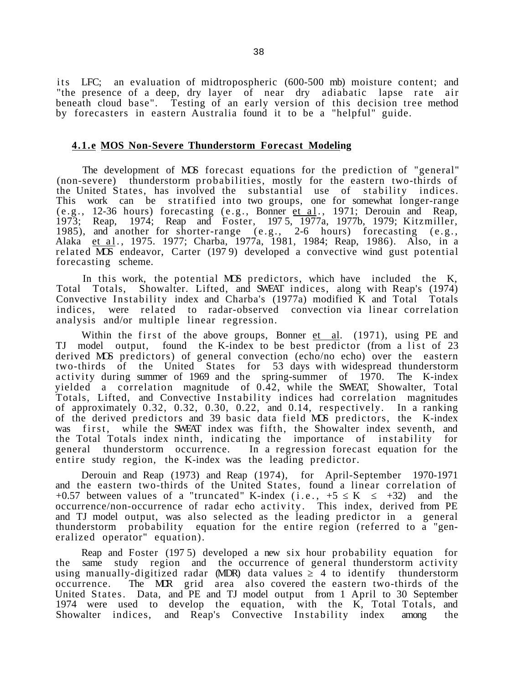i ts LFC; an evaluation of midtropospheric (600-500 mb) moisture content; and "the presence of a deep, dry layer of near dry adiabatic lapse rate air beneath cloud base". Testing of an early version of this decision tree method by forecasters in eastern Australia found it to be a "helpful" guide.

# **4.1.e MOS Non-Severe Thunderstorm Forecast Modeling**

The development of MOS forecast equations for the prediction of "general" (non-severe) thunderstorm probabilities, mostly for the eastern two-thirds of the United States, has involved the substantial use of stability indices. This work can be stratified into two groups, one for somewhat longer-range (e.g., 12-36 hours) forecasting (e.g., Bonner et al., 1971; Derouin and Reap, 1973; Reap, 1974; Reap and Foster, 197 5, 1977a, 1977b, 1979; Kitzmiller, 1985), and another for shorter-range  $(e.g., 2-6$  hours) forecasting  $(e.g.,$ Alaka et al., 1975. 1977; Charba, 1977a, 1981, 1984; Reap, 1986). Also, in a related MOS endeavor, Carter (197 9) developed a convective wind gust potential forecasting scheme.

In this work, the potential MOS predictors, which have included the K, Total Totals, Showalter. Lifted, and SWEAT indices, along with Reap's (1974) Convective Instability index and Charba's (1977a) modified K and Total Totals indices, were related to radar-observed convection via linear correlation analysis and/or multiple linear regression.

Within the first of the above groups, Bonner  $et$  al. (1971), using PE and TJ model output, found the K-index to be best predictor (from a list of 23 derived MOS predictors) of general convection (echo/no echo) over the eastern two-thirds of the United States for 53 days with widespread thunderstorm activity during summer of 1969 and the spring-summer of 1970. The K-index yielded a correlation magnitude of 0.42, while the SWEAT, Showalter, Total Totals, Lifted, and Convective Instability indices had correlation magnitudes of approximately 0.32, 0.32, 0.30, 0.22, and 0.14, respectively. In a ranking of the derived predictors and 39 basic data field MOS predictors, the K-index was first, while the SWEAT index was fifth, the Showalter index seventh, and the Total Totals index ninth, indicating the importance of instability for general thunderstorm occurrence. In a regression forecast equation for the entire study region, the K-index was the leading predictor.

Derouin and Reap (1973) and Reap (1974), for April-September 1970-1971 and the eastern two-thirds of the United States, found a linear correlation of +0.57 between values of a "truncated" K-index  $(i.e., +5 K +32)$  and the occurrence/non-occurrence of radar echo activity. This index, derived from PE and TJ model output, was also selected as the leading predictor in a general thunderstorm probability equation for the entire region (referred to a "generalized operator" equation).

Reap and Foster (197 5) developed a new six hour probability equation for the same study region and the occurrence of general thunderstorm activity using manually-digitized radar (MDR) data values 4 to identify thunderstorm occurrence. The MR grid area also covered the eastern two-thirds of the United States. Data, and PE and TJ model output from 1 April to 30 September 1974 were used to develop the equation, with the K, Total Totals, and Showalter indices, and Reap's Convective Instability index among the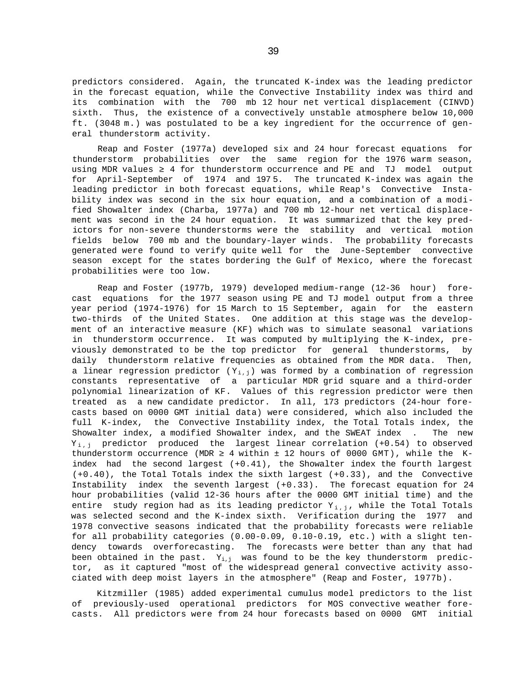predictors considered. Again, the truncated K-index was the leading predictor in the forecast equation, while the Convective Instability index was third and its combination with the 700 mb 12 hour net vertical displacement (CINVD) sixth. Thus, the existence of a convectively unstable atmosphere below 10,000 ft. (3048 m.) was postulated to be a key ingredient for the occurrence of general thunderstorm activity.

Reap and Foster (1977a) developed six and 24 hour forecast equations for thunderstorm probabilities over the same region for the 1976 warm season, using MDR values 4 for thunderstorm occurrence and PE and TJ model output for April-September of 1974 and 197 5. The truncated K-index was again the leading predictor in both forecast equations, while Reap's Convective Instability index was second in the six hour equation, and a combination of a modified Showalter index (Charba, 1977a) and 700 mb 12-hour net vertical displacement was second in the 24 hour equation. It was summarized that the key predictors for non-severe thunderstorms were the stability and vertical motion fields below 700 mb and the boundary-layer winds. The probability forecasts generated were found to verify quite well for the June-September convective season except for the states bordering the Gulf of Mexico, where the forecast probabilities were too low.

Reap and Foster (1977b, 1979) developed medium-range (12-36 hour) forecast equations for the 1977 season using PE and TJ model output from a three year period (1974-1976) for 15 March to 15 September, again for the eastern two-thirds of the United States. One addition at this stage was the development of an interactive measure (KF) which was to simulate seasonal variations in thunderstorm occurrence. It was computed by multiplying the K-index, previously demonstrated to be the top predictor for general thunderstorms, by daily thunderstorm relative frequencies as obtained from the MDR data. Then, a linear regression predictor  $(Y_{i,j})$  was formed by a combination of regression constants representative of a particular MDR grid square and a third-order polynomial linearization of KF. Values of this regression predictor were then treated as a new candidate predictor. In all, 173 predictors (24-hour forecasts based on 0000 GMT initial data) were considered, which also included the full K-index, the Convective Instability index, the Total Totals index, the Showalter index, a modified Showalter index, and the SWEAT index . The new  $Y_{i,j}$  predictor produced the largest linear correlation (+0.54) to observed thunderstorm occurrence (MDR  $\,$  4 within  $\pm$  12 hours of 0000 GMT), while the Kindex had the second largest (+0.41), the Showalter index the fourth largest (+0.40), the Total Totals index the sixth largest (+0.33), and the Convective Instability index the seventh largest (+0.33). The forecast equation for 24 hour probabilities (valid 12-36 hours after the 0000 GMT initial time) and the entire study region had as its leading predictor  $Y_{i,j}$ , while the Total Totals was selected second and the K-index sixth. Verification during the 1977 and 1978 convective seasons indicated that the probability forecasts were reliable for all probability categories (0.00-0.09, 0.10-0.19, etc.) with a slight tendency towards overforecasting. The forecasts were better than any that had been obtained in the past.  $Y_{i,j}$  was found to be the key thunderstorm predictor, as it captured "most of the widespread general convective activity associated with deep moist layers in the atmosphere" (Reap and Foster, 1977b).

Kitzmiller (1985) added experimental cumulus model predictors to the list of previously-used operational predictors for MOS convective weather forecasts. All predictors were from 24 hour forecasts based on 0000 GMT initial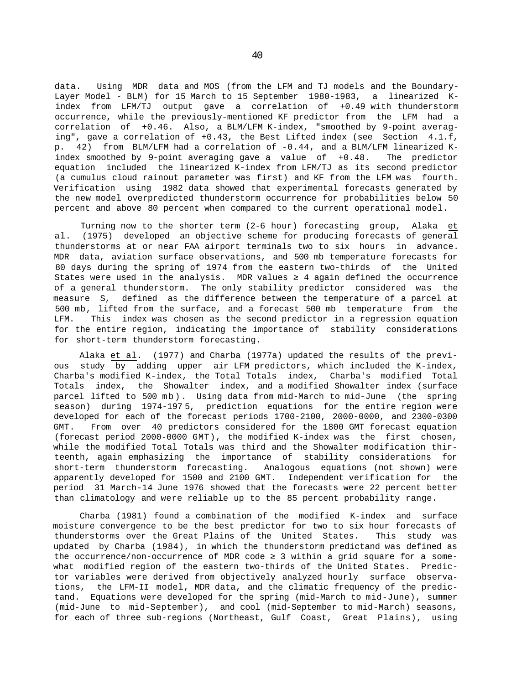data. Using MDR data and MOS (from the LFM and TJ models and the Boundary-Layer Model - BLM) for 15 March to 15 September 1980-1983, a linearized Kindex from LFM/TJ output gave a correlation of +0.49 with thunderstorm occurrence, while the previously-mentioned KF predictor from the LFM had a correlation of +0.46. Also, a BLM/LFM K-index, "smoothed by 9-point averaging", gave a correlation of +0.43, the Best Lifted index (see Section 4.1.f, p. 42) from BLM/LFM had a correlation of -0.44, and a BLM/LFM linearized Kindex smoothed by 9-point averaging gave a value of +0.48. The predictor equation included the linearized K-index from LFM/TJ as its second predictor (a cumulus cloud rainout parameter was first) and KF from the LFM was fourth. Verification using 1982 data showed that experimental forecasts generated by the new model overpredicted thunderstorm occurrence for probabilities below 50 percent and above 80 percent when compared to the current operational model.

Turning now to the shorter term (2-6 hour) forecasting group, Alaka et al. (1975) developed an objective scheme for producing forecasts of general thunderstorms at or near FAA airport terminals two to six hours in advance. MDR data, aviation surface observations, and 500 mb temperature forecasts for 80 days during the spring of 1974 from the eastern two-thirds of the United States were used in the analysis. MDR values  $\,$  4 again defined the occurrence of a general thunderstorm. The only stability predictor considered was the measure S, defined as the difference between the temperature of a parcel at 500 mb, lifted from the surface, and a forecast 500 mb temperature from the LFM. This index was chosen as the second predictor in a regression equation for the entire region, indicating the importance of stability considerations for short-term thunderstorm forecasting.

Alaka et al. (1977) and Charba (1977a) updated the results of the previous study by adding upper air LFM predictors, which included the K-index, Charba's modified K-index, the Total Totals index, Charba's modified Total Totals index, the Showalter index, and a modified Showalter index (surface parcel lifted to 500 mb). Using data from mid-March to mid-June (the spring season) during 1974-197 5, prediction equations for the entire region were developed for each of the forecast periods 1700-2100, 2000-0000, and 2300-0300 GMT. From over 40 predictors considered for the 1800 GMT forecast equation (forecast period 2000-0000 GMT), the modified K-index was the first chosen, while the modified Total Totals was third and the Showalter modification thirteenth, again emphasizing the importance of stability considerations for short-term thunderstorm forecasting. Analogous equations (not shown) were apparently developed for 1500 and 2100 GMT. Independent verification for the period 31 March-14 June 1976 showed that the forecasts were 22 percent better than climatology and were reliable up to the 85 percent probability range.

Charba (1981) found a combination of the modified K-index and surface moisture convergence to be the best predictor for two to six hour forecasts of thunderstorms over the Great Plains of the United States. This study was updated by Charba (1984), in which the thunderstorm predictand was defined as the occurrence/non-occurrence of MDR code 3 within a grid square for a somewhat modified region of the eastern two-thirds of the United States. Predictor variables were derived from objectively analyzed hourly surface observations, the LFM-II model, MDR data, and the climatic frequency of the predictand. Equations were developed for the spring (mid-March to mid-June), summer (mid-June to mid-September), and cool (mid-September to mid-March) seasons, for each of three sub-regions (Northeast, Gulf Coast, Great Plains), using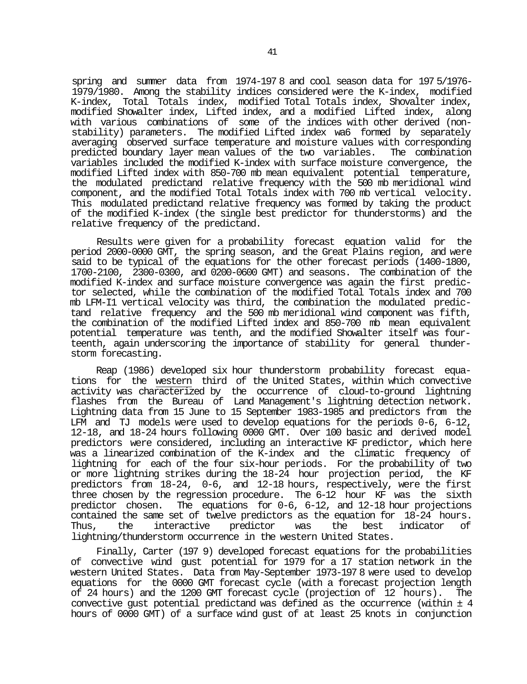spring and summer data from 1974-197 8 and cool season data for 197 5/1976- 1979/1980. Among the stability indices considered were the K-index, modified K-index, Total Totals index, modified Total Totals index, Shovalter index, modified Showalter index, Lifted index, and a modified Lifted index, along with various combinations of some of the indices with other derived (nonstability) parameters. The modified Lifted index wa6 formed by separately averaging observed surface temperature and moisture values with corresponding predicted boundary layer mean values of the two variables. The combination variables included the modified K-index with surface moisture convergence, the modified Lifted index with 850-700 mb mean equivalent potential temperature, the modulated predictand relative frequency with the 500 mb meridional wind component, and the modified Total Totals index with 700 mb vertical velocity. This modulated predictand relative frequency was formed by taking the product of the modified K-index (the single best predictor for thunderstorms) and the relative frequency of the predictand.

Results were given for a probability forecast equation valid for the period 2000-0000 GMT, the spring season, and the Great Plains region, and were said to be typical of the equations for the other forecast periods (1400-1800, 1700-2100, 2300-0300, and 0200-0600 GMT) and seasons. The combination of the modified K-index and surface moisture convergence was again the first predictor selected, while the combination of the modified Total Totals index and 700 mb LFM-I1 vertical velocity was third, the combination the modulated predictand relative frequency and the 500 mb meridional wind component was fifth, the combination of the modified Lifted index and 850-700 mb mean equivalent potential temperature was tenth, and the modified Showalter itself was fourteenth, again underscoring the importance of stability for general thunderstorm forecasting.

Reap (1986) developed six hour thunderstorm probability forecast equations for the western third of the United States, within which convective activity was characterized by the occurrence of cloud-to-ground lightning flashes from the Bureau of Land Management's lightning detection network. Lightning data from 15 June to 15 September 1983-1985 and predictors from the LFM and TJ models were used to develop equations for the periods 0-6, 6-12, 12-18, and 18-24 hours following 0000 GMT. Over 100 basic and derived model predictors were considered, including an interactive KF predictor, which here was a linearized combination of the K-index and the climatic frequency of lightning for each of the four six-hour periods. For the probability of two or more lightning strikes during the 18-24 hour projection period, the KF predictors from 18-24, 0-6, and 12-18 hours, respectively, were the first three chosen by the regression procedure. The 6-12 hour KF was the sixth predictor chosen. The equations for 0-6, 6-12, and 12-18 hour projections contained the same set of twelve predictors as the equation for 18-24 hours. Thus, the interactive predictor was the best indicator of lightning/thunderstorm occurrence in the western United States.

Finally, Carter (197 9) developed forecast equations for the probabilities of convective wind gust potential for 1979 for a 17 station network in the western United States. Data from May-September 1973-197 8 were used to develop equations for the 0000 GMT forecast cycle (with a forecast projection length of 24 hours) and the 1200 GMT forecast cycle (projection of 12 hours). The convective gust potential predictand was defined as the occurrence (within ± 4 hours of 0000 GMT) of a surface wind gust of at least 25 knots in conjunction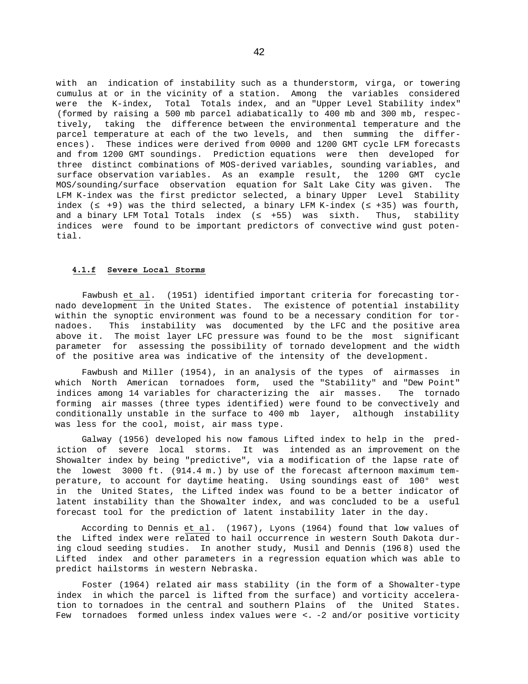with an indication of instability such as a thunderstorm, virga, or towering cumulus at or in the vicinity of a station. Among the variables considered were the K-index, Total Totals index, and an "Upper Level Stability index" (formed by raising a 500 mb parcel adiabatically to 400 mb and 300 mb, respectively, taking the difference between the environmental temperature and the parcel temperature at each of the two levels, and then summing the differences). These indices were derived from 0000 and 1200 GMT cycle LFM forecasts and from 1200 GMT soundings. Prediction equations were then developed for three distinct combinations of MOS-derived variables, sounding variables, and surface observation variables. As an example result, the 1200 GMT cycle MOS/sounding/surface observation equation for Salt Lake City was given. The LFM K-index was the first predictor selected, a binary Upper Level Stability index ( +9) was the third selected, a binary LFM K-index ( +35) was fourth, and a binary LFM Total Totals index ( +55) was sixth. Thus, stability indices were found to be important predictors of convective wind gust potential.

## **4.1.f Severe Local Storms**

Fawbush et al. (1951) identified important criteria for forecasting tornado development in the United States. The existence of potential instability within the synoptic environment was found to be a necessary condition for tornadoes. This instability was documented by the LFC and the positive area above it. The moist layer LFC pressure was found to be the most significant parameter for assessing the possibility of tornado development and the width of the positive area was indicative of the intensity of the development.

Fawbush and Miller (1954), in an analysis of the types of airmasses in which North American tornadoes form, used the "Stability" and "Dew Point" indices among 14 variables for characterizing the air masses. The tornado forming air masses (three types identified) were found to be convectively and conditionally unstable in the surface to 400 mb layer, although instability was less for the cool, moist, air mass type.

Galway (1956) developed his now famous Lifted index to help in the prediction of severe local storms. It was intended as an improvement on the Showalter index by being "predictive", via a modification of the lapse rate of the lowest 3000 ft. (914.4 m.) by use of the forecast afternoon maximum temperature, to account for daytime heating. Using soundings east of 100° west in the United States, the Lifted index was found to be a better indicator of latent instability than the Showalter index, and was concluded to be a useful forecast tool for the prediction of latent instability later in the day.

According to Dennis et al. (1967), Lyons (1964) found that low values of the Lifted index were related to hail occurrence in western South Dakota during cloud seeding studies. In another study, Musil and Dennis (196 8) used the Lifted index and other parameters in a regression equation which was able to predict hailstorms in western Nebraska.

Foster (1964) related air mass stability (in the form of a Showalter-type index in which the parcel is lifted from the surface) and vorticity acceleration to tornadoes in the central and southern Plains of the United States. Few tornadoes formed unless index values were <. -2 and/or positive vorticity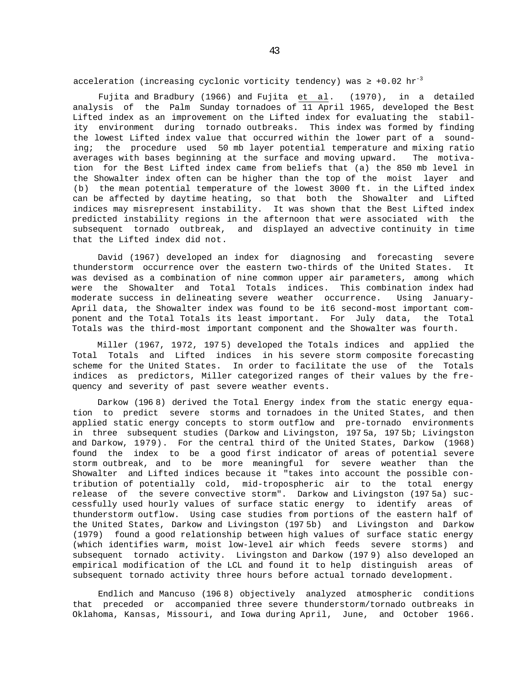acceleration (increasing cyclonic vorticity tendency) was  $+0.02 \text{ hr}^{-3}$ 

Fujita and Bradbury (1966) and Fujita et al. (1970), in a detailed analysis of the Palm Sunday tornadoes of 11 April 1965, developed the Best Lifted index as an improvement on the Lifted index for evaluating the stability environment during tornado outbreaks. This index was formed by finding the lowest Lifted index value that occurred within the lower part of a sounding; the procedure used 50 mb layer potential temperature and mixing ratio averages with bases beginning at the surface and moving upward. The motivation for the Best Lifted index came from beliefs that (a) the 850 mb level in the Showalter index often can be higher than the top of the moist layer and (b) the mean potential temperature of the lowest 3000 ft. in the Lifted index can be affected by daytime heating, so that both the Showalter and Lifted indices may misrepresent instability. It was shown that the Best Lifted index predicted instability regions in the afternoon that were associated with the subsequent tornado outbreak, and displayed an advective continuity in time that the Lifted index did not.

David (1967) developed an index for diagnosing and forecasting severe thunderstorm occurrence over the eastern two-thirds of the United States. It was devised as a combination of nine common upper air parameters, among which were the Showalter and Total Totals indices. This combination index had moderate success in delineating severe weather occurrence. Using January-April data, the Showalter index was found to be it6 second-most important component and the Total Totals its least important. For July data, the Total Totals was the third-most important component and the Showalter was fourth.

Miller (1967, 1972, 1975) developed the Totals indices and applied the Total Totals and Lifted indices in his severe storm composite forecasting scheme for the United States. In order to facilitate the use of the Totals indices as predictors, Miller categorized ranges of their values by the frequency and severity of past severe weather events.

Darkow (196 8) derived the Total Energy index from the static energy equation to predict severe storms and tornadoes in the United States, and then applied static energy concepts to storm outflow and pre-tornado environments in three subsequent studies (Darkow and Livingston, 197 5a, 197 5b; Livingston and Darkow, 1979). For the central third of the United States, Darkow (1968) found the index to be a good first indicator of areas of potential severe storm outbreak, and to be more meaningful for severe weather than the Showalter and Lifted indices because it "takes into account the possible contribution of potentially cold, mid-tropospheric air to the total energy release of the severe convective storm". Darkow and Livingston (197 5a) successfully used hourly values of surface static energy to identify areas of thunderstorm outflow. Using case studies from portions of the eastern half of the United States, Darkow and Livingston (197 5b) and Livingston and Darkow (1979) found a good relationship between high values of surface static energy (which identifies warm, moist low-level air which feeds severe storms) and subsequent tornado activity. Livingston and Darkow (197 9) also developed an empirical modification of the LCL and found it to help distinguish areas of subsequent tornado activity three hours before actual tornado development.

Endlich and Mancuso (196 8) objectively analyzed atmospheric conditions that preceded or accompanied three severe thunderstorm/tornado outbreaks in Oklahoma, Kansas, Missouri, and Iowa during April, June, and October 1966.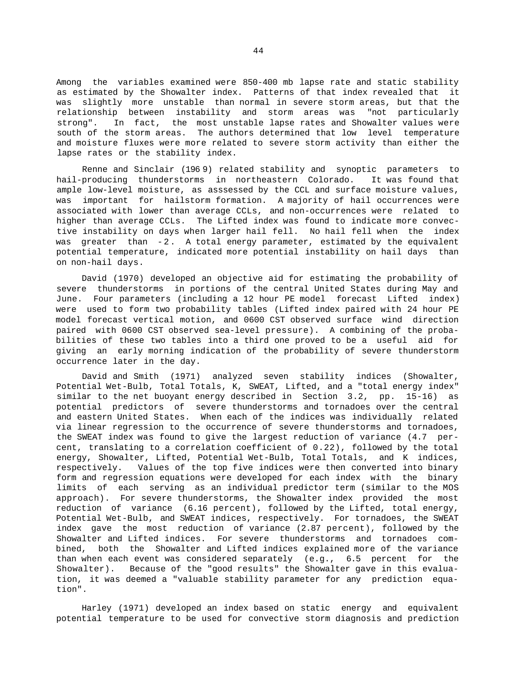Among the variables examined were 850-400 mb lapse rate and static stability as estimated by the Showalter index. Patterns of that index revealed that it was slightly more unstable than normal in severe storm areas, but that the relationship between instability and storm areas was "not particularly strong". In fact, the most unstable lapse rates and Showalter values were south of the storm areas. The authors determined that low level temperature and moisture fluxes were more related to severe storm activity than either the lapse rates or the stability index.

Renne and Sinclair (196 9) related stability and synoptic parameters to hail-producing thunderstorms in northeastern Colorado. It was found that ample low-level moisture, as asssessed by the CCL and surface moisture values, was important for hailstorm formation. A majority of hail occurrences were associated with lower than average CCLs, and non-occurrences were related to higher than average CCLs. The Lifted index was found to indicate more convective instability on days when larger hail fell. No hail fell when the index was greater than -2. A total energy parameter, estimated by the equivalent potential temperature, indicated more potential instability on hail days than on non-hail days.

David (1970) developed an objective aid for estimating the probability of severe thunderstorms in portions of the central United States during May and June. Four parameters (including a 12 hour PE model forecast Lifted index) were used to form two probability tables (Lifted index paired with 24 hour PE model forecast vertical motion, and 0600 CST observed surface wind direction paired with 0600 CST observed sea-level pressure). A combining of the probabilities of these two tables into a third one proved to be a useful aid for giving an early morning indication of the probability of severe thunderstorm occurrence later in the day.

David and Smith (1971) analyzed seven stability indices (Showalter, Potential Wet-Bulb, Total Totals, K, SWEAT, Lifted, and a "total energy index" similar to the net buoyant energy described in Section 3.2, pp. 15-16) as potential predictors of severe thunderstorms and tornadoes over the central and eastern United States. When each of the indices was individually related via linear regression to the occurrence of severe thunderstorms and tornadoes, the SWEAT index was found to give the largest reduction of variance (4.7 percent, translating to a correlation coefficient of 0.22), followed by the total energy, Showalter, Lifted, Potential Wet-Bulb, Total Totals, and K indices, respectively. Values of the top five indices were then converted into binary form and regression equations were developed for each index with the binary limits of each serving as an individual predictor term (similar to the MOS approach). For severe thunderstorms, the Showalter index provided the most reduction of variance (6.16 percent), followed by the Lifted, total energy, Potential Wet-Bulb, and SWEAT indices, respectively. For tornadoes, the SWEAT index gave the most reduction of variance (2.87 percent), followed by the Showalter and Lifted indices. For severe thunderstorms and tornadoes combined, both the Showalter and Lifted indices explained more of the variance than when each event was considered separately (e.g., 6.5 percent for the Showalter). Because of the "good results" the Showalter gave in this evaluation, it was deemed a "valuable stability parameter for any prediction equation".

Harley (1971) developed an index based on static energy and equivalent potential temperature to be used for convective storm diagnosis and prediction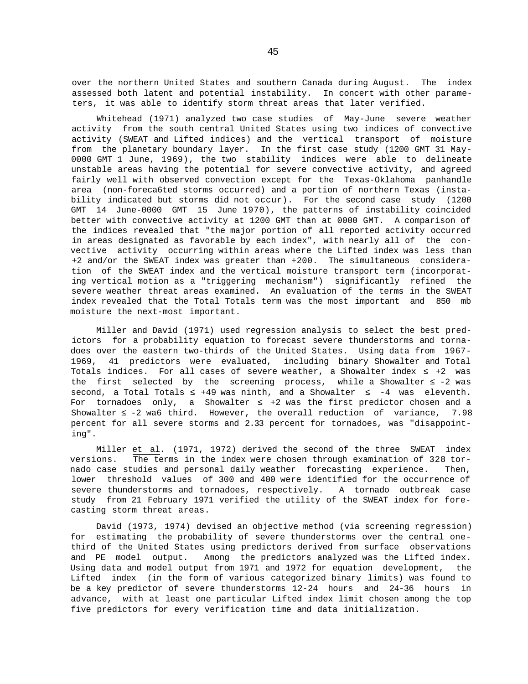over the northern United States and southern Canada during August. The index assessed both latent and potential instability. In concert with other parameters, it was able to identify storm threat areas that later verified.

Whitehead (1971) analyzed two case studies of May-June severe weather activity from the south central United States using two indices of convective activity (SWEAT and Lifted indices) and the vertical transport of moisture from the planetary boundary layer. In the first case study (1200 GMT 31 May-0000 GMT 1 June, 1969), the two stability indices were able to delineate unstable areas having the potential for severe convective activity, and agreed fairly well with observed convection except for the Texas-Oklahoma panhandle area (non-foreca6ted storms occurred) and a portion of northern Texas (instability indicated but storms did not occur). For the second case study (1200 GMT 14 June-0000 GMT 15 June 1970), the patterns of instability coincided better with convective activity at 1200 GMT than at 0000 GMT. A comparison of the indices revealed that "the major portion of all reported activity occurred in areas designated as favorable by each index", with nearly all of the convective activity occurring within areas where the Lifted index was less than +2 and/or the SWEAT index was greater than +200. The simultaneous consideration of the SWEAT index and the vertical moisture transport term (incorporating vertical motion as a "triggering mechanism") significantly refined the severe weather threat areas examined. An evaluation of the terms in the SWEAT index revealed that the Total Totals term was the most important and 850 mb moisture the next-most important.

Miller and David (1971) used regression analysis to select the best predictors for a probability equation to forecast severe thunderstorms and tornadoes over the eastern two-thirds of the United States. Using data from 1967- 1969, 41 predictors were evaluated, including binary Showalter and Total Totals indices. For all cases of severe weather, a Showalter index +2 was the first selected by the screening process, while a Showalter  $-2$  was second, a Total Totals  $+49$  was ninth, and a Showalter  $-4$  was eleventh. For tornadoes only, a Showalter +2 was the first predictor chosen and a Showalter -2 wa6 third. However, the overall reduction of variance, 7.98 percent for all severe storms and 2.33 percent for tornadoes, was "disappointing".

Miller et al. (1971, 1972) derived the second of the three SWEAT index versions. The terms in the index were chosen through examination of 328 tornado case studies and personal daily weather forecasting experience. Then, lower threshold values of 300 and 400 were identified for the occurrence of severe thunderstorms and tornadoes, respectively. A tornado outbreak case study from 21 February 1971 verified the utility of the SWEAT index for forecasting storm threat areas.

David (1973, 1974) devised an objective method (via screening regression) for estimating the probability of severe thunderstorms over the central onethird of the United States using predictors derived from surface observations and PE model output. Among the predictors analyzed was the Lifted index. Using data and model output from 1971 and 1972 for equation development, the Lifted index (in the form of various categorized binary limits) was found to be a key predictor of severe thunderstorms 12-24 hours and 24-36 hours in advance, with at least one particular Lifted index limit chosen among the top five predictors for every verification time and data initialization.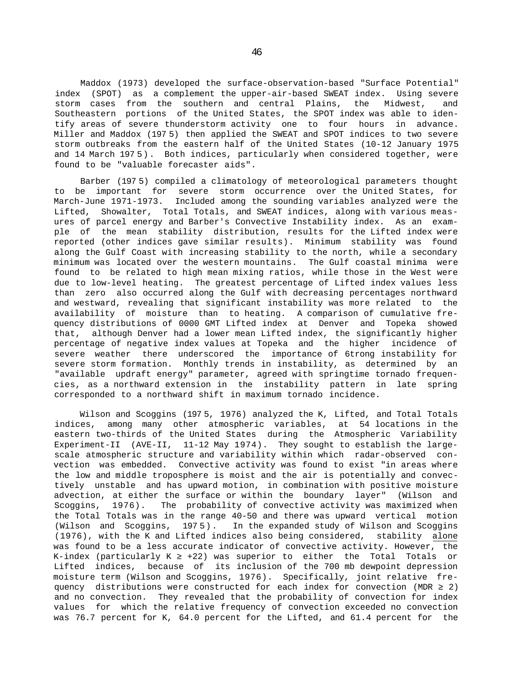Maddox (1973) developed the surface-observation-based "Surface Potential" index (SPOT) as a complement the upper-air-based SWEAT index. Using severe storm cases from the southern and central Plains, the Midwest, and Southeastern portions of the United States, the SPOT index was able to identify areas of severe thunderstorm activity one to four hours in advance. Miller and Maddox (197 5) then applied the SWEAT and SPOT indices to two severe storm outbreaks from the eastern half of the United States (10-12 January 1975 and 14 March 197 5). Both indices, particularly when considered together, were found to be "valuable forecaster aids".

Barber (197 5) compiled a climatology of meteorological parameters thought to be important for severe storm occurrence over the United States, for March-June 1971-1973. Included among the sounding variables analyzed were the Lifted, Showalter, Total Totals, and SWEAT indices, along with various measures of parcel energy and Barber's Convective Instability index. As an example of the mean stability distribution, results for the Lifted index were reported (other indices gave similar results). Minimum stability was found along the Gulf Coast with increasing stability to the north, while a secondary minimum was located over the western mountains. The Gulf coastal minima were found to be related to high mean mixing ratios, while those in the West were due to low-level heating. The greatest percentage of Lifted index values less than zero also occurred along the Gulf with decreasing percentages northward and westward, revealing that significant instability was more related to the availability of moisture than to heating. A comparison of cumulative frequency distributions of 0000 GMT Lifted index at Denver and Topeka showed that, although Denver had a lower mean Lifted index, the significantly higher percentage of negative index values at Topeka and the higher incidence of severe weather there underscored the importance of 6trong instability for severe storm formation. Monthly trends in instability, as determined by an "available updraft energy" parameter, agreed with springtime tornado frequencies, as a northward extension in the instability pattern in late spring corresponded to a northward shift in maximum tornado incidence.

Wilson and Scoggins (1975, 1976) analyzed the K, Lifted, and Total Totals indices, among many other atmospheric variables, at 54 locations in the eastern two-thirds of the United States during the Atmospheric Variability Experiment-II (AVE-II, 11-12 May 1974). They sought to establish the largescale atmospheric structure and variability within which radar-observed convection was embedded. Convective activity was found to exist "in areas where the low and middle troposphere is moist and the air is potentially and convectively unstable and has upward motion, in combination with positive moisture advection, at either the surface or within the boundary layer" (Wilson and Scoggins, 1976). The probability of convective activity was maximized when the Total Totals was in the range 40-50 and there was upward vertical motion (Wilson and Scoggins, 197 5). In the expanded study of Wilson and Scoggins (1976), with the K and Lifted indices also being considered, stability alone was found to be a less accurate indicator of convective activity. However, the K-index (particularly K  $+22$ ) was superior to either the Total Totals or Lifted indices, because of its inclusion of the 700 mb dewpoint depression moisture term (Wilson and Scoggins, 1976). Specifically, joint relative frequency distributions were constructed for each index for convection (MDR 2) and no convection. They revealed that the probability of convection for index values for which the relative frequency of convection exceeded no convection was 76.7 percent for K, 64.0 percent for the Lifted, and 61.4 percent for the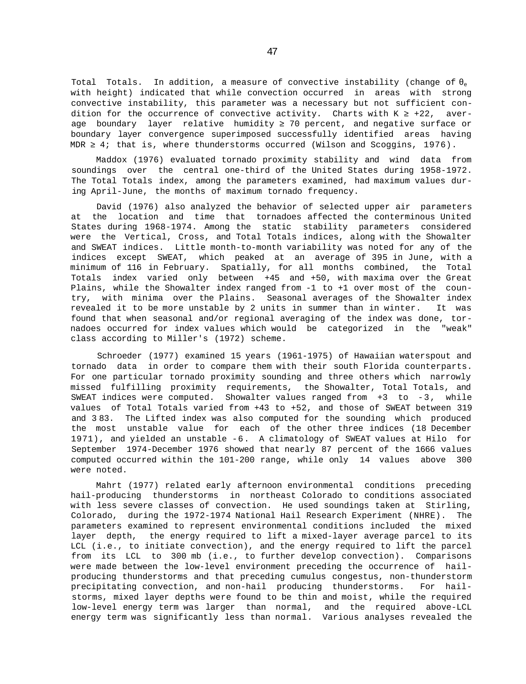Total Totals. In addition, a measure of convective instability (change of e with height) indicated that while convection occurred in areas with strong convective instability, this parameter was a necessary but not sufficient condition for the occurrence of convective activity. Charts with  $K$  +22, average boundary layer relative humidity 70 percent, and negative surface or boundary layer convergence superimposed successfully identified areas having MDR 4; that is, where thunderstorms occurred (Wilson and Scoggins, 1976).

Maddox (1976) evaluated tornado proximity stability and wind data from soundings over the central one-third of the United States during 1958-1972. The Total Totals index, among the parameters examined, had maximum values during April-June, the months of maximum tornado frequency.

David (1976) also analyzed the behavior of selected upper air parameters at the location and time that tornadoes affected the conterminous United States during 1968-1974. Among the static stability parameters considered were the Vertical, Cross, and Total Totals indices, along with the Showalter and SWEAT indices. Little month-to-month variability was noted for any of the indices except SWEAT, which peaked at an average of 395 in June, with a minimum of 116 in February. Spatially, for all months combined, the Total Totals index varied only between +45 and +50, with maxima over the Great Plains, while the Showalter index ranged from -1 to +1 over most of the country, with minima over the Plains. Seasonal averages of the Showalter index revealed it to be more unstable by 2 units in summer than in winter. It was found that when seasonal and/or regional averaging of the index was done, tornadoes occurred for index values which would be categorized in the "weak" class according to Miller's (1972) scheme.

Schroeder (1977) examined 15 years (1961-1975) of Hawaiian waterspout and tornado data in order to compare them with their south Florida counterparts. For one particular tornado proximity sounding and three others which narrowly missed fulfilling proximity requirements, the Showalter, Total Totals, and SWEAT indices were computed. Showalter values ranged from +3 to -3, while values of Total Totals varied from +43 to +52, and those of SWEAT between 319 and 3 83. The Lifted index was also computed for the sounding which produced the most unstable value for each of the other three indices (18 December 1971), and yielded an unstable -6. A climatology of SWEAT values at Hilo for September 1974-December 1976 showed that nearly 87 percent of the 1666 values computed occurred within the 101-200 range, while only 14 values above 300 were noted.

Mahrt (1977) related early afternoon environmental conditions preceding hail-producing thunderstorms in northeast Colorado to conditions associated with less severe classes of convection. He used soundings taken at Stirling, Colorado, during the 1972-1974 National Hail Research Experiment (NHRE). The parameters examined to represent environmental conditions included the mixed layer depth, the energy required to lift a mixed-layer average parcel to its LCL (i.e., to initiate convection), and the energy required to lift the parcel from its LCL to 300 mb (i.e., to further develop convection). Comparisons were made between the low-level environment preceding the occurrence of hailproducing thunderstorms and that preceding cumulus congestus, non-thunderstorm precipitating convection, and non-hail producing thunderstorms. For hailstorms, mixed layer depths were found to be thin and moist, while the required low-level energy term was larger than normal, and the required above-LCL energy term was significantly less than normal. Various analyses revealed the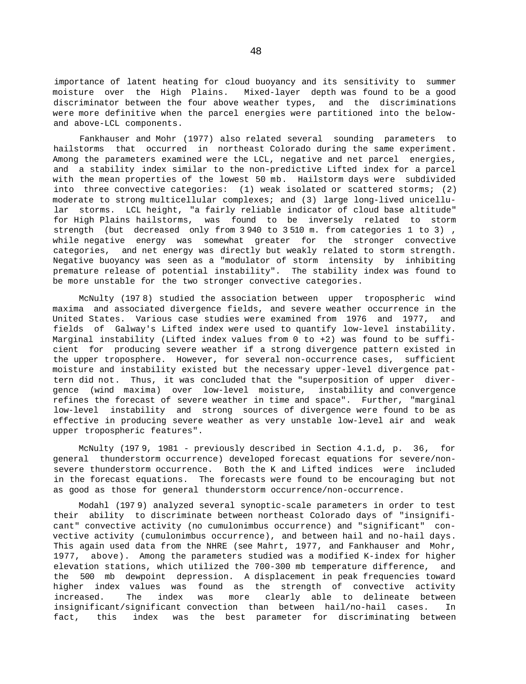importance of latent heating for cloud buoyancy and its sensitivity to summer moisture over the High Plains. Mixed-layer depth was found to be a good discriminator between the four above weather types, and the discriminations were more definitive when the parcel energies were partitioned into the belowand above-LCL components.

Fankhauser and Mohr (1977) also related several sounding parameters to hailstorms that occurred in northeast Colorado during the same experiment. Among the parameters examined were the LCL, negative and net parcel energies, and a stability index similar to the non-predictive Lifted index for a parcel with the mean properties of the lowest 50 mb. Hailstorm days were subdivided into three convective categories: (1) weak isolated or scattered storms; (2) moderate to strong multicellular complexes; and (3) large long-lived unicellular storms. LCL height, "a fairly reliable indicator of cloud base altitude" for High Plains hailstorms, was found to be inversely related to storm strength (but decreased only from 3 940 to 3 510 m. from categories 1 to 3) , while negative energy was somewhat greater for the stronger convective categories, and net energy was directly but weakly related to storm strength. Negative buoyancy was seen as a "modulator of storm intensity by inhibiting premature release of potential instability". The stability index was found to be more unstable for the two stronger convective categories.

McNulty (197 8) studied the association between upper tropospheric wind maxima and associated divergence fields, and severe weather occurrence in the United States. Various case studies were examined from 1976 and 1977, and fields of Galway's Lifted index were used to quantify low-level instability. Marginal instability (Lifted index values from 0 to +2) was found to be sufficient for producing severe weather if a strong divergence pattern existed in the upper troposphere. However, for several non-occurrence cases, sufficient moisture and instability existed but the necessary upper-level divergence pattern did not. Thus, it was concluded that the "superposition of upper divergence (wind maxima) over low-level moisture, instability and convergence refines the forecast of severe weather in time and space". Further, "marginal low-level instability and strong sources of divergence were found to be as effective in producing severe weather as very unstable low-level air and weak upper tropospheric features".

McNulty (197 9, 1981 - previously described in Section 4.1.d, p. 36, for general thunderstorm occurrence) developed forecast equations for severe/nonsevere thunderstorm occurrence. Both the K and Lifted indices were included in the forecast equations. The forecasts were found to be encouraging but not as good as those for general thunderstorm occurrence/non-occurrence.

Modahl (197 9) analyzed several synoptic-scale parameters in order to test their ability to discriminate between northeast Colorado days of "insignificant" convective activity (no cumulonimbus occurrence) and "significant" convective activity (cumulonimbus occurrence), and between hail and no-hail days. This again used data from the NHRE (see Mahrt, 1977, and Fankhauser and Mohr, 1977, above). Among the parameters studied was a modified K-index for higher elevation stations, which utilized the 700-300 mb temperature difference, and the 500 mb dewpoint depression. A displacement in peak frequencies toward higher index values was found as the strength of convective activity increased. The index was more clearly able to delineate between insignificant/significant convection than between hail/no-hail cases. In fact, this index was the best parameter for discriminating between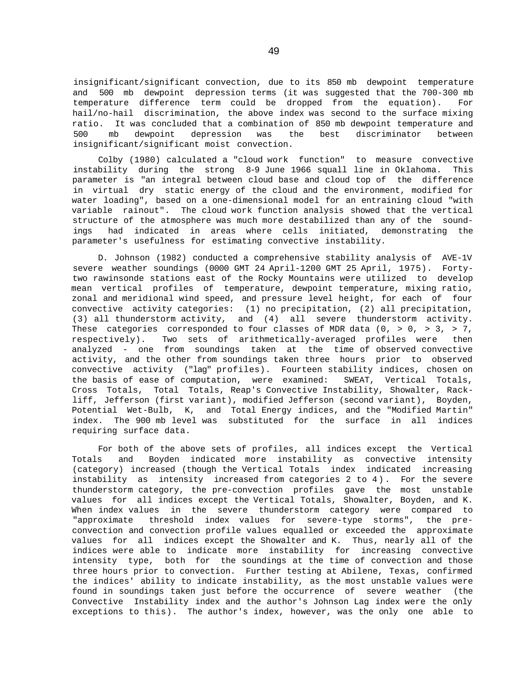insignificant/significant convection, due to its 850 mb dewpoint temperature and 500 mb dewpoint depression terms (it was suggested that the 700-300 mb temperature difference term could be dropped from the equation). For hail/no-hail discrimination, the above index was second to the surface mixing ratio. It was concluded that a combination of 850 mb dewpoint temperature and 500 mb dewpoint depression was the best discriminator between insignificant/significant moist convection.

Colby (1980) calculated a "cloud work function" to measure convective instability during the strong 8-9 June 1966 squall line in Oklahoma. This parameter is "an integral between cloud base and cloud top of the difference in virtual dry static energy of the cloud and the environment, modified for water loading", based on a one-dimensional model for an entraining cloud "with variable rainout". The cloud work function analysis showed that the vertical structure of the atmosphere was much more destabilized than any of the soundings had indicated in areas where cells initiated, demonstrating the parameter's usefulness for estimating convective instability.

D. Johnson (1982) conducted a comprehensive stability analysis of AVE-1V severe weather soundings (0000 GMT 24 April-1200 GMT 25 April, 1975). Fortytwo rawinsonde stations east of the Rocky Mountains were utilized to develop mean vertical profiles of temperature, dewpoint temperature, mixing ratio, zonal and meridional wind speed, and pressure level height, for each of four convective activity categories: (1) no precipitation, (2) all precipitation, (3) all thunderstorm activity, and (4) all severe thunderstorm activity. These categories corresponded to four classes of MDR data  $(0, > 0, > 3, > 7,$ respectively). Two sets of arithmetically-averaged profiles were then analyzed - one from soundings taken at the time of observed convective activity, and the other from soundings taken three hours prior to observed convective activity ("lag" profiles). Fourteen stability indices, chosen on the basis of ease of computation, were examined: SWEAT, Vertical Totals, Cross Totals, Total Totals, Reap's Convective Instability, Showalter, Rackliff, Jefferson (first variant), modified Jefferson (second variant), Boyden, Potential Wet-Bulb, K, and Total Energy indices, and the "Modified Martin" index. The 900 mb level was substituted for the surface in all indices requiring surface data.

For both of the above sets of profiles, all indices except the Vertical Totals and Boyden indicated more instability as convective intensity (category) increased (though the Vertical Totals index indicated increasing instability as intensity increased from categories 2 to 4). For the severe thunderstorm category, the pre-convection profiles gave the most unstable values for all indices except the Vertical Totals, Showalter, Boyden, and K. When index values in the severe thunderstorm category were compared to "approximate threshold index values for severe-type storms", the preconvection and convection profile values equalled or exceeded the approximate values for all indices except the Showalter and K. Thus, nearly all of the indices were able to indicate more instability for increasing convective intensity type, both for the soundings at the time of convection and those three hours prior to convection. Further testing at Abilene, Texas, confirmed the indices' ability to indicate instability, as the most unstable values were found in soundings taken just before the occurrence of severe weather (the Convective Instability index and the author's Johnson Lag index were the only exceptions to this). The author's index, however, was the only one able to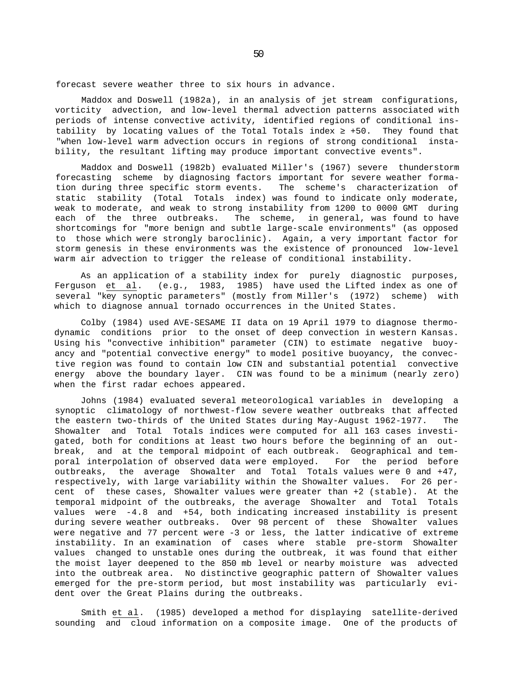forecast severe weather three to six hours in advance.

Maddox and Doswell (1982a), in an analysis of jet stream configurations, vorticity advection, and low-level thermal advection patterns associated with periods of intense convective activity, identified regions of conditional instability by locating values of the Total Totals index  $+50$ . They found that "when low-level warm advection occurs in regions of strong conditional instability, the resultant lifting may produce important convective events".

Maddox and Doswell (1982b) evaluated Miller's (1967) severe thunderstorm forecasting scheme by diagnosing factors important for severe weather formation during three specific storm events. The scheme's characterization of static stability (Total Totals index) was found to indicate only moderate, weak to moderate, and weak to strong instability from 1200 to 0000 GMT during each of the three outbreaks. The scheme, in general, was found to have shortcomings for "more benign and subtle large-scale environments" (as opposed to those which were strongly baroclinic). Again, a very important factor for storm genesis in these environments was the existence of pronounced low-level warm air advection to trigger the release of conditional instability.

As an application of a stability index for purely diagnostic purposes, Ferguson et al. (e.g., 1983, 1985) have used the Lifted index as one of several "key synoptic parameters" (mostly from Miller's (1972) scheme) with which to diagnose annual tornado occurrences in the United States.

Colby (1984) used AVE-SESAME II data on 19 April 1979 to diagnose thermodynamic conditions prior to the onset of deep convection in western Kansas. Using his "convective inhibition" parameter (CIN) to estimate negative buoyancy and "potential convective energy" to model positive buoyancy, the convective region was found to contain low CIN and substantial potential convective energy above the boundary layer. CIN was found to be a minimum (nearly zero) when the first radar echoes appeared.

Johns (1984) evaluated several meteorological variables in developing a synoptic climatology of northwest-flow severe weather outbreaks that affected the eastern two-thirds of the United States during May-August 1962-1977. The Showalter and Total Totals indices were computed for all 163 cases investigated, both for conditions at least two hours before the beginning of an outbreak, and at the temporal midpoint of each outbreak. Geographical and temporal interpolation of observed data were employed. For the period before outbreaks, the average Showalter and Total Totals values were 0 and +47, respectively, with large variability within the Showalter values. For 26 percent of these cases, Showalter values were greater than +2 (stable). At the temporal midpoint of the outbreaks, the average Showalter and Total Totals values were -4.8 and +54, both indicating increased instability is present during severe weather outbreaks. Over 98 percent of these Showalter values were negative and 77 percent were -3 or less, the latter indicative of extreme instability. In an examination of cases where stable pre-storm Showalter values changed to unstable ones during the outbreak, it was found that either the moist layer deepened to the 850 mb level or nearby moisture was advected into the outbreak area. No distinctive geographic pattern of Showalter values emerged for the pre-storm period, but most instability was particularly evident over the Great Plains during the outbreaks.

Smith et al. (1985) developed a method for displaying satellite-derived sounding and cloud information on a composite image. One of the products of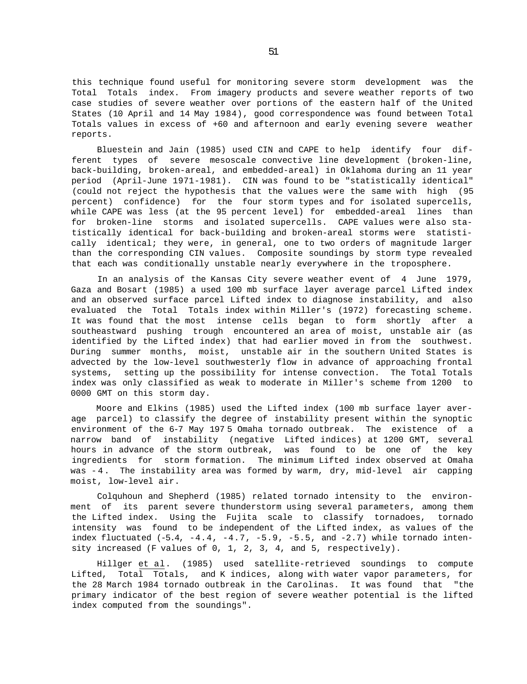this technique found useful for monitoring severe storm development was the Total Totals index. From imagery products and severe weather reports of two case studies of severe weather over portions of the eastern half of the United States (10 April and 14 May 1984), good correspondence was found between Total Totals values in excess of +60 and afternoon and early evening severe weather reports.

Bluestein and Jain (1985) used CIN and CAPE to help identify four different types of severe mesoscale convective line development (broken-line, back-building, broken-areal, and embedded-areal) in Oklahoma during an 11 year period (April-June 1971-1981). CIN was found to be "statistically identical" (could not reject the hypothesis that the values were the same with high (95 percent) confidence) for the four storm types and for isolated supercells, while CAPE was less (at the 95 percent level) for embedded-areal lines than for broken-line storms and isolated supercells. CAPE values were also statistically identical for back-building and broken-areal storms were statistically identical; they were, in general, one to two orders of magnitude larger than the corresponding CIN values. Composite soundings by storm type revealed that each was conditionally unstable nearly everywhere in the troposphere.

In an analysis of the Kansas City severe weather event of 4 June 1979, Gaza and Bosart (1985) a used 100 mb surface layer average parcel Lifted index and an observed surface parcel Lifted index to diagnose instability, and also evaluated the Total Totals index within Miller's (1972) forecasting scheme. It was found that the most intense cells began to form shortly after a southeastward pushing trough encountered an area of moist, unstable air (as identified by the Lifted index) that had earlier moved in from the southwest. During summer months, moist, unstable air in the southern United States is advected by the low-level southwesterly flow in advance of approaching frontal systems, setting up the possibility for intense convection. The Total Totals index was only classified as weak to moderate in Miller's scheme from 1200 to 0000 GMT on this storm day.

Moore and Elkins (1985) used the Lifted index (100 mb surface layer average parcel) to classify the degree of instability present within the synoptic environment of the 6-7 May 197 5 Omaha tornado outbreak. The existence of a narrow band of instability (negative Lifted indices) at 1200 GMT, several hours in advance of the storm outbreak, was found to be one of the key ingredients for storm formation. The minimum Lifted index observed at Omaha was -4 . The instability area was formed by warm, dry, mid-level air capping moist, low-level air.

Colquhoun and Shepherd (1985) related tornado intensity to the environment of its parent severe thunderstorm using several parameters, among them the Lifted index. Using the Fujita scale to classify tornadoes, tornado intensity was found to be independent of the Lifted index, as values of the index fluctuated  $(-5.4, -4.4, -4.7, -5.9, -5.5,$  and  $-2.7)$  while tornado intensity increased (F values of 0, 1, 2, 3, 4, and 5, respectively).

Hillger et al. (1985) used satellite-retrieved soundings to compute Lifted, Total Totals, and K indices, along with water vapor parameters, for the 28 March 1984 tornado outbreak in the Carolinas. It was found that "the primary indicator of the best region of severe weather potential is the lifted index computed from the soundings".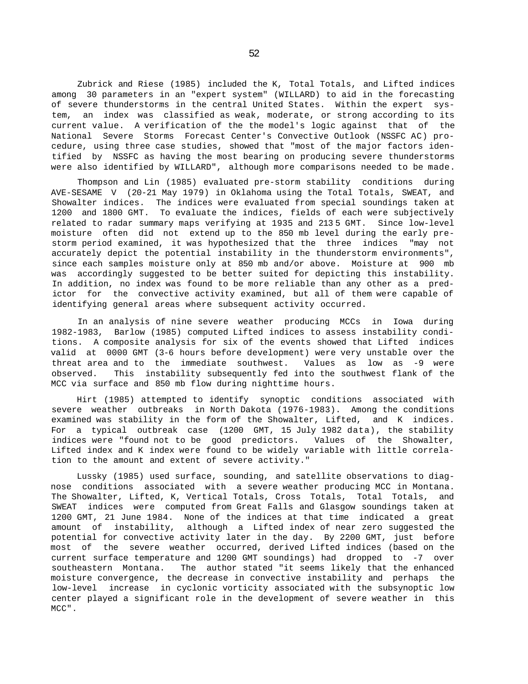Zubrick and Riese (1985) included the K, Total Totals, and Lifted indices among 30 parameters in an "expert system" (WILLARD) to aid in the forecasting of severe thunderstorms in the central United States. Within the expert system, an index was classified as weak, moderate, or strong according to its current value. A verification of the the model's logic against that of the National Severe Storms Forecast Center's Convective Outlook (NSSFC AC) procedure, using three case studies, showed that "most of the major factors identified by NSSFC as having the most bearing on producing severe thunderstorms were also identified by WILLARD", although more comparisons needed to be made.

Thompson and Lin (1985) evaluated pre-storm stability conditions during AVE-SESAME V (20-21 May 1979) in Oklahoma using the Total Totals, SWEAT, and Showalter indices. The indices were evaluated from special soundings taken at 1200 and 1800 GMT. To evaluate the indices, fields of each were subjectively related to radar summary maps verifying at 1935 and 213 5 GMT. Since low-level moisture often did not extend up to the 850 mb level during the early prestorm period examined, it was hypothesized that the three indices "may not accurately depict the potential instability in the thunderstorm environments", since each samples moisture only at 850 mb and/or above. Moisture at 900 mb was accordingly suggested to be better suited for depicting this instability. In addition, no index was found to be more reliable than any other as a predictor for the convective activity examined, but all of them were capable of identifying general areas where subsequent activity occurred.

In an analysis of nine severe weather producing MCCs in Iowa during 1982-1983, Barlow (1985) computed Lifted indices to assess instability conditions. A composite analysis for six of the events showed that Lifted indices valid at 0000 GMT (3-6 hours before development) were very unstable over the threat area and to the immediate southwest. Values as low as -9 were observed. This instability subsequently fed into the southwest flank of the MCC via surface and 850 mb flow during nighttime hours.

Hirt (1985) attempted to identify synoptic conditions associated with severe weather outbreaks in North Dakota (1976-1983). Among the conditions examined was stability in the form of the Showalter, Lifted, and K indices. For a typical outbreak case (1200 GMT, 15 July 1982 data), the stability indices were "found not to be good predictors. Values of the Showalter, Lifted index and K index were found to be widely variable with little correlation to the amount and extent of severe activity."

Lussky (1985) used surface, sounding, and satellite observations to diagnose conditions associated with a severe weather producing MCC in Montana. The Showalter, Lifted, K, Vertical Totals, Cross Totals, Total Totals, and SWEAT indices were computed from Great Falls and Glasgow soundings taken at 1200 GMT, 21 June 1984. None of the indices at that time indicated a great amount of instability, although a Lifted index of near zero suggested the potential for convective activity later in the day. By 2200 GMT, just before most of the severe weather occurred, derived Lifted indices (based on the current surface temperature and 1200 GMT soundings) had dropped to -7 over southeastern Montana. The author stated "it seems likely that the enhanced moisture convergence, the decrease in convective instability and perhaps the low-level increase in cyclonic vorticity associated with the subsynoptic low center played a significant role in the development of severe weather in this MCC".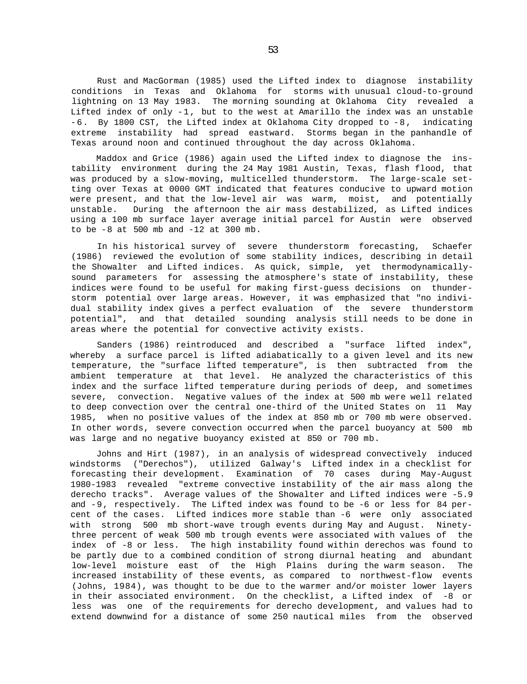Rust and MacGorman (1985) used the Lifted index to diagnose instability conditions in Texas and Oklahoma for storms with unusual cloud-to-ground lightning on 13 May 1983. The morning sounding at Oklahoma City revealed a Lifted index of only -1, but to the west at Amarillo the index was an unstable -6. By 1800 CST, the Lifted index at Oklahoma City dropped to -8, indicating extreme instability had spread eastward. Storms began in the panhandle of Texas around noon and continued throughout the day across Oklahoma.

Maddox and Grice (1986) again used the Lifted index to diagnose the instability environment during the 24 May 1981 Austin, Texas, flash flood, that was produced by a slow-moving, multicelled thunderstorm. The large-scale setting over Texas at 0000 GMT indicated that features conducive to upward motion were present, and that the low-level air was warm, moist, and potentially unstable. During the afternoon the air mass destabilized, as Lifted indices using a 100 mb surface layer average initial parcel for Austin were observed to be -8 at 500 mb and -12 at 300 mb.

In his historical survey of severe thunderstorm forecasting, Schaefer (1986) reviewed the evolution of some stability indices, describing in detail the Showalter and Lifted indices. As quick, simple, yet thermodynamicallysound parameters for assessing the atmosphere's state of instability, these indices were found to be useful for making first-guess decisions on thunderstorm potential over large areas. However, it was emphasized that "no individual stability index gives a perfect evaluation of the severe thunderstorm potential", and that detailed sounding analysis still needs to be done in areas where the potential for convective activity exists.

Sanders (1986) reintroduced and described a "surface lifted index", whereby a surface parcel is lifted adiabatically to a given level and its new temperature, the "surface lifted temperature", is then subtracted from the ambient temperature at that level. He analyzed the characteristics of this index and the surface lifted temperature during periods of deep, and sometimes severe, convection. Negative values of the index at 500 mb were well related to deep convection over the central one-third of the United States on 11 May 1985, when no positive values of the index at 850 mb or 700 mb were observed. In other words, severe convection occurred when the parcel buoyancy at 500 mb was large and no negative buoyancy existed at 850 or 700 mb.

Johns and Hirt (1987), in an analysis of widespread convectively induced windstorms ("Derechos"), utilized Galway's Lifted index in a checklist for forecasting their development. Examination of 70 cases during May-August 1980-1983 revealed "extreme convective instability of the air mass along the derecho tracks". Average values of the Showalter and Lifted indices were -5.9 and -9, respectively. The Lifted index was found to be -6 or less for 84 percent of the cases. Lifted indices more stable than -6 were only associated with strong 500 mb short-wave trough events during May and August. Ninetythree percent of weak 500 mb trough events were associated with values of the index of -8 or less. The high instability found within derechos was found to be partly due to a combined condition of strong diurnal heating and abundant low-level moisture east of the High Plains during the warm season. The increased instability of these events, as compared to northwest-flow events (Johns, 1984), was thought to be due to the warmer and/or moister lower layers in their associated environment. On the checklist, a Lifted index of -8 or less was one of the requirements for derecho development, and values had to extend downwind for a distance of some 250 nautical miles from the observed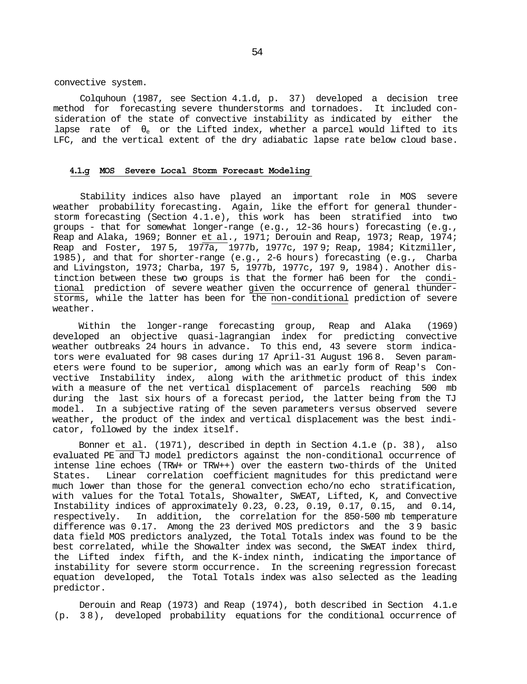convective system.

Colquhoun (1987, see Section 4.1.d, p. 37) developed a decision tree method for forecasting severe thunderstorms and tornadoes. It included consideration of the state of convective instability as indicated by either the lapse rate of  $\epsilon$  or the Lifted index, whether a parcel would lifted to its LFC, and the vertical extent of the dry adiabatic lapse rate below cloud base.

## **4.1.g MOS Severe Local Storm Forecast Modeling**

Stability indices also have played an important role in MOS severe weather probability forecasting. Again, like the effort for general thunderstorm forecasting (Section 4.1.e), this work has been stratified into two groups - that for somewhat longer-range (e.g., 12-36 hours) forecasting (e.g., Reap and Alaka, 1969; Bonner et al., 1971; Derouin and Reap, 1973; Reap, 1974; Reap and Foster, 197 5, 1977a, 1977b, 1977c, 197 9; Reap, 1984; Kitzmiller, 1985), and that for shorter-range (e.g., 2-6 hours) forecasting (e.g., Charba and Livingston, 1973; Charba, 197 5, 1977b, 1977c, 197 9, 1984). Another distinction between these two groups is that the former ha6 been for the conditional prediction of severe weather given the occurrence of general thunderstorms, while the latter has been for the non-conditional prediction of severe weather.

Within the longer-range forecasting group, Reap and Alaka (1969) developed an objective quasi-lagrangian index for predicting convective weather outbreaks 24 hours in advance. To this end, 43 severe storm indicators were evaluated for 98 cases during 17 April-31 August 196 8. Seven parameters were found to be superior, among which was an early form of Reap's Convective Instability index, along with the arithmetic product of this index with a measure of the net vertical displacement of parcels reaching 500 mb during the last six hours of a forecast period, the latter being from the TJ model. In a subjective rating of the seven parameters versus observed severe weather, the product of the index and vertical displacement was the best indicator, followed by the index itself.

Bonner et al. (1971), described in depth in Section 4.1.e (p. 38), also evaluated PE and TJ model predictors against the non-conditional occurrence of intense line echoes (TRW+ or TRW++) over the eastern two-thirds of the United States. Linear correlation coefficient magnitudes for this predictand were much lower than those for the general convection echo/no echo stratification, with values for the Total Totals, Showalter, SWEAT, Lifted, K, and Convective Instability indices of approximately 0.23, 0.23, 0.19, 0.17, 0.15, and 0.14, respectively. In addition, the correlation for the 850-500 mb temperature difference was 0.17. Among the 23 derived MOS predictors and the 3 9 basic data field MOS predictors analyzed, the Total Totals index was found to be the best correlated, while the Showalter index was second, the SWEAT index third, the Lifted index fifth, and the K-index ninth, indicating the importance of instability for severe storm occurrence. In the screening regression forecast equation developed, the Total Totals index was also selected as the leading predictor.

Derouin and Reap (1973) and Reap (1974), both described in Section 4.1.e (p. 3 8), developed probability equations for the conditional occurrence of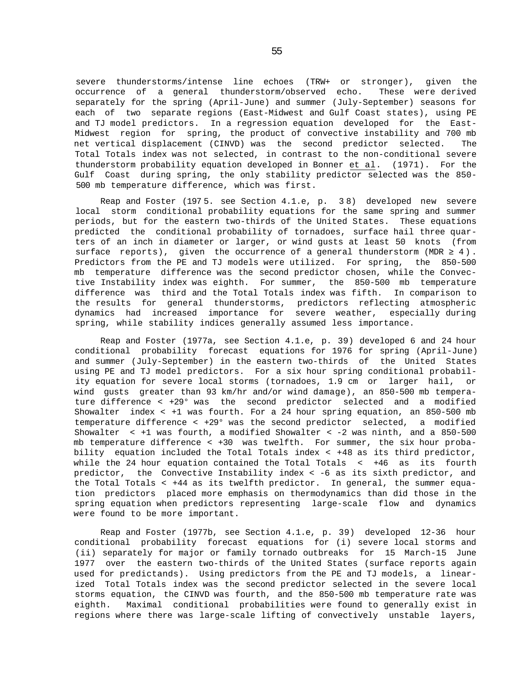severe thunderstorms/intense line echoes (TRW+ or stronger), given the occurrence of a general thunderstorm/observed echo. These were derived separately for the spring (April-June) and summer (July-September) seasons for each of two separate regions (East-Midwest and Gulf Coast states), using PE and TJ model predictors. In a regression equation developed for the East-Midwest region for spring, the product of convective instability and 700 mb net vertical displacement (CINVD) was the second predictor selected. The Total Totals index was not selected, in contrast to the non-conditional severe thunderstorm probability equation developed in Bonner et al. (1971). For the Gulf Coast during spring, the only stability predictor selected was the 850- 500 mb temperature difference, which was first.

Reap and Foster (197 5. see Section 4.1.e, p. 3 8) developed new severe local storm conditional probability equations for the same spring and summer periods, but for the eastern two-thirds of the United States. These equations predicted the conditional probability of tornadoes, surface hail three quarters of an inch in diameter or larger, or wind gusts at least 50 knots (from surface reports), given the occurrence of a general thunderstorm (MDR 4). Predictors from the PE and TJ models were utilized. For spring, the 850-500 mb temperature difference was the second predictor chosen, while the Convective Instability index was eighth. For summer, the 850-500 mb temperature difference was third and the Total Totals index was fifth. In comparison to the results for general thunderstorms, predictors reflecting atmospheric dynamics had increased importance for severe weather, especially during spring, while stability indices generally assumed less importance.

Reap and Foster (1977a, see Section 4.1.e, p. 39) developed 6 and 24 hour conditional probability forecast equations for 1976 for spring (April-June) and summer (July-September) in the eastern two-thirds of the United States using PE and TJ model predictors. For a six hour spring conditional probability equation for severe local storms (tornadoes, 1.9 cm or larger hail, or wind gusts greater than 93 km/hr and/or wind damage), an 850-500 mb temperature difference < +29° was the second predictor selected and a modified Showalter index  $\lt$  +1 was fourth. For a 24 hour spring equation, an 850-500 mb temperature difference < +29° was the second predictor selected, a modified Showalter < +1 was fourth, a modified Showalter < -2 was ninth, and a 850-500 mb temperature difference < +30 was twelfth. For summer, the six hour probability equation included the Total Totals index < +48 as its third predictor, while the 24 hour equation contained the Total Totals < +46 as its fourth predictor, the Convective Instability index < -6 as its sixth predictor, and the Total Totals < +44 as its twelfth predictor. In general, the summer equation predictors placed more emphasis on thermodynamics than did those in the spring equation when predictors representing large-scale flow and dynamics were found to be more important.

Reap and Foster (1977b, see Section 4.1.e, p. 39) developed 12-36 hour conditional probability forecast equations for (i) severe local storms and (ii) separately for major or family tornado outbreaks for 15 March-15 June 1977 over the eastern two-thirds of the United States (surface reports again used for predictands). Using predictors from the PE and TJ models, a linearized Total Totals index was the second predictor selected in the severe local storms equation, the CINVD was fourth, and the 850-500 mb temperature rate was eighth. Maximal conditional probabilities were found to generally exist in regions where there was large-scale lifting of convectively unstable layers,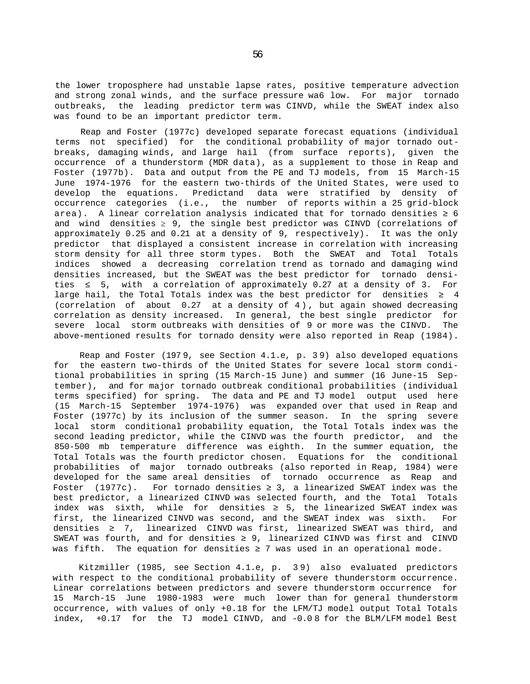the lower troposphere had unstable lapse rates, positive temperature advection and strong zonal winds, and the surface pressure wa6 low. For major tornado outbreaks, the leading predictor term was CINVD, while the SWEAT index also was found to be an important predictor term.

Reap and Foster (1977c) developed separate forecast equations (individual terms not specified) for the conditional probability of major tornado outbreaks, damaging winds, and large hail (from surface reports), given the occurrence of a thunderstorm (MDR data), as a supplement to those in Reap and Foster (1977b). Data and output from the PE and TJ models, from 15 March-15 June 1974-1976 for the eastern two-thirds of the United States, were used to develop the equations. Predictand data were stratified by density of occurrence categories (i.e., the number of reports within a 25 grid-block area). A linear correlation analysis indicated that for tornado densities 6 and wind densities *≥* 9, the single best predictor was CINVD (correlations of approximately 0.25 and 0.21 at a density of 9, respectively). It was the only predictor that displayed a consistent increase in correlation with increasing storm density for all three storm types. Both the SWEAT and Total Totals indices showed a decreasing correlation trend as tornado and damaging wind densities increased, but the SWEAT was the best predictor for tornado densities 5, with a correlation of approximately 0.27 at a density of 3. For large hail, the Total Totals index was the best predictor for densities  $\frac{4}{3}$ (correlation of about 0.27 at a density of 4) , but again showed decreasing correlation as density increased. In general, the best single predictor for severe local storm outbreaks with densities of 9 or more was the CINVD. The above-mentioned results for tornado density were also reported in Reap (1984).

Reap and Foster (197 9, see Section 4.1.e, p. 3 9) also developed equations for the eastern two-thirds of the United States for severe local storm conditional probabilities in spring (15 March-15 June) and summer (16 June-15 September), and for major tornado outbreak conditional probabilities (individual terms specified) for spring. The data and PE and TJ model output used here (15 March-15 September 1974-1976) was expanded over that used in Reap and Foster (1977c) by its inclusion of the summer season. In the spring severe local storm conditional probability equation, the Total Totals index was the second leading predictor, while the CINVD was the fourth predictor, and the 850-500 mb temperature difference was eighth. In the summer equation, the Total Totals was the fourth predictor chosen. Equations for the conditional probabilities of major tornado outbreaks (also reported in Reap, 1984) were developed for the same areal densities of tornado occurrence as Reap and Foster (1977c). For tornado densities 3, a linearized SWEAT index was the best predictor, a linearized CINVD was selected fourth, and the Total Totals index was sixth, while for densities 25, the linearized SWEAT index was first, the linearized CINVD was second, and the SWEAT index was sixth. For densities  $\overline{z}$ , linearized CINVD was first, linearized SWEAT was third, and SWEAT was fourth, and for densities 9, linearized CINVD was first and CINVD was fifth. The equation for densities  $\overline{z}$  was used in an operational mode.

Kitzmiller (1985, see Section 4.1.e, p. 3 9) also evaluated predictors with respect to the conditional probability of severe thunderstorm occurrence. Linear correlations between predictors and severe thunderstorm occurrence for 15 March-15 June 1980-1983 were much lower than for general thunderstorm occurrence, with values of only +0.18 for the LFM/TJ model output Total Totals index, +0.17 for the TJ model CINVD, and -0.0 8 for the BLM/LFM model Best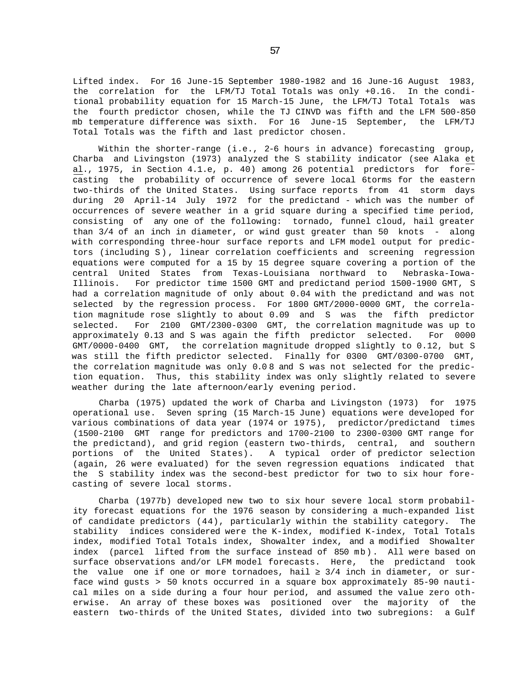Lifted index. For 16 June-15 September 1980-1982 and 16 June-16 August 1983, the correlation for the LFM/TJ Total Totals was only +0.16. In the conditional probability equation for 15 March-15 June, the LFM/TJ Total Totals was the fourth predictor chosen, while the TJ CINVD was fifth and the LFM 500-850 mb temperature difference was sixth. For 16 June-15 September, the LFM/TJ Total Totals was the fifth and last predictor chosen.

Within the shorter-range (i.e., 2-6 hours in advance) forecasting group, Charba and Livingston (1973) analyzed the S stability indicator (see Alaka et al., 1975, in Section 4.1.e, p. 40) among 26 potential predictors for forecasting the probability of occurrence of severe local 6torms for the eastern two-thirds of the United States. Using surface reports from 41 storm days during 20 April-14 July 1972 for the predictand - which was the number of occurrences of severe weather in a grid square during a specified time period, consisting of any one of the following: tornado, funnel cloud, hail greater than 3/4 of an inch in diameter, or wind gust greater than 50 knots - along with corresponding three-hour surface reports and LFM model output for predictors (including S) , linear correlation coefficients and screening regression equations were computed for a 15 by 15 degree square covering a portion of the central United States from Texas-Louisiana northward to Nebraska-Iowa-Illinois. For predictor time 1500 GMT and predictand period 1500-1900 GMT, S had a correlation magnitude of only about 0.04 with the predictand and was not selected by the regression process. For 1800 GMT/2000-0000 GMT, the correlation magnitude rose slightly to about 0.09 and S was the fifth predictor selected. For 2100 GMT/2300-0300 GMT, the correlation magnitude was up to approximately 0.13 and S was again the fifth predictor selected. For 0000 GMT/0000-0400 GMT, the correlation magnitude dropped slightly to 0.12, but S was still the fifth predictor selected. Finally for 0300 GMT/0300-0700 GMT, the correlation magnitude was only 0.0 8 and S was not selected for the prediction equation. Thus, this stability index was only slightly related to severe weather during the late afternoon/early evening period.

Charba (1975) updated the work of Charba and Livingston (1973) for 1975 operational use. Seven spring (15 March-15 June) equations were developed for various combinations of data year (1974 or 1975), predictor/predictand times (1500-2100 GMT range for predictors and 1700-2100 to 2300-0300 GMT range for the predictand), and grid region (eastern two-thirds, central, and southern portions of the United States). A typical order of predictor selection (again, 26 were evaluated) for the seven regression equations indicated that the S stability index was the second-best predictor for two to six hour forecasting of severe local storms.

Charba (1977b) developed new two to six hour severe local storm probability forecast equations for the 1976 season by considering a much-expanded list of candidate predictors (44), particularly within the stability category. The stability indices considered were the K-index, modified K-index, Total Totals index, modified Total Totals index, Showalter index, and a modified Showalter index (parcel lifted from the surface instead of 850 mb). All were based on surface observations and/or LFM model forecasts. Here, the predictand took the value one if one or more tornadoes, hail  $3/4$  inch in diameter, or surface wind gusts > 50 knots occurred in a square box approximately 85-90 nautical miles on a side during a four hour period, and assumed the value zero otherwise. An array of these boxes was positioned over the majority of the eastern two-thirds of the United States, divided into two subregions: a Gulf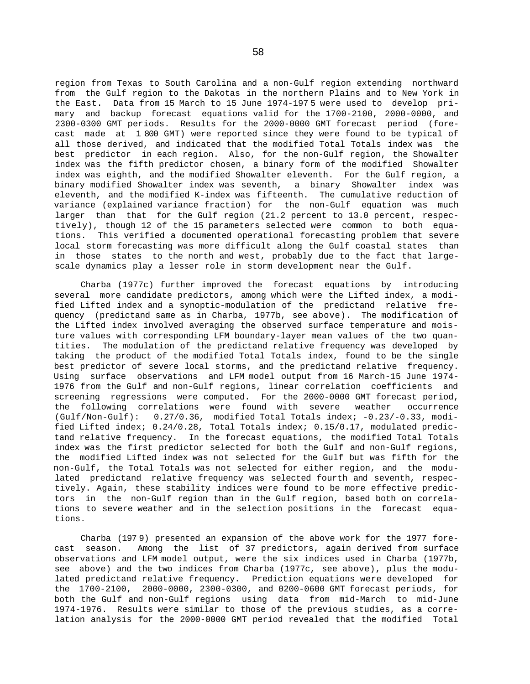region from Texas to South Carolina and a non-Gulf region extending northward from the Gulf region to the Dakotas in the northern Plains and to New York in the East. Data from 15 March to 15 June 1974-197 5 were used to develop primary and backup forecast equations valid for the 1700-2100, 2000-0000, and 2300-0300 GMT periods. Results for the 2000-0000 GMT forecast period (forecast made at 1 800 GMT) were reported since they were found to be typical of all those derived, and indicated that the modified Total Totals index was the best predictor in each region. Also, for the non-Gulf region, the Showalter index was the fifth predictor chosen, a binary form of the modified Showalter index was eighth, and the modified Showalter eleventh. For the Gulf region, a binary modified Showalter index was seventh, a binary Showalter index was eleventh, and the modified K-index was fifteenth. The cumulative reduction of variance (explained variance fraction) for the non-Gulf equation was much larger than that for the Gulf region (21.2 percent to 13.0 percent, respectively), though 12 of the 15 parameters selected were common to both equations. This verified a documented operational forecasting problem that severe local storm forecasting was more difficult along the Gulf coastal states than in those states to the north and west, probably due to the fact that largescale dynamics play a lesser role in storm development near the Gulf.

Charba (1977c) further improved the forecast equations by introducing several more candidate predictors, among which were the Lifted index, a modified Lifted index and a synoptic-modulation of the predictand relative frequency (predictand same as in Charba, 1977b, see above). The modification of the Lifted index involved averaging the observed surface temperature and moisture values with corresponding LFM boundary-layer mean values of the two quantities. The modulation of the predictand relative frequency was developed by taking the product of the modified Total Totals index, found to be the single best predictor of severe local storms, and the predictand relative frequency. Using surface observations and LFM model output from 16 March-15 June 1974- 1976 from the Gulf and non-Gulf regions, linear correlation coefficients and screening regressions were computed. For the 2000-0000 GMT forecast period, the following correlations were found with severe weather occurrence (Gulf/Non-Gulf): 0.27/0.36, modified Total Totals index; -0.23/-0.33, modified Lifted index; 0.24/0.28, Total Totals index; 0.15/0.17, modulated predictand relative frequency. In the forecast equations, the modified Total Totals index was the first predictor selected for both the Gulf and non-Gulf regions, the modified Lifted index was not selected for the Gulf but was fifth for the non-Gulf, the Total Totals was not selected for either region, and the modulated predictand relative frequency was selected fourth and seventh, respectively. Again, these stability indices were found to be more effective predictors in the non-Gulf region than in the Gulf region, based both on correlations to severe weather and in the selection positions in the forecast equations.

Charba (197 9) presented an expansion of the above work for the 1977 forecast season. Among the list of 37 predictors, again derived from surface observations and LFM model output, were the six indices used in Charba (1977b, see above) and the two indices from Charba (1977c, see above), plus the modulated predictand relative frequency. Prediction equations were developed for the 1700-2100, 2000-0000, 2300-0300, and 0200-0600 GMT forecast periods, for both the Gulf and non-Gulf regions using data from mid-March to mid-June 1974-1976. Results were similar to those of the previous studies, as a correlation analysis for the 2000-0000 GMT period revealed that the modified Total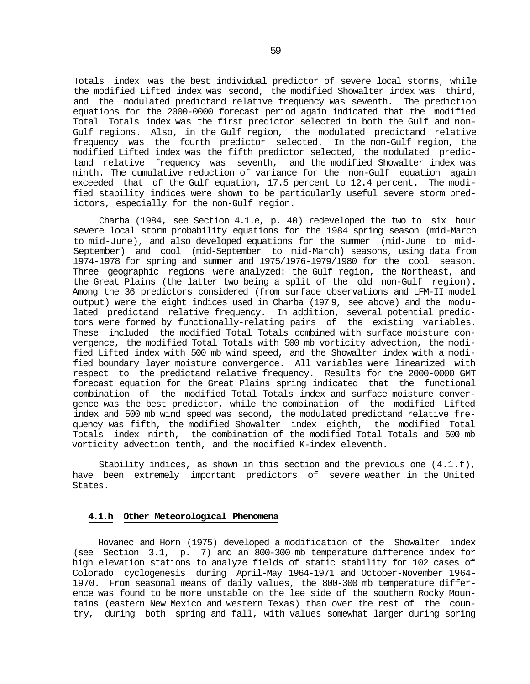Totals index was the best individual predictor of severe local storms, while the modified Lifted index was second, the modified Showalter index was third, and the modulated predictand relative frequency was seventh. The prediction equations for the 2000-0000 forecast period again indicated that the modified Total Totals index was the first predictor selected in both the Gulf and non-Gulf regions. Also, in the Gulf region, the modulated predictand relative frequency was the fourth predictor selected. In the non-Gulf region, the modified Lifted index was the fifth predictor selected, the modulated predictand relative frequency was seventh, and the modified Showalter index was ninth. The cumulative reduction of variance for the non-Gulf equation again exceeded that of the Gulf equation, 17.5 percent to 12.4 percent. The modified stability indices were shown to be particularly useful severe storm predictors, especially for the non-Gulf region.

Charba (1984, see Section 4.1.e, p. 40) redeveloped the two to six hour severe local storm probability equations for the 1984 spring season (mid-March to mid-June), and also developed equations for the summer (mid-June to mid-September) and cool (mid-September to mid-March) seasons, using data from 1974-1978 for spring and summer and 1975/1976-1979/1980 for the cool season. Three geographic regions were analyzed: the Gulf region, the Northeast, and the Great Plains (the latter two being a split of the old non-Gulf region). Among the 36 predictors considered (from surface observations and LFM-II model output) were the eight indices used in Charba (197 9, see above) and the modulated predictand relative frequency. In addition, several potential predictors were formed by functionally-relating pairs of the existing variables. These included the modified Total Totals combined with surface moisture convergence, the modified Total Totals with 500 mb vorticity advection, the modified Lifted index with 500 mb wind speed, and the Showalter index with a modified boundary layer moisture convergence. All variables were linearized with respect to the predictand relative frequency. Results for the 2000-0000 GMT forecast equation for the Great Plains spring indicated that the functional combination of the modified Total Totals index and surface moisture convergence was the best predictor, while the combination of the modified Lifted index and 500 mb wind speed was second, the modulated predictand relative frequency was fifth, the modified Showalter index eighth, the modified Total Totals index ninth, the combination of the modified Total Totals and 500 mb vorticity advection tenth, and the modified K-index eleventh.

Stability indices, as shown in this section and the previous one (4.1.f), have been extremely important predictors of severe weather in the United States.

#### **4.1.h Other Meteorological Phenomena**

Hovanec and Horn (1975) developed a modification of the Showalter index (see Section 3.1, p. 7) and an 800-300 mb temperature difference index for high elevation stations to analyze fields of static stability for 102 cases of Colorado cyclogenesis during April-May 1964-1971 and October-November 1964- 1970. From seasonal means of daily values, the 800-300 mb temperature difference was found to be more unstable on the lee side of the southern Rocky Mountains (eastern New Mexico and western Texas) than over the rest of the country, during both spring and fall, with values somewhat larger during spring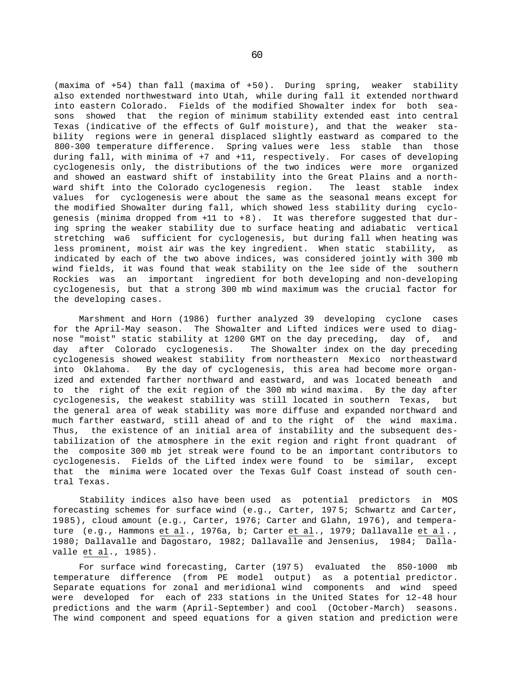(maxima of +54) than fall (maxima of +50). During spring, weaker stability also extended northwestward into Utah, while during fall it extended northward into eastern Colorado. Fields of the modified Showalter index for both seasons showed that the region of minimum stability extended east into central Texas (indicative of the effects of Gulf moisture), and that the weaker stability regions were in general displaced slightly eastward as compared to the 800-300 temperature difference. Spring values were less stable than those during fall, with minima of +7 and +11, respectively. For cases of developing cyclogenesis only, the distributions of the two indices were more organized and showed an eastward shift of instability into the Great Plains and a northward shift into the Colorado cyclogenesis region. The least stable index values for cyclogenesis were about the same as the seasonal means except for the modified Showalter during fall, which showed less stability during cyclogenesis (minima dropped from +11 to +8). It was therefore suggested that during spring the weaker stability due to surface heating and adiabatic vertical stretching wa6 sufficient for cyclogenesis, but during fall when heating was less prominent, moist air was the key ingredient. When static stability, as indicated by each of the two above indices, was considered jointly with 300 mb wind fields, it was found that weak stability on the lee side of the southern Rockies was an important ingredient for both developing and non-developing cyclogenesis, but that a strong 300 mb wind maximum was the crucial factor for the developing cases.

Marshment and Horn (1986) further analyzed 39 developing cyclone cases for the April-May season. The Showalter and Lifted indices were used to diagnose "moist" static stability at 1200 GMT on the day preceding, day of, and day after Colorado cyclogenesis. The Showalter index on the day preceding cyclogenesis showed weakest stability from northeastern Mexico northeastward into Oklahoma. By the day of cyclogenesis, this area had become more organized and extended farther northward and eastward, and was located beneath and to the right of the exit region of the 300 mb wind maxima. By the day after cyclogenesis, the weakest stability was still located in southern Texas, but the general area of weak stability was more diffuse and expanded northward and much farther eastward, still ahead of and to the right of the wind maxima. Thus, the existence of an initial area of instability and the subsequent destabilization of the atmosphere in the exit region and right front quadrant of the composite 300 mb jet streak were found to be an important contributors to cyclogenesis. Fields of the Lifted index were found to be similar, except that the minima were located over the Texas Gulf Coast instead of south central Texas.

Stability indices also have been used as potential predictors in MOS forecasting schemes for surface wind (e.g., Carter, 197 5; Schwartz and Carter, 1985), cloud amount (e.g., Carter, 1976; Carter and Glahn, 1976), and temperature (e.g., Hammons et al., 1976a, b; Carter et al., 1979; Dallavalle et al. , 1980; Dallavalle and Dagostaro, 1982; Dallavalle and Jensenius, 1984; Dallavalle et al., 1985).

For surface wind forecasting, Carter (197 5) evaluated the 850-1000 mb temperature difference (from PE model output) as a potential predictor. Separate equations for zonal and meridional wind components and wind speed were developed for each of 233 stations in the United States for 12-48 hour predictions and the warm (April-September) and cool (October-March) seasons. The wind component and speed equations for a given station and prediction were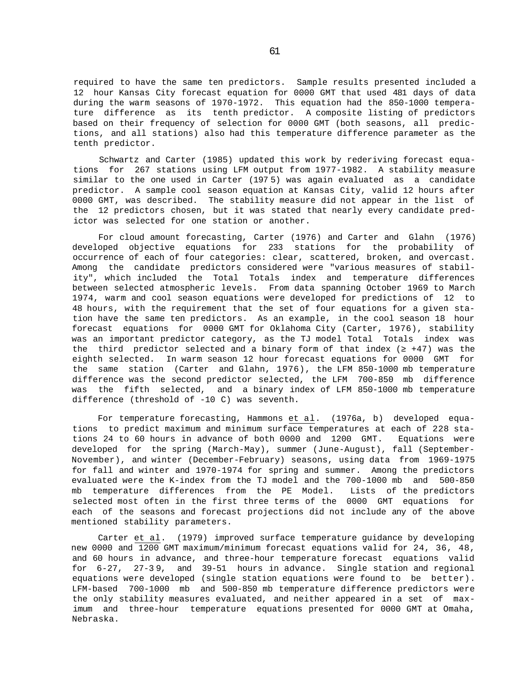required to have the same ten predictors. Sample results presented included a 12 hour Kansas City forecast equation for 0000 GMT that used 481 days of data during the warm seasons of 1970-1972. This equation had the 850-1000 temperature difference as its tenth predictor. A composite listing of predictors based on their frequency of selection for 0000 GMT (both seasons, all predictions, and all stations) also had this temperature difference parameter as the tenth predictor.

Schwartz and Carter (1985) updated this work by rederiving forecast equations for 267 stations using LFM output from 1977-1982. A stability measure similar to the one used in Carter (197 5) was again evaluated as a candidate predictor. A sample cool season equation at Kansas City, valid 12 hours after 0000 GMT, was described. The stability measure did not appear in the list of the 12 predictors chosen, but it was stated that nearly every candidate predictor was selected for one station or another.

For cloud amount forecasting, Carter (1976) and Carter and Glahn (1976) developed objective equations for 233 stations for the probability of occurrence of each of four categories: clear, scattered, broken, and overcast. Among the candidate predictors considered were "various measures of stability", which included the Total Totals index and temperature differences between selected atmospheric levels. From data spanning October 1969 to March 1974, warm and cool season equations were developed for predictions of 12 to 48 hours, with the requirement that the set of four equations for a given station have the same ten predictors. As an example, in the cool season 18 hour forecast equations for 0000 GMT for Oklahoma City (Carter, 1976), stability was an important predictor category, as the TJ model Total Totals index was the third predictor selected and a binary form of that index ( +47) was the eighth selected. In warm season 12 hour forecast equations for 0000 GMT for the same station (Carter and Glahn, 1976), the LFM 850-1000 mb temperature difference was the second predictor selected, the LFM 700-850 mb difference was the fifth selected, and a binary index of LFM 850-1000 mb temperature difference (threshold of -10 C) was seventh.

For temperature forecasting, Hammons et al. (1976a, b) developed equations to predict maximum and minimum surface temperatures at each of 228 stations 24 to 60 hours in advance of both 0000 and 1200 GMT. Equations were developed for the spring (March-May), summer (June-August), fall (September-November), and winter (December-February) seasons, using data from 1969-1975 for fall and winter and 1970-1974 for spring and summer. Among the predictors evaluated were the K-index from the TJ model and the 700-1000 mb and 500-850 mb temperature differences from the PE Model. Lists of the predictors selected most often in the first three terms of the 0000 GMT equations for each of the seasons and forecast projections did not include any of the above mentioned stability parameters.

Carter et al. (1979) improved surface temperature guidance by developing new 0000 and 1200 GMT maximum/minimum forecast equations valid for 24, 36, 48, and 60 hours in advance, and three-hour temperature forecast equations valid for 6-27, 27-3 9, and 39-51 hours in advance. Single station and regional equations were developed (single station equations were found to be better). LFM-based 700-1000 mb and 500-850 mb temperature difference predictors were the only stability measures evaluated, and neither appeared in a set of maximum and three-hour temperature equations presented for 0000 GMT at Omaha, Nebraska.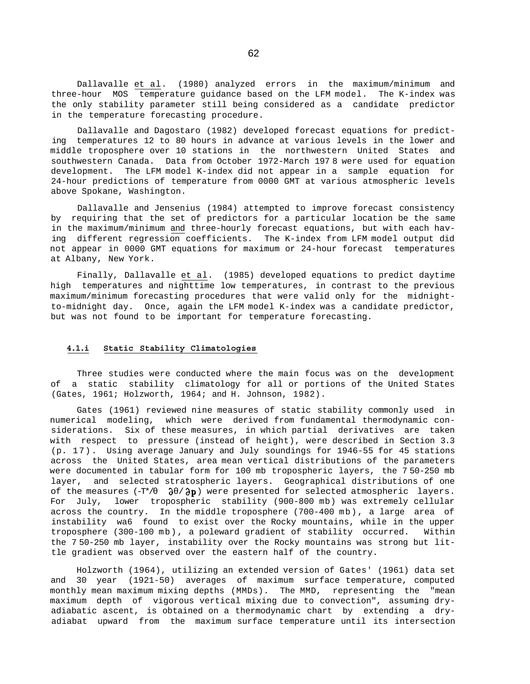Dallavalle et al. (1980) analyzed errors in the maximum/minimum and three-hour MOS temperature guidance based on the LFM model. The K-index was the only stability parameter still being considered as a candidate predictor in the temperature forecasting procedure.

Dallavalle and Dagostaro (1982) developed forecast equations for predicting temperatures 12 to 80 hours in advance at various levels in the lower and middle troposphere over 10 stations in the northwestern United States and southwestern Canada. Data from October 1972-March 197 8 were used for equation development. The LFM model K-index did not appear in a sample equation for 24-hour predictions of temperature from 0000 GMT at various atmospheric levels above Spokane, Washington.

Dallavalle and Jensenius (1984) attempted to improve forecast consistency by requiring that the set of predictors for a particular location be the same in the maximum/minimum and three-hourly forecast equations, but with each having different regression coefficients. The K-index from LFM model output did not appear in 0000 GMT equations for maximum or 24-hour forecast temperatures at Albany, New York.

Finally, Dallavalle et al. (1985) developed equations to predict daytime high temperatures and nighttime low temperatures, in contrast to the previous maximum/minimum forecasting procedures that were valid only for the midnightto-midnight day. Once, again the LFM model K-index was a candidate predictor, but was not found to be important for temperature forecasting.

## **4.1.i Static Stability Climatologies**

Three studies were conducted where the main focus was on the development of a static stability climatology for all or portions of the United States (Gates, 1961; Holzworth, 1964; and H. Johnson, 1982).

Gates (1961) reviewed nine measures of static stability commonly used in numerical modeling, which were derived from fundamental thermodynamic considerations. Six of these measures, in which partial derivatives are taken with respect to pressure (instead of height), were described in Section 3.3 (p. 17). Using average January and July soundings for 1946-55 for 45 stations across the United States, area mean vertical distributions of the parameters were documented in tabular form for 100 mb tropospheric layers, the 7 50-250 mb layer, and selected stratospheric layers. Geographical distributions of one of the measures  $(-T^*/$   $\partial$  / $\partial$ p) were presented for selected atmospheric layers. For July, lower tropospheric stability (900-800 mb) was extremely cellular across the country. In the middle troposphere (700-400 mb), a large area of instability wa6 found to exist over the Rocky mountains, while in the upper troposphere (300-100 mb), a poleward gradient of stability occurred. Within the 7 50-250 mb layer, instability over the Rocky mountains was strong but little gradient was observed over the eastern half of the country.

Holzworth (1964), utilizing an extended version of Gates' (1961) data set and 30 year (1921-50) averages of maximum surface temperature, computed monthly mean maximum mixing depths (MMDs). The MMD, representing the "mean maximum depth of vigorous vertical mixing due to convection", assuming dryadiabatic ascent, is obtained on a thermodynamic chart by extending a dryadiabat upward from the maximum surface temperature until its intersection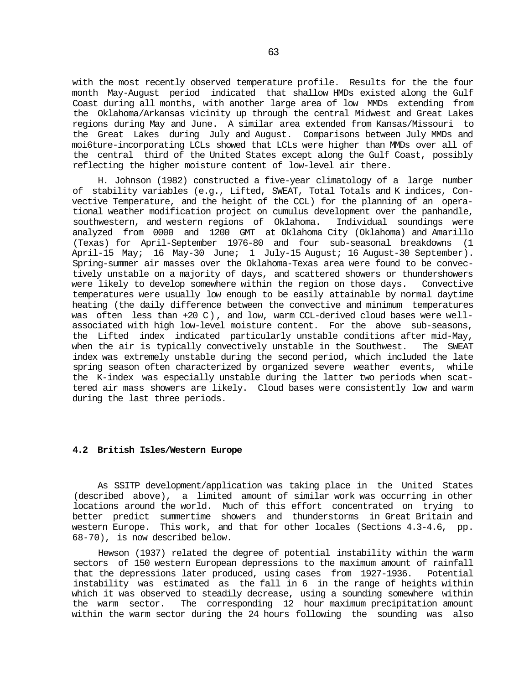with the most recently observed temperature profile. Results for the the four month May-August period indicated that shallow HMDs existed along the Gulf Coast during all months, with another large area of low MMDs extending from the Oklahoma/Arkansas vicinity up through the central Midwest and Great Lakes regions during May and June. A similar area extended from Kansas/Missouri to the Great Lakes during July and August. Comparisons between July MMDs and moi6ture-incorporating LCLs showed that LCLs were higher than MMDs over all of the central third of the United States except along the Gulf Coast, possibly reflecting the higher moisture content of low-level air there.

H. Johnson (1982) constructed a five-year climatology of a large number of stability variables (e.g., Lifted, SWEAT, Total Totals and K indices, Convective Temperature, and the height of the CCL) for the planning of an operational weather modification project on cumulus development over the panhandle,<br>southwestern, and western regions of Oklahoma. Individual soundings were southwestern, and western regions of Oklahoma. analyzed from 0000 and 1200 GMT at Oklahoma City (Oklahoma) and Amarillo (Texas) for April-September 1976-80 and four sub-seasonal breakdowns (1 April-15 May; 16 May-30 June; 1 July-15 August; 16 August-30 September). Spring-summer air masses over the Oklahoma-Texas area were found to be convectively unstable on a majority of days, and scattered showers or thundershowers were likely to develop somewhere within the region on those days. Convective temperatures were usually low enough to be easily attainable by normal daytime heating (the daily difference between the convective and minimum temperatures was often less than +20 C), and low, warm CCL-derived cloud bases were wellassociated with high low-level moisture content. For the above sub-seasons, the Lifted index indicated particularly unstable conditions after mid-May, when the air is typically convectively unstable in the Southwest. The SWEAT index was extremely unstable during the second period, which included the late spring season often characterized by organized severe weather events, while the K-index was especially unstable during the latter two periods when scattered air mass showers are likely. Cloud bases were consistently low and warm during the last three periods.

### **4.2 British Isles/Western Europe**

As SSITP development/application was taking place in the United States (described above), a limited amount of similar work was occurring in other locations around the world. Much of this effort concentrated on trying to better predict summertime showers and thunderstorms in Great Britain and western Europe. This work, and that for other locales (Sections 4.3-4.6, pp. 68-70), is now described below.

Hewson (1937) related the degree of potential instability within the warm sectors of 150 western European depressions to the maximum amount of rainfall that the depressions later produced, using cases from 1927-1936. Potential instability was estimated as the fall in 6 in the range of heights within which it was observed to steadily decrease, using a sounding somewhere within the warm sector. The corresponding 12 hour maximum precipitation amount within the warm sector during the 24 hours following the sounding was also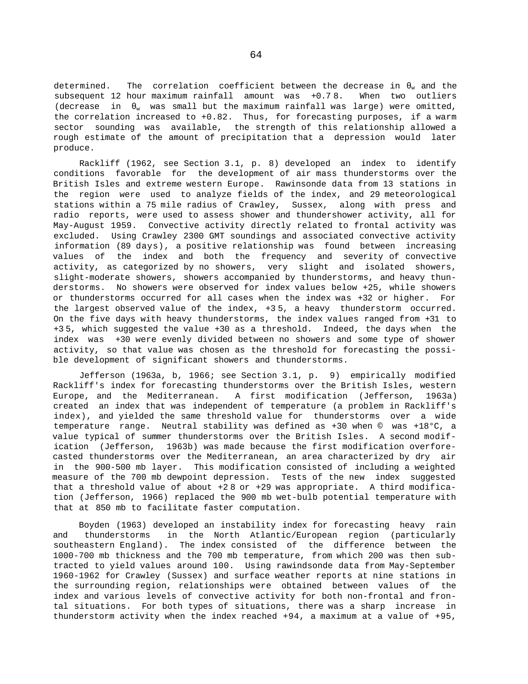determined. The correlation coefficient between the decrease in  $_w$  and the subsequent 12 hour maximum rainfall amount was +0.7 8. When two outliers (decrease in  $\psi$  was small but the maximum rainfall was large) were omitted, the correlation increased to +0.82. Thus, for forecasting purposes, if a warm sector sounding was available, the strength of this relationship allowed a rough estimate of the amount of precipitation that a depression would later produce.

Rackliff (1962, see Section 3.1, p. 8) developed an index to identify conditions favorable for the development of air mass thunderstorms over the British Isles and extreme western Europe. Rawinsonde data from 13 stations in the region were used to analyze fields of the index, and 29 meteorological stations within a 75 mile radius of Crawley, Sussex, along with press and radio reports, were used to assess shower and thundershower activity, all for May-August 1959. Convective activity directly related to frontal activity was excluded. Using Crawley 2300 GMT soundings and associated convective activity information (89 days), a positive relationship was found between increasing values of the index and both the frequency and severity of convective activity, as categorized by no showers, very slight and isolated showers, slight-moderate showers, showers accompanied by thunderstorms, and heavy thunderstorms. No showers were observed for index values below +25, while showers or thunderstorms occurred for all cases when the index was +32 or higher. For the largest observed value of the index, +3 5, a heavy thunderstorm occurred. On the five days with heavy thunderstorms, the index values ranged from +31 to +3 5, which suggested the value +30 as a threshold. Indeed, the days when the index was +30 were evenly divided between no showers and some type of shower activity, so that value was chosen as the threshold for forecasting the possible development of significant showers and thunderstorms.

Jefferson (1963a, b, 1966; see Section 3.1, p. 9) empirically modified Rackliff's index for forecasting thunderstorms over the British Isles, western Europe, and the Mediterranean. A first modification (Jefferson, 1963a) created an index that was independent of temperature (a problem in Rackliff's index), and yielded the same threshold value for thunderstorms over a wide temperature range. Neutral stability was defined as +30 when © was +18°C, a value typical of summer thunderstorms over the British Isles. A second modification (Jefferson, 1963b) was made because the first modification overforecasted thunderstorms over the Mediterranean, an area characterized by dry air in the 900-500 mb layer. This modification consisted of including a weighted measure of the 700 mb dewpoint depression. Tests of the new index suggested that a threshold value of about +2 8 or +29 was appropriate. A third modification (Jefferson, 1966) replaced the 900 mb wet-bulb potential temperature with that at 850 mb to facilitate faster computation.

Boyden (1963) developed an instability index for forecasting heavy rain and thunderstorms in the North Atlantic/European region (particularly southeastern England). The index consisted of the difference between the 1000-700 mb thickness and the 700 mb temperature, from which 200 was then subtracted to yield values around 100. Using rawindsonde data from May-September 1960-1962 for Crawley (Sussex) and surface weather reports at nine stations in the surrounding region, relationships were obtained between values of the index and various levels of convective activity for both non-frontal and frontal situations. For both types of situations, there was a sharp increase in thunderstorm activity when the index reached +94, a maximum at a value of +95,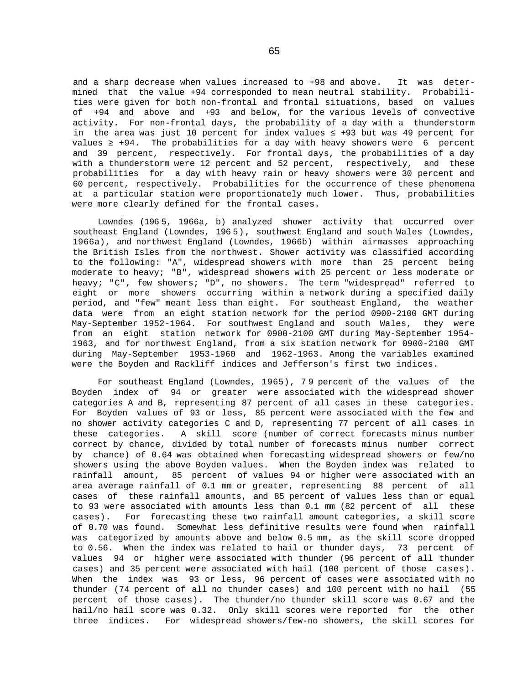and a sharp decrease when values increased to +98 and above. It was determined that the value +94 corresponded to mean neutral stability. Probabilities were given for both non-frontal and frontal situations, based on values of +94 and above and +93 and below, for the various levels of convective activity. For non-frontal days, the probability of a day with a thunderstorm in the area was just 10 percent for index values  $+93$  but was 49 percent for values  $+94$ . The probabilities for a day with heavy showers were 6 percent and 39 percent, respectively. For frontal days, the probabilities of a day with a thunderstorm were 12 percent and 52 percent, respectively, and these probabilities for a day with heavy rain or heavy showers were 30 percent and 60 percent, respectively. Probabilities for the occurrence of these phenomena at a particular station were proportionately much lower. Thus, probabilities were more clearly defined for the frontal cases.

Lowndes (196 5, 1966a, b) analyzed shower activity that occurred over southeast England (Lowndes, 196 5), southwest England and south Wales (Lowndes, 1966a), and northwest England (Lowndes, 1966b) within airmasses approaching the British Isles from the northwest. Shower activity was classified according to the following: "A", widespread showers with more than 25 percent being moderate to heavy; "B", widespread showers with 25 percent or less moderate or heavy; "C", few showers; "D", no showers. The term "widespread" referred to eight or more showers occurring within a network during a specified daily period, and "few" meant less than eight. For southeast England, the weather data were from an eight station network for the period 0900-2100 GMT during May-September 1952-1964. For southwest England and south Wales, they were from an eight station network for 0900-2100 GMT during May-September 1954- 1963, and for northwest England, from a six station network for 0900-2100 GMT during May-September 1953-1960 and 1962-1963. Among the variables examined were the Boyden and Rackliff indices and Jefferson's first two indices.

For southeast England (Lowndes, 1965), 7 9 percent of the values of the Boyden index of 94 or greater were associated with the widespread shower categories A and B, representing 87 percent of all cases in these categories. For Boyden values of 93 or less, 85 percent were associated with the few and no shower activity categories C and D, representing 77 percent of all cases in these categories. A skill score (number of correct forecasts minus number correct by chance, divided by total number of forecasts minus number correct by chance) of 0.64 was obtained when forecasting widespread showers or few/no showers using the above Boyden values. When the Boyden index was related to rainfall amount, 85 percent of values 94 or higher were associated with an area average rainfall of 0.1 mm or greater, representing 88 percent of all cases of these rainfall amounts, and 85 percent of values less than or equal to 93 were associated with amounts less than 0.1 mm (82 percent of all these cases). For forecasting these two rainfall amount categories, a skill score of 0.70 was found. Somewhat less definitive results were found when rainfall was categorized by amounts above and below 0.5 mm, as the skill score dropped to 0.56. When the index was related to hail or thunder days, 73 percent of values 94 or higher were associated with thunder (96 percent of all thunder cases) and 35 percent were associated with hail (100 percent of those cases). When the index was 93 or less, 96 percent of cases were associated with no thunder (74 percent of all no thunder cases) and 100 percent with no hail (55 percent of those cases). The thunder/no thunder skill score was 0.67 and the hail/no hail score was 0.32. Only skill scores were reported for the other three indices. For widespread showers/few-no showers, the skill scores for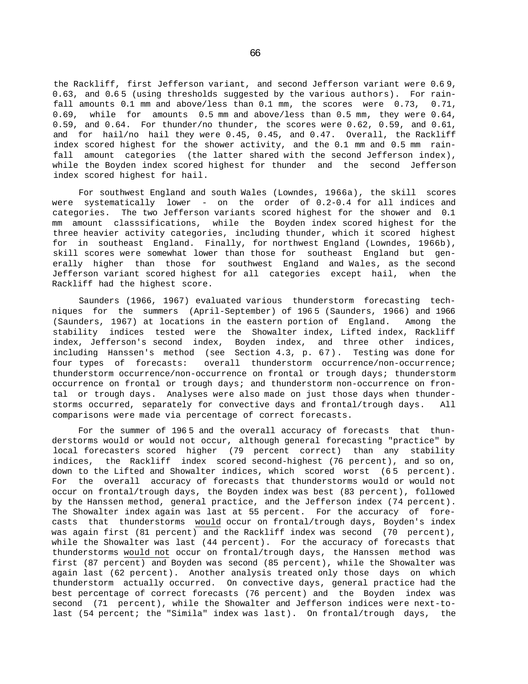the Rackliff, first Jefferson variant, and second Jefferson variant were 0.6 9, 0.63, and 0.6 5 (using thresholds suggested by the various authors). For rainfall amounts 0.1 mm and above/less than 0.1 mm, the scores were 0.73, 0.71, 0.69, while for amounts 0.5 mm and above/less than 0.5 mm, they were 0.64, 0.59, and 0.64. For thunder/no thunder, the scores were 0.62, 0.59, and 0.61, and for hail/no hail they were 0.45, 0.45, and 0.47. Overall, the Rackliff index scored highest for the shower activity, and the 0.1 mm and 0.5 mm rainfall amount categories (the latter shared with the second Jefferson index), while the Boyden index scored highest for thunder and the second Jefferson index scored highest for hail.

For southwest England and south Wales (Lowndes, 1966a), the skill scores were systematically lower - on the order of 0.2-0.4 for all indices and categories. The two Jefferson variants scored highest for the shower and 0.1 mm amount classsifications, while the Boyden index scored highest for the three heavier activity categories, including thunder, which it scored highest for in southeast England. Finally, for northwest England (Lowndes, 1966b), skill scores were somewhat lower than those for southeast England but generally higher than those for southwest England and Wales, as the second Jefferson variant scored highest for all categories except hail, when the Rackliff had the highest score.

Saunders (1966, 1967) evaluated various thunderstorm forecasting techniques for the summers (April-September) of 196 5 (Saunders, 1966) and 1966 (Saunders, 1967) at locations in the eastern portion of England. Among the stability indices tested were the Showalter index, Lifted index, Rackliff index, Jefferson's second index, Boyden index, and three other indices, including Hanssen's method (see Section 4.3, p. 67). Testing was done for four types of forecasts: overall thunderstorm occurrence/non-occurrence; thunderstorm occurrence/non-occurrence on frontal or trough days; thunderstorm occurrence on frontal or trough days; and thunderstorm non-occurrence on frontal or trough days. Analyses were also made on just those days when thunderstorms occurred, separately for convective days and frontal/trough days. All comparisons were made via percentage of correct forecasts.

For the summer of 1965 and the overall accuracy of forecasts that thunderstorms would or would not occur, although general forecasting "practice" by local forecasters scored higher (79 percent correct) than any stability indices, the Rackliff index scored second-highest (76 percent), and so on, down to the Lifted and Showalter indices, which scored worst (65 percent). For the overall accuracy of forecasts that thunderstorms would or would not occur on frontal/trough days, the Boyden index was best (83 percent), followed by the Hanssen method, general practice, and the Jefferson index (74 percent). The Showalter index again was last at 55 percent. For the accuracy of forecasts that thunderstorms would occur on frontal/trough days, Boyden's index was again first (81 percent) and the Rackliff index was second (70 percent), while the Showalter was last (44 percent). For the accuracy of forecasts that thunderstorms would not occur on frontal/trough days, the Hanssen method was first (87 percent) and Boyden was second (85 percent), while the Showalter was again last (62 percent). Another analysis treated only those days on which thunderstorm actually occurred. On convective days, general practice had the best percentage of correct forecasts (76 percent) and the Boyden index was second (71 percent), while the Showalter and Jefferson indices were next-tolast (54 percent; the "Simila" index was last). On frontal/trough days, the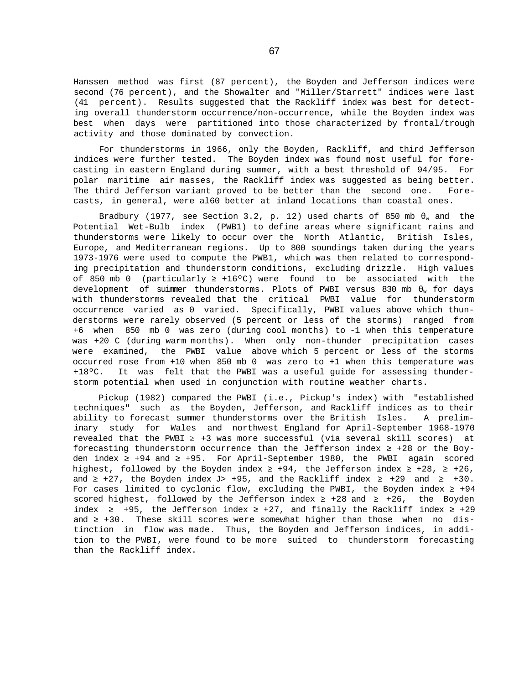Hanssen method was first (87 percent), the Boyden and Jefferson indices were second (76 percent), and the Showalter and "Miller/Starrett" indices were last (41 percent). Results suggested that the Rackliff index was best for detecting overall thunderstorm occurrence/non-occurrence, while the Boyden index was best when days were partitioned into those characterized by frontal/trough activity and those dominated by convection.

For thunderstorms in 1966, only the Boyden, Rackliff, and third Jefferson indices were further tested. The Boyden index was found most useful for forecasting in eastern England during summer, with a best threshold of 94/95. For polar maritime air masses, the Rackliff index was suggested as being better. The third Jefferson variant proved to be better than the second one. Forecasts, in general, were al60 better at inland locations than coastal ones.

Bradbury (1977, see Section 3.2, p. 12) used charts of 850 mb  $_{w}$  and the Potential Wet-Bulb index (PWB1) to define areas where significant rains and thunderstorms were likely to occur over the North Atlantic, British Isles, Europe, and Mediterranean regions. Up to 800 soundings taken during the years 1973-1976 were used to compute the PWB1, which was then related to corresponding precipitation and thunderstorm conditions, excluding drizzle. High values of 850 mb 0 (particularly +16°C) were found to be associated with the development of suimmer thunderstorms. Plots of PWBI versus 830 mb <sub>w</sub> for days with thunderstorms revealed that the critical PWBI value for thunderstorm occurrence varied as 0 varied. Specifically, PWBI values above which thunderstorms were rarely observed (5 percent or less of the storms) ranged from +6 when 850 mb 0 was zero (during cool months) to -1 when this temperature was +20 C (during warm months). When only non-thunder precipitation cases were examined, the PWBI value above which 5 percent or less of the storms occurred rose from +10 when 850 mb 0 was zero to +1 when this temperature was +18ºC. It was felt that the PWBI was a useful guide for assessing thunderstorm potential when used in conjunction with routine weather charts.

Pickup (1982) compared the PWBI (i.e., Pickup's index) with "established techniques" such as the Boyden, Jefferson, and Rackliff indices as to their ability to forecast summer thunderstorms over the British Isles. A preliminary study for Wales and northwest England for April-September 1968-1970 revealed that the PWBI *≥* +3 was more successful (via several skill scores) at forecasting thunderstorm occurrence than the Jefferson index  $+28$  or the Boyden index +94 and +95. For April-September 1980, the PWBI again scored highest, followed by the Boyden index  $+94$ , the Jefferson index  $+28$ ,  $+26$ , and  $+27$ , the Boyden index J> +95, and the Rackliff index  $+29$  and  $+30$ . For cases limited to cyclonic flow, excluding the PWBI, the Boyden index +94 scored highest, followed by the Jefferson index +28 and +26, the Boyden index  $+95$ , the Jefferson index  $+27$ , and finally the Rackliff index  $+29$ and  $+30$ . These skill scores were somewhat higher than those when no distinction in flow was made. Thus, the Boyden and Jefferson indices, in addition to the PWBI, were found to be more suited to thunderstorm forecasting than the Rackliff index.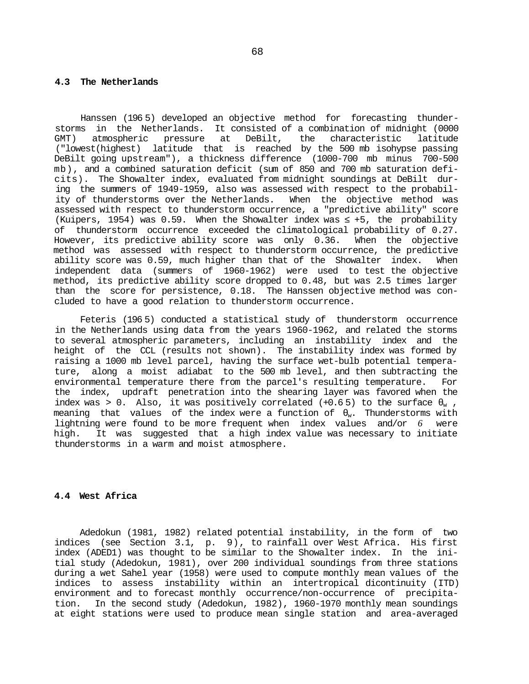#### **4.3 The Netherlands**

Hanssen (196 5) developed an objective method for forecasting thunderstorms in the Netherlands. It consisted of a combination of midnight (0000 GMT) atmospheric pressure at DeBilt, the characteristic latitude ("lowest(highest) latitude that is reached by the 500 mb isohypse passing DeBilt going upstream"), a thickness difference (1000-700 mb minus 700-500 mb), and a combined saturation deficit (sum of 850 and 700 mb saturation deficits). The Showalter index, evaluated from midnight soundings at DeBilt during the summers of 1949-1959, also was assessed with respect to the probability of thunderstorms over the Netherlands. When the objective method was assessed with respect to thunderstorm occurrence, a "predictive ability" score (Kuipers, 1954) was  $0.59$ . When the Showalter index was  $+5$ , the probability of thunderstorm occurrence exceeded the climatological probability of 0.27. However, its predictive ability score was only 0.36. When the objective method was assessed with respect to thunderstorm occurrence, the predictive ability score was 0.59, much higher than that of the Showalter index. When independent data (summers of 1960-1962) were used to test the objective method, its predictive ability score dropped to 0.48, but was 2.5 times larger than the score for persistence, 0.18. The Hanssen objective method was concluded to have a good relation to thunderstorm occurrence.

Feteris (196 5) conducted a statistical study of thunderstorm occurrence in the Netherlands using data from the years 1960-1962, and related the storms to several atmospheric parameters, including an instability index and the height of the CCL (results not shown). The instability index was formed by raising a 1000 mb level parcel, having the surface wet-bulb potential temperature, along a moist adiabat to the 500 mb level, and then subtracting the environmental temperature there from the parcel's resulting temperature. For the index, updraft penetration into the shearing layer was favored when the index was > 0. Also, it was positively correlated  $(+0.65)$  to the surface  $\sqrt{ }$ , meaning that values of the index were a function of  $\mathbb{R}$ . Thunderstorms with lightning were found to be more frequent when index values and/or *6* were high. It was suggested that a high index value was necessary to initiate thunderstorms in a warm and moist atmosphere.

### **4.4 West Africa**

Adedokun (1981, 1982) related potential instability, in the form of two indices (see Section 3.1, p. 9), to rainfall over West Africa. His first index (ADED1) was thought to be similar to the Showalter index. In the initial study (Adedokun, 1981), over 200 individual soundings from three stations during a wet Sahel year (1958) were used to compute monthly mean values of the indices to assess instability within an intertropical dicontinuity (ITD) environment and to forecast monthly occurrence/non-occurrence of precipitation. In the second study (Adedokun, 1982), 1960-1970 monthly mean soundings at eight stations were used to produce mean single station and area-averaged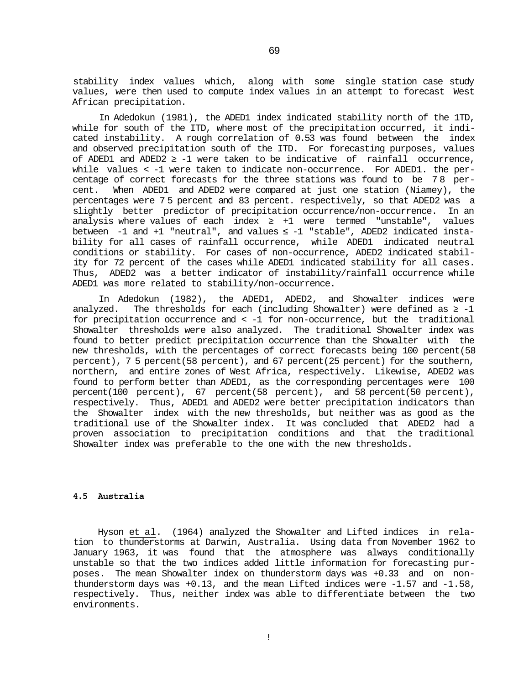stability index values which, along with some single station case study values, were then used to compute index values in an attempt to forecast West African precipitation.

In Adedokun (1981), the ADED1 index indicated stability north of the 1TD, while for south of the ITD, where most of the precipitation occurred, it indicated instability. A rough correlation of 0.53 was found between the index and observed precipitation south of the ITD. For forecasting purposes, values of ADED1 and ADED2 -1 were taken to be indicative of rainfall occurrence, while values < -1 were taken to indicate non-occurrence. For ADED1. the percentage of correct forecasts for the three stations was found to be 7 8 percent. When ADED1 and ADED2 were compared at just one station (Niamey), the percentages were 7 5 percent and 83 percent. respectively, so that ADED2 was a slightly better predictor of precipitation occurrence/non-occurrence. In an analysis where values of each index  $+1$  were termed "unstable", values between -1 and +1 "neutral", and values -1 "stable", ADED2 indicated instability for all cases of rainfall occurrence, while ADED1 indicated neutral conditions or stability. For cases of non-occurrence, ADED2 indicated stability for 72 percent of the cases while ADED1 indicated stability for all cases. Thus, ADED2 was a better indicator of instability/rainfall occurrence while ADED1 was more related to stability/non-occurrence.

In Adedokun (1982), the ADED1, ADED2, and Showalter indices were analyzed. The thresholds for each (including Showalter) were defined as  $-1$ for precipitation occurrence and < -1 for non-occurrence, but the traditional Showalter thresholds were also analyzed. The traditional Showalter index was found to better predict precipitation occurrence than the Showalter with the new thresholds, with the percentages of correct forecasts being 100 percent(58 percent), 7 5 percent(58 percent), and 67 percent(25 percent) for the southern, northern, and entire zones of West Africa, respectively. Likewise, ADED2 was found to perform better than ADED1, as the corresponding percentages were 100 percent(100 percent), 67 percent(58 percent), and 58 percent(50 percent), respectively. Thus, ADED1 and ADED2 were better precipitation indicators than the Showalter index with the new thresholds, but neither was as good as the traditional use of the Showalter index. It was concluded that ADED2 had a proven association to precipitation conditions and that the traditional Showalter index was preferable to the one with the new thresholds.

# **4.5 Australia**

Hyson et al. (1964) analyzed the Showalter and Lifted indices in relation to thunderstorms at Darwin, Australia. Using data from November 1962 to January 1963, it was found that the atmosphere was always conditionally unstable so that the two indices added little information for forecasting purposes. The mean Showalter index on thunderstorm days was +0.33 and on nonthunderstorm days was +0.13, and the mean Lifted indices were -1.57 and -1.58, respectively. Thus, neither index was able to differentiate between the two environments.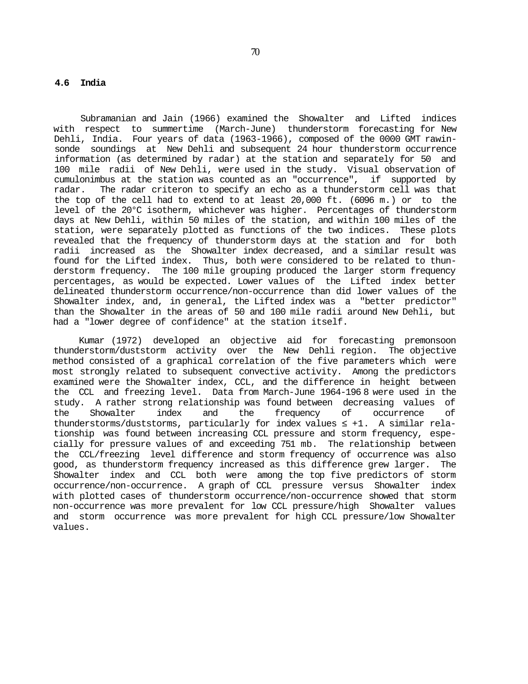# **4.6 India**

Subramanian and Jain (1966) examined the Showalter and Lifted indices with respect to summertime (March-June) thunderstorm forecasting for New Dehli, India. Four years of data (1963-1966), composed of the 0000 GMT rawinsonde soundings at New Dehli and subsequent 24 hour thunderstorm occurrence information (as determined by radar) at the station and separately for 50 and 100 mile radii of New Dehli, were used in the study. Visual observation of cumulonimbus at the station was counted as an "occurrence", if supported by radar. The radar criteron to specify an echo as a thunderstorm cell was that the top of the cell had to extend to at least 20,000 ft. (6096 m.) or to the level of the 20°C isotherm, whichever was higher. Percentages of thunderstorm days at New Dehli, within 50 miles of the station, and within 100 miles of the station, were separately plotted as functions of the two indices. These plots revealed that the frequency of thunderstorm days at the station and for both radii increased as the Showalter index decreased, and a similar result was found for the Lifted index. Thus, both were considered to be related to thunderstorm frequency. The 100 mile grouping produced the larger storm frequency percentages, as would be expected. Lower values of the Lifted index better delineated thunderstorm occurrence/non-occurrence than did lower values of the Showalter index, and, in general, the Lifted index was a "better predictor" than the Showalter in the areas of 50 and 100 mile radii around New Dehli, but had a "lower degree of confidence" at the station itself.

Kumar (1972) developed an objective aid for forecasting premonsoon thunderstorm/duststorm activity over the New Dehli region. The objective method consisted of a graphical correlation of the five parameters which were most strongly related to subsequent convective activity. Among the predictors examined were the Showalter index, CCL, and the difference in height between the CCL and freezing level. Data from March-June 1964-196 8 were used in the study. A rather strong relationship was found between decreasing values of the Showalter index and the frequency of occurrence of<br>thunderstorms/duststorms, particularly for index-values  $+1$ . A similar relathunderstorms/duststorms, particularly for index values tionship was found between increasing CCL pressure and storm frequency, especially for pressure values of and exceeding 751 mb. The relationship between the CCL/freezing level difference and storm frequency of occurrence was also good, as thunderstorm frequency increased as this difference grew larger. The Showalter index and CCL both were among the top five predictors of storm occurrence/non-occurrence. A graph of CCL pressure versus Showalter index with plotted cases of thunderstorm occurrence/non-occurrence showed that storm non-occurrence was more prevalent for low CCL pressure/high Showalter values and storm occurrence was more prevalent for high CCL pressure/low Showalter values.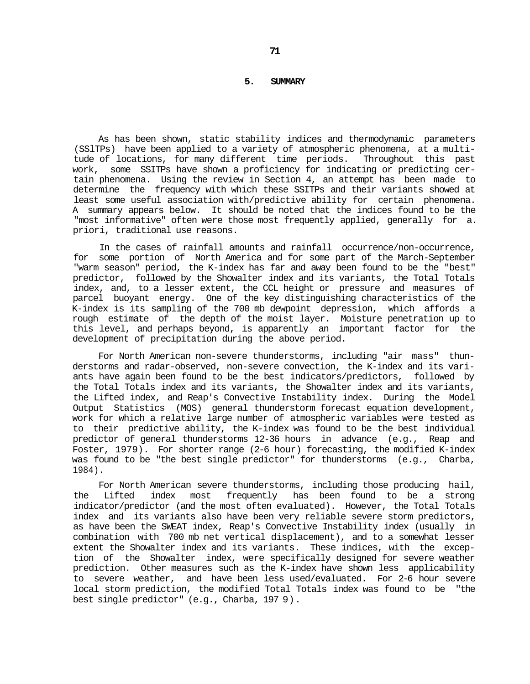### **5. SUMMARY**

As has been shown, static stability indices and thermodynamic parameters (SSlTPs) have been applied to a variety of atmospheric phenomena, at a multitude of locations, for many different time periods. Throughout this past work, some SSITPs have shown a proficiency for indicating or predicting certain phenomena. Using the review in Section 4, an attempt has been made to determine the frequency with which these SSITPs and their variants showed at least some useful association with/predictive ability for certain phenomena. A summary appears below. It should be noted that the indices found to be the "most informative" often were those most frequently applied, generally for a. priori, traditional use reasons.

In the cases of rainfall amounts and rainfall occurrence/non-occurrence, for some portion of North America and for some part of the March-September "warm season" period, the K-index has far and away been found to be the "best" predictor, followed by the Showalter index and its variants, the Total Totals index, and, to a lesser extent, the CCL height or pressure and measures of parcel buoyant energy. One of the key distinguishing characteristics of the K-index is its sampling of the 700 mb dewpoint depression, which affords a rough estimate of the depth of the moist layer. Moisture penetration up to this level, and perhaps beyond, is apparently an important factor for the development of precipitation during the above period.

For North American non-severe thunderstorms, including "air mass" thunderstorms and radar-observed, non-severe convection, the K-index and its variants have again been found to be the best indicators/predictors, followed by the Total Totals index and its variants, the Showalter index and its variants, the Lifted index, and Reap's Convective Instability index. During the Model Output Statistics (MOS) general thunderstorm forecast equation development, work for which a relative large number of atmospheric variables were tested as to their predictive ability, the K-index was found to be the best individual predictor of general thunderstorms 12-36 hours in advance (e.g., Reap and Foster, 1979). For shorter range (2-6 hour) forecasting, the modified K-index was found to be "the best single predictor" for thunderstorms (e.g., Charba, 1984).

For North American severe thunderstorms, including those producing hail, the Lifted index most frequently has been found to be a strong indicator/predictor (and the most often evaluated). However, the Total Totals index and its variants also have been very reliable severe storm predictors, as have been the SWEAT index, Reap's Convective Instability index (usually in combination with 700 mb net vertical displacement), and to a somewhat lesser extent the Showalter index and its variants. These indices, with the exception of the Showalter index, were specifically designed for severe weather prediction. Other measures such as the K-index have shown less applicability to severe weather, and have been less used/evaluated. For 2-6 hour severe local storm prediction, the modified Total Totals index was found to be "the best single predictor" (e.g., Charba, 197 9).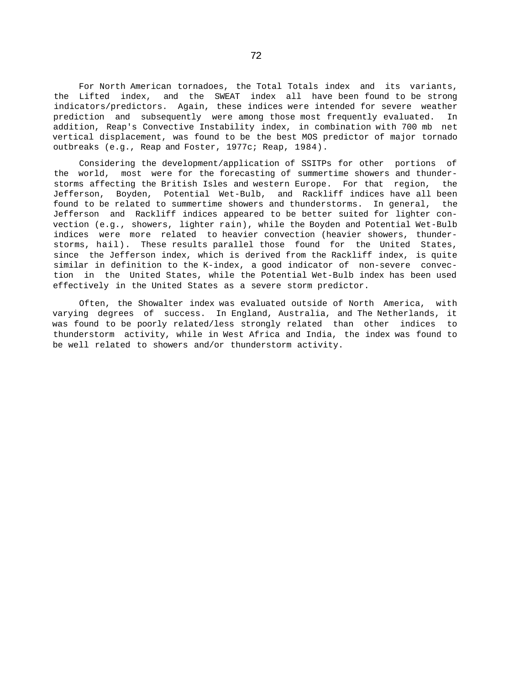For North American tornadoes, the Total Totals index and its variants, the Lifted index, and the SWEAT index all have been found to be strong indicators/predictors. Again, these indices were intended for severe weather prediction and subsequently were among those most frequently evaluated. In addition, Reap's Convective Instability index, in combination with 700 mb net vertical displacement, was found to be the best MOS predictor of major tornado outbreaks (e.g., Reap and Foster, 1977c; Reap, 1984).

Considering the development/application of SSITPs for other portions of the world, most were for the forecasting of summertime showers and thunderstorms affecting the British Isles and western Europe. For that region, the Jefferson, Boyden, Potential Wet-Bulb, and Rackliff indices have all been found to be related to summertime showers and thunderstorms. In general, the Jefferson and Rackliff indices appeared to be better suited for lighter convection (e.g., showers, lighter rain), while the Boyden and Potential Wet-Bulb indices were more related to heavier convection (heavier showers, thunderstorms, hail). These results parallel those found for the United States, since the Jefferson index, which is derived from the Rackliff index, is quite similar in definition to the K-index, a good indicator of non-severe convection in the United States, while the Potential Wet-Bulb index has been used effectively in the United States as a severe storm predictor.

Often, the Showalter index was evaluated outside of North America, with varying degrees of success. In England, Australia, and The Netherlands, it was found to be poorly related/less strongly related than other indices to thunderstorm activity, while in West Africa and India, the index was found to be well related to showers and/or thunderstorm activity.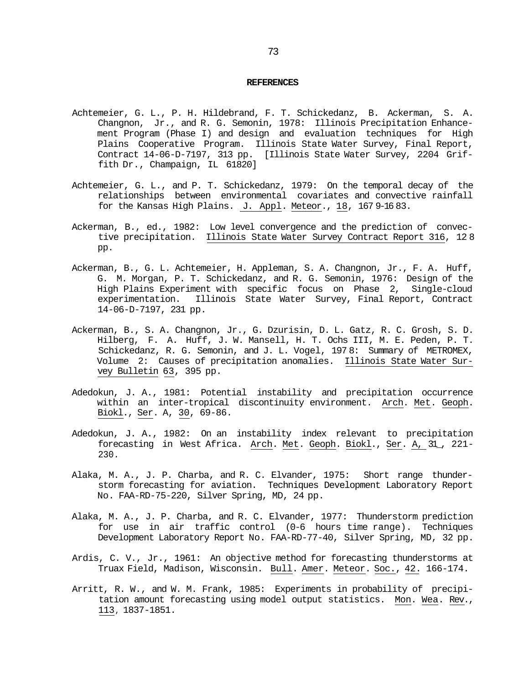#### **REFERENCES**

- Achtemeier, G. L., P. H. Hildebrand, F. T. Schickedanz, B. Ackerman, S. A. Changnon, Jr., and R. G. Semonin, 1978: Illinois Precipitation Enhancement Program (Phase I) and design and evaluation techniques for High Plains Cooperative Program. Illinois State Water Survey, Final Report, Contract 14-06-D-7197, 313 pp. [Illinois State Water Survey, 2204 Griffith Dr., Champaign, IL 61820]
- Achtemeier, G. L., and P. T. Schickedanz, 1979: On the temporal decay of the relationships between environmental covariates and convective rainfall for the Kansas High Plains. J. Appl. Meteor., 18, 167 9-16 83.
- Ackerman, B., ed., 1982: Low level convergence and the prediction of convective precipitation. Illinois State Water Survey Contract Report 316, 12 8 pp.
- Ackerman, B., G. L. Achtemeier, H. Appleman, S. A. Changnon, Jr., F. A. Huff, G. M. Morgan, P. T. Schickedanz, and R. G. Semonin, 1976: Design of the High Plains Experiment with specific focus on Phase 2, Single-cloud experimentation. Illinois State Water Survey, Final Report, Contract 14-06-D-7197, 231 pp.
- Ackerman, B., S. A. Changnon, Jr., G. Dzurisin, D. L. Gatz, R. C. Grosh, S. D. Hilberg, F. A. Huff, J. W. Mansell, H. T. Ochs III, M. E. Peden, P. T. Schickedanz, R. G. Semonin, and J. L. Vogel, 197 8: Summary of METROMEX, Volume 2: Causes of precipitation anomalies. Illinois State Water Survey Bulletin 63, 395 pp.
- Adedokun, J. A., 1981: Potential instability and precipitation occurrence within an inter-tropical discontinuity environment. Arch. Met. Geoph. Biokl., Ser. A, 30, 69-86.
- Adedokun, J. A., 1982: On an instability index relevant to precipitation forecasting in West Africa. Arch. Met. Geoph. Biokl., Ser. A, 31\_, 221- 230.
- Alaka, M. A., J. P. Charba, and R. C. Elvander, 1975: Short range thunderstorm forecasting for aviation. Techniques Development Laboratory Report No. FAA-RD-75-220, Silver Spring, MD, 24 pp.
- Alaka, M. A., J. P. Charba, and R. C. Elvander, 1977: Thunderstorm prediction for use in air traffic control (0-6 hours time range). Techniques Development Laboratory Report No. FAA-RD-77-40, Silver Spring, MD, 32 pp.
- Ardis, C. V., Jr., 1961: An objective method for forecasting thunderstorms at Truax Field, Madison, Wisconsin. Bull. Amer. Meteor. Soc., 42. 166-174.
- Arritt, R. W., and W. M. Frank, 1985: Experiments in probability of precipitation amount forecasting using model output statistics. Mon. Wea. Rev., 113, 1837-1851.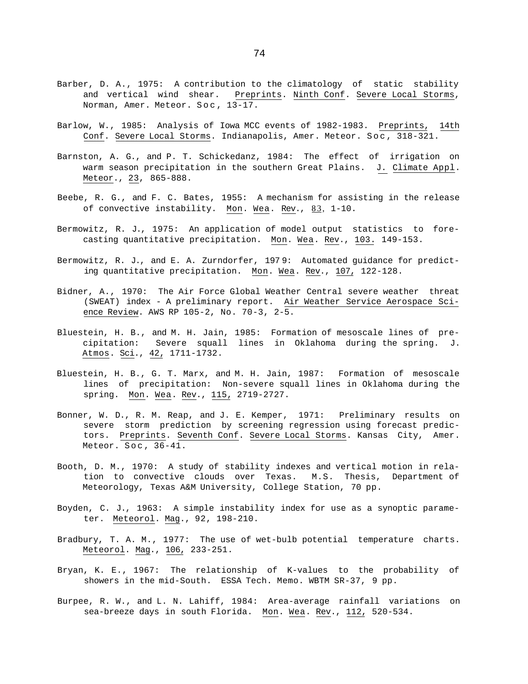- Barber, D. A., 1975: A contribution to the climatology of static stability and vertical wind shear. Preprints. Ninth Conf. Severe Local Storms, Norman, Amer. Meteor. Soc , 13-17.
- Barlow, W., 1985: Analysis of Iowa MCC events of 1982-1983. Preprints, 14th Conf. Severe Local Storms. Indianapolis, Amer. Meteor. Soc, 318-321.
- Barnston, A. G., and P. T. Schickedanz, 1984: The effect of irrigation on warm season precipitation in the southern Great Plains. J. Climate Appl. Meteor., 23, 865-888.
- Beebe, R. G., and F. C. Bates, 1955: A mechanism for assisting in the release of convective instability. Mon. Wea. Rev., 83, 1-10.
- Bermowitz, R. J., 1975: An application of model output statistics to forecasting quantitative precipitation. Mon. Wea. Rev., 103. 149-153.
- Bermowitz, R. J., and E. A. Zurndorfer, 197 9: Automated guidance for predicting quantitative precipitation. Mon. Wea. Rev., 107, 122-128.
- Bidner, A., 1970: The Air Force Global Weather Central severe weather threat (SWEAT) index - A preliminary report. Air Weather Service Aerospace Science Review. AWS RP 105-2, No. 70-3, 2-5.
- Bluestein, H. B., and M. H. Jain, 1985: Formation of mesoscale lines of precipitation: Severe squall lines in Oklahoma during the spring. J. Atmos. Sci., 42, 1711-1732.
- Bluestein, H. B., G. T. Marx, and M. H. Jain, 1987: Formation of mesoscale lines of precipitation: Non-severe squall lines in Oklahoma during the spring. Mon. Wea. Rev., 115, 2719-2727.
- Bonner, W. D., R. M. Reap, and J. E. Kemper, 1971: Preliminary results on severe storm prediction by screening regression using forecast predictors. Preprints. Seventh Conf. Severe Local Storms. Kansas City, Amer. Meteor. Soc , 36-41.
- Booth, D. M., 1970: A study of stability indexes and vertical motion in relation to convective clouds over Texas. M.S. Thesis, Department of Meteorology, Texas A&M University, College Station, 70 pp.
- Boyden, C. J., 1963: A simple instability index for use as a synoptic parameter. Meteorol. Mag., 92, 198-210.
- Bradbury, T. A. M., 1977: The use of wet-bulb potential temperature charts. Meteorol. Mag., 106, 233-251.
- Bryan, K. E., 1967: The relationship of K-values to the probability of showers in the mid-South. ESSA Tech. Memo. WBTM SR-37, 9 pp.
- Burpee, R. W., and L. N. Lahiff, 1984: Area-average rainfall variations on sea-breeze days in south Florida. Mon. Wea. Rev., 112, 520-534.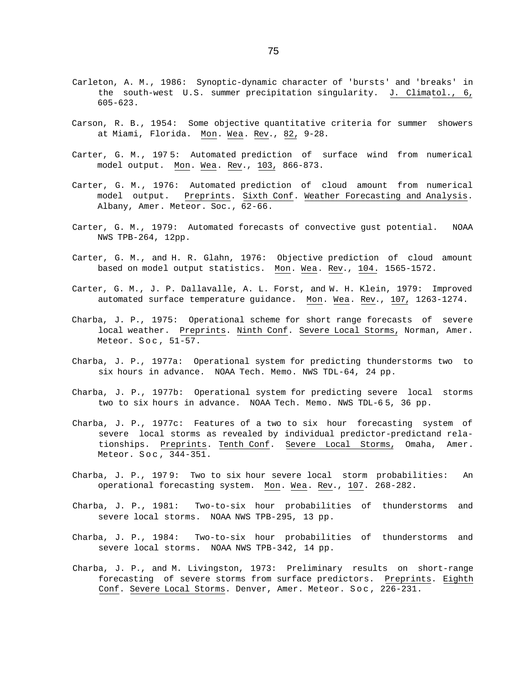- Carleton, A. M., 1986: Synoptic-dynamic character of 'bursts' and 'breaks' in the south-west U.S. summer precipitation singularity. J. Climatol., 6, 605-623.
- Carson, R. B., 1954: Some objective quantitative criteria for summer showers at Miami, Florida. Mon. Wea. Rev., 82, 9-28.
- Carter, G. M., 197 5: Automated prediction of surface wind from numerical model output. Mon. Wea. Rev., 103, 866-873.
- Carter, G. M., 1976: Automated prediction of cloud amount from numerical model output. Preprints. Sixth Conf. Weather Forecasting and Analysis. Albany, Amer. Meteor. Soc., 62-66.
- Carter, G. M., 1979: Automated forecasts of convective gust potential. NOAA NWS TPB-264, 12pp.
- Carter, G. M., and H. R. Glahn, 1976: Objective prediction of cloud amount based on model output statistics. Mon. Wea. Rev., 104. 1565-1572.
- Carter, G. M., J. P. Dallavalle, A. L. Forst, and W. H. Klein, 1979: Improved automated surface temperature guidance. Mon. Wea. Rev., 107, 1263-1274.
- Charba, J. P., 1975: Operational scheme for short range forecasts of severe local weather. Preprints. Ninth Conf. Severe Local Storms, Norman, Amer. Meteor. Soc , 51-57.
- Charba, J. P., 1977a: Operational system for predicting thunderstorms two to six hours in advance. NOAA Tech. Memo. NWS TDL-64, 24 pp.
- Charba, J. P., 1977b: Operational system for predicting severe local storms two to six hours in advance. NOAA Tech. Memo. NWS TDL-6 5, 36 pp.
- Charba, J. P., 1977c: Features of a two to six hour forecasting system of severe local storms as revealed by individual predictor-predictand relationships. Preprints. Tenth Conf. Severe Local Storms, Omaha, Amer. Meteor. Soc , 344-351.
- Charba, J. P., 197 9: Two to six hour severe local storm probabilities: An operational forecasting system. Mon. Wea. Rev., 107. 268-282.
- Charba, J. P., 1981: Two-to-six hour probabilities of thunderstorms and severe local storms. NOAA NWS TPB-295, 13 pp.
- Charba, J. P., 1984: Two-to-six hour probabilities of thunderstorms and severe local storms. NOAA NWS TPB-342, 14 pp.
- Charba, J. P., and M. Livingston, 1973: Preliminary results on short-range forecasting of severe storms from surface predictors. Preprints. Eighth Conf. Severe Local Storms. Denver, Amer. Meteor. Soc , 226-231.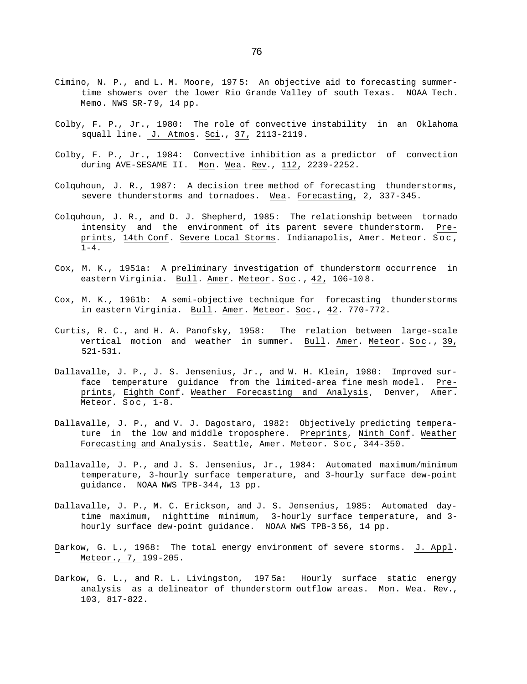- Cimino, N. P., and L. M. Moore, 197 5: An objective aid to forecasting summertime showers over the lower Rio Grande Valley of south Texas. NOAA Tech. Memo. NWS SR-7 9, 14 pp.
- Colby, F. P., Jr., 1980: The role of convective instability in an Oklahoma squall line. J. Atmos. Sci., 37, 2113-2119.
- Colby, F. P., Jr., 1984: Convective inhibition as a predictor of convection during AVE-SESAME II. Mon. Wea. Rev., 112, 2239-2252.
- Colquhoun, J. R., 1987: A decision tree method of forecasting thunderstorms, severe thunderstorms and tornadoes. Wea. Forecasting, 2, 337-345.
- Colquhoun, J. R., and D. J. Shepherd, 1985: The relationship between tornado intensity and the environment of its parent severe thunderstorm. Preprints, 14th Conf. Severe Local Storms. Indianapolis, Amer. Meteor. Soc ,  $1-4$ .
- Cox, M. K., 1951a: A preliminary investigation of thunderstorm occurrence in eastern Virginia. Bull. Amer. Meteor. Soc., 42, 106-108.
- Cox, M. K., 1961b: A semi-objective technique for forecasting thunderstorms in eastern Virginia. Bull. Amer. Meteor. Soc., 42. 770-772.
- Curtis, R. C., and H. A. Panofsky, 1958: The relation between large-scale vertical motion and weather in summer. Bull. Amer. Meteor. Soc., 39, 521-531.
- Dallavalle, J. P., J. S. Jensenius, Jr., and W. H. Klein, 1980: Improved surface temperature guidance from the limited-area fine mesh model. Preprints, Eighth Conf. Weather Forecasting and Analysis, Denver, Amer. Meteor. Soc , 1-8.
- Dallavalle, J. P., and V. J. Dagostaro, 1982: Objectively predicting temperature in the low and middle troposphere. Preprints, Ninth Conf. Weather Forecasting and Analysis. Seattle, Amer. Meteor. Soc , 344-350.
- Dallavalle, J. P., and J. S. Jensenius, Jr., 1984: Automated maximum/minimum temperature, 3-hourly surface temperature, and 3-hourly surface dew-point guidance. NOAA NWS TPB-344, 13 pp.
- Dallavalle, J. P., M. C. Erickson, and J. S. Jensenius, 1985: Automated daytime maximum, nighttime minimum, 3-hourly surface temperature, and 3 hourly surface dew-point guidance. NOAA NWS TPB-3 56, 14 pp.
- Darkow, G. L., 1968: The total energy environment of severe storms. J. Appl. Meteor., 7, 199-205.
- Darkow, G. L., and R. L. Livingston, 197 5a: Hourly surface static energy analysis as a delineator of thunderstorm outflow areas. Mon. Wea. Rev., 103, 817-822.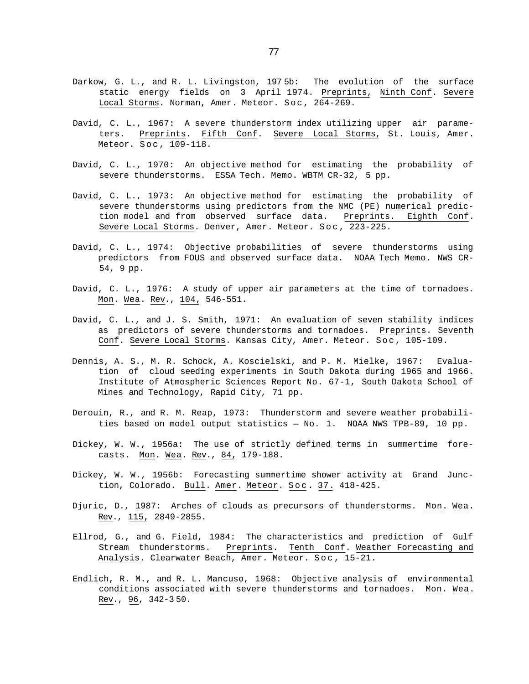- Darkow, G. L., and R. L. Livingston, 197 5b: The evolution of the surface static energy fields on 3 April 1974. Preprints, Ninth Conf. Severe Local Storms. Norman, Amer. Meteor. Soc, 264-269.
- David, C. L., 1967: A severe thunderstorm index utilizing upper air parameters. Preprints. Fifth Conf. Severe Local Storms, St. Louis, Amer. Meteor. Soc , 109-118.
- David, C. L., 1970: An objective method for estimating the probability of severe thunderstorms. ESSA Tech. Memo. WBTM CR-32, 5 pp.
- David, C. L., 1973: An objective method for estimating the probability of severe thunderstorms using predictors from the NMC (PE) numerical prediction model and from observed surface data. Preprints. Eighth Conf. Severe Local Storms. Denver, Amer. Meteor. Soc , 223-225.
- David, C. L., 1974: Objective probabilities of severe thunderstorms using predictors from FOUS and observed surface data. NOAA Tech Memo. NWS CR-54, 9 pp.
- David, C. L., 1976: A study of upper air parameters at the time of tornadoes. Mon. Wea. Rev., 104, 546-551.
- David, C. L., and J. S. Smith, 1971: An evaluation of seven stability indices as predictors of severe thunderstorms and tornadoes. Preprints. Seventh Conf. Severe Local Storms. Kansas City, Amer. Meteor. Soc, 105-109.
- Dennis, A. S., M. R. Schock, A. Koscielski, and P. M. Mielke, 1967: Evaluation of cloud seeding experiments in South Dakota during 1965 and 1966. Institute of Atmospheric Sciences Report No. 67-1, South Dakota School of Mines and Technology, Rapid City, 71 pp.
- Derouin, R., and R. M. Reap, 1973: Thunderstorm and severe weather probabilities based on model output statistics — No. 1. NOAA NWS TPB-89, 10 pp.
- Dickey, W. W., 1956a: The use of strictly defined terms in summertime forecasts. Mon. Wea. Rev., 84, 179-188.
- Dickey, W. W., 1956b: Forecasting summertime shower activity at Grand Junction, Colorado. Bull. Amer. Meteor. Soc. 37. 418-425.
- Djuric, D., 1987: Arches of clouds as precursors of thunderstorms. Mon. Wea. Rev., 115, 2849-2855.
- Ellrod, G., and G. Field, 1984: The characteristics and prediction of Gulf Stream thunderstorms. Preprints. Tenth Conf. Weather Forecasting and Analysis. Clearwater Beach, Amer. Meteor. Soc , 15-21.
- Endlich, R. M., and R. L. Mancuso, 1968: Objective analysis of environmental conditions associated with severe thunderstorms and tornadoes. Mon. Wea. Rev., 96, 342-3 50.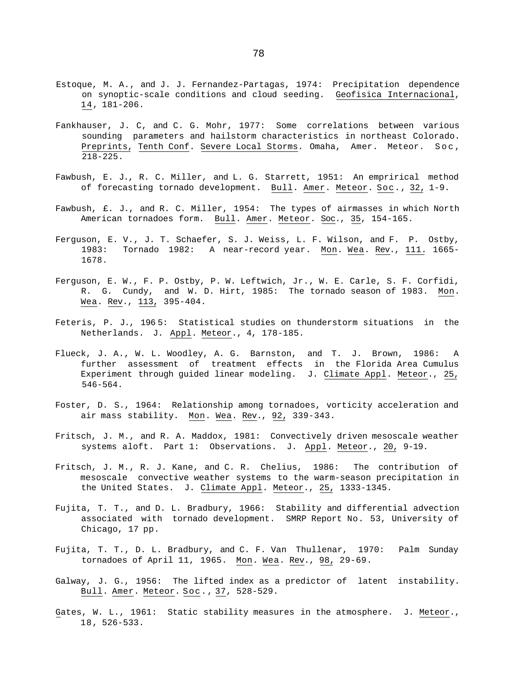- Estoque, M. A., and J. J. Fernandez-Partagas, 1974: Precipitation dependence on synoptic-scale conditions and cloud seeding. Geofisica Internacional, 14, 181-206.
- Fankhauser, J. C, and C. G. Mohr, 1977: Some correlations between various sounding parameters and hailstorm characteristics in northeast Colorado. Preprints, Tenth Conf. Severe Local Storms. Omaha, Amer. Meteor. Soc , 218-225.
- Fawbush, E. J., R. C. Miller, and L. G. Starrett, 1951: An emprirical method of forecasting tornado development. Bull. Amer. Meteor. Soc., 32, 1-9.
- Fawbush, £. J., and R. C. Miller, 1954: The types of airmasses in which North American tornadoes form. Bull. Amer. Meteor. Soc., 35, 154-165.
- Ferguson, E. V., J. T. Schaefer, S. J. Weiss, L. F. Wilson, and F. P. Ostby, 1983: Tornado 1982: A near-record year. Mon. Wea. Rev., 111. 1665-1678.
- Ferguson, E. W., F. P. Ostby, P. W. Leftwich, Jr., W. E. Carle, S. F. Corfidi, R. G. Cundy, and W. D. Hirt, 1985: The tornado season of 1983. Mon. Wea. Rev., 113, 395-404.
- Feteris, P. J., 196 5: Statistical studies on thunderstorm situations in the Netherlands. J. Appl. Meteor., 4, 178-185.
- Flueck, J. A., W. L. Woodley, A. G. Barnston, and T. J. Brown, 1986: A further assessment of treatment effects in the Florida Area Cumulus Experiment through guided linear modeling. J. Climate Appl. Meteor., 25, 546-564.
- Foster, D. S., 1964: Relationship among tornadoes, vorticity acceleration and air mass stability. Mon. Wea. Rev., 92, 339-343.
- Fritsch, J. M., and R. A. Maddox, 1981: Convectively driven mesoscale weather systems aloft. Part 1: Observations. J. Appl. Meteor., 20, 9-19.
- Fritsch, J. M., R. J. Kane, and C. R. Chelius, 1986: The contribution of mesoscale convective weather systems to the warm-season precipitation in the United States. J. Climate Appl. Meteor., 25, 1333-1345.
- Fujita, T. T., and D. L. Bradbury, 1966: Stability and differential advection associated with tornado development. SMRP Report No. 53, University of Chicago, 17 pp.
- Fujita, T. T., D. L. Bradbury, and C. F. Van Thullenar, 1970: Palm Sunday tornadoes of April 11, 1965. Mon. Wea. Rev., 98, 29-69.
- Galway, J. G., 1956: The lifted index as a predictor of latent instability. Bull. Amer. Meteor. Soc., 37, 528-529.
- Gates, W. L., 1961: Static stability measures in the atmosphere. J. Meteor., 18, 526-533.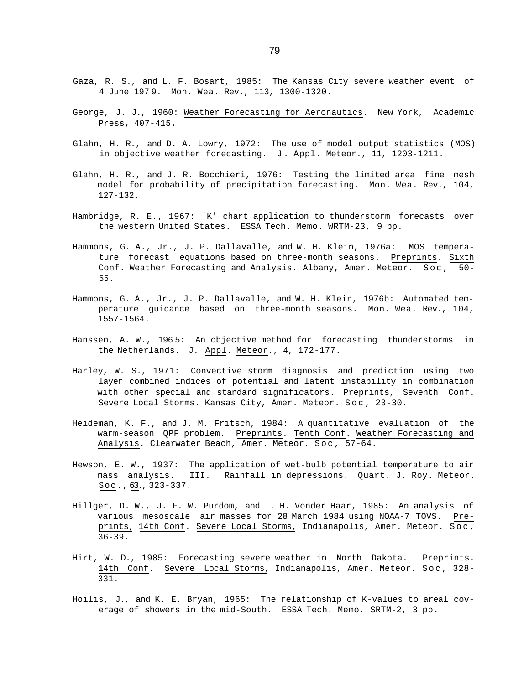- Gaza, R. S., and L. F. Bosart, 1985: The Kansas City severe weather event of 4 June 197 9. Mon. Wea. Rev., 113, 1300-1320.
- George, J. J., 1960: Weather Forecasting for Aeronautics. New York, Academic Press, 407-415.
- Glahn, H. R., and D. A. Lowry, 1972: The use of model output statistics (MOS) in objective weather forecasting. J. Appl. Meteor., 11, 1203-1211.
- Glahn, H. R., and J. R. Bocchieri, 1976: Testing the limited area fine mesh model for probability of precipitation forecasting. Mon. Wea. Rev., 104, 127-132.
- Hambridge, R. E., 1967: 'K' chart application to thunderstorm forecasts over the western United States. ESSA Tech. Memo. WRTM-23, 9 pp.
- Hammons, G. A., Jr., J. P. Dallavalle, and W. H. Klein, 1976a: MOS temperature forecast equations based on three-month seasons. Preprints. Sixth Conf. Weather Forecasting and Analysis. Albany, Amer. Meteor. Soc , 50- 55.
- Hammons, G. A., Jr., J. P. Dallavalle, and W. H. Klein, 1976b: Automated temperature guidance based on three-month seasons. Mon. Wea. Rev., 104, 1557-1564.
- Hanssen, A. W., 196 5: An objective method for forecasting thunderstorms in the Netherlands. J. Appl. Meteor., 4, 172-177.
- Harley, W. S., 1971: Convective storm diagnosis and prediction using two layer combined indices of potential and latent instability in combination with other special and standard significators. Preprints, Seventh Conf. Severe Local Storms. Kansas City, Amer. Meteor. Soc , 23-30.
- Heideman, K. F., and J. M. Fritsch, 1984: A quantitative evaluation of the warm-season QPF problem. Preprints. Tenth Conf. Weather Forecasting and Analysis. Clearwater Beach, Amer. Meteor. Soc , 57-64.
- Hewson, E. W., 1937: The application of wet-bulb potential temperature to air mass analysis. III. Rainfall in depressions. Quart. J. Roy. Meteor. Soc., 63., 323-337.
- Hillger, D. W., J. F. W. Purdom, and T. H. Vonder Haar, 1985: An analysis of various mesoscale air masses for 28 March 1984 using NOAA-7 TOVS. Preprints, 14th Conf. Severe Local Storms, Indianapolis, Amer. Meteor. Soc , 36-39.
- Hirt, W. D., 1985: Forecasting severe weather in North Dakota. Preprints. 14th Conf. Severe Local Storms, Indianapolis, Amer. Meteor. Soc , 328- 331.
- Hoilis, J., and K. E. Bryan, 1965: The relationship of K-values to areal coverage of showers in the mid-South. ESSA Tech. Memo. SRTM-2, 3 pp.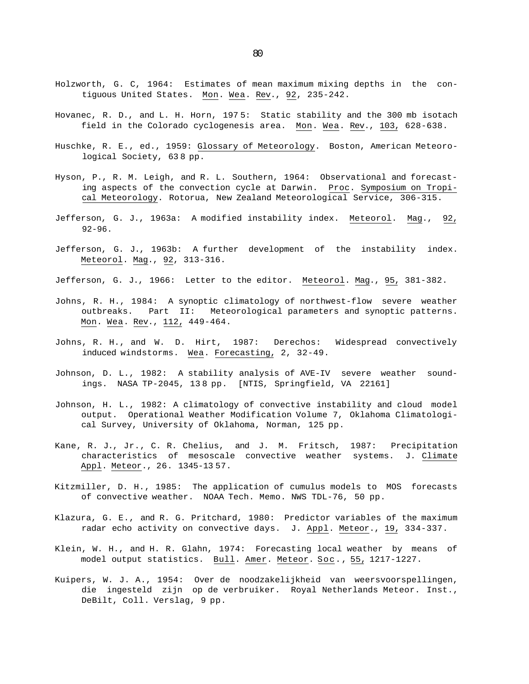- Holzworth, G. C, 1964: Estimates of mean maximum mixing depths in the contiguous United States. Mon. Wea. Rev., 92, 235-242.
- Hovanec, R. D., and L. H. Horn, 197 5: Static stability and the 300 mb isotach field in the Colorado cyclogenesis area. Mon. Wea. Rev., 103, 628-638.
- Huschke, R. E., ed., 1959: Glossary of Meteorology. Boston, American Meteorological Society, 63 8 pp.
- Hyson, P., R. M. Leigh, and R. L. Southern, 1964: Observational and forecasting aspects of the convection cycle at Darwin. Proc. Symposium on Tropical Meteorology. Rotorua, New Zealand Meteorological Service, 306-315.
- Jefferson, G. J., 1963a: A modified instability index. Meteorol. Mag., 92, 92-96.
- Jefferson, G. J., 1963b: A further development of the instability index. Meteorol. Mag., 92, 313-316.
- Jefferson, G. J., 1966: Letter to the editor. Meteorol. Mag., 95, 381-382.
- Johns, R. H., 1984: A synoptic climatology of northwest-flow severe weather outbreaks. Part II: Meteorological parameters and synoptic patterns. Mon. Wea. Rev., 112, 449-464.
- Johns, R. H., and W. D. Hirt, 1987: Derechos: Widespread convectively induced windstorms. Wea. Forecasting, 2, 32-49.
- Johnson, D. L., 1982: A stability analysis of AVE-IV severe weather soundings. NASA TP-2045, 13 8 pp. [NTIS, Springfield, VA 22161]
- Johnson, H. L., 1982: A climatology of convective instability and cloud model output. Operational Weather Modification Volume 7, Oklahoma Climatological Survey, University of Oklahoma, Norman, 125 pp.
- Kane, R. J., Jr., C. R. Chelius, and J. M. Fritsch, 1987: Precipitation characteristics of mesoscale convective weather systems. J. Climate Appl. Meteor., 26. 1345-1357.
- Kitzmiller, D. H., 1985: The application of cumulus models to MOS forecasts of convective weather. NOAA Tech. Memo. NWS TDL-76, 50 pp.
- Klazura, G. E., and R. G. Pritchard, 1980: Predictor variables of the maximum radar echo activity on convective days. J. Appl. Meteor., 19, 334-337.
- Klein, W. H., and H. R. Glahn, 1974: Forecasting local weather by means of model output statistics. Bull. Amer. Meteor. Soc., 55, 1217-1227.
- Kuipers, W. J. A., 1954: Over de noodzakelijkheid van weersvoorspellingen, die ingesteld zijn op de verbruiker. Royal Netherlands Meteor. Inst., DeBilt, Coll. Verslag, 9 pp.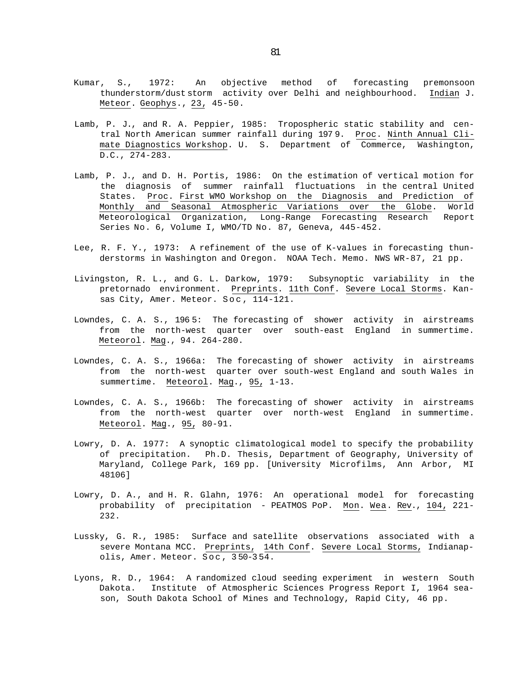- Kumar, S., 1972: An objective method of forecasting premonsoon thunderstorm/dust storm activity over Delhi and neighbourhood. Indian J. Meteor. Geophys., 23, 45-50.
- Lamb, P. J., and R. A. Peppier, 1985: Tropospheric static stability and central North American summer rainfall during 197 9. Proc. Ninth Annual Climate Diagnostics Workshop. U. S. Department of Commerce, Washington, D.C., 274-283.
- Lamb, P. J., and D. H. Portis, 1986: On the estimation of vertical motion for the diagnosis of summer rainfall fluctuations in the central United States. Proc. First WMO Workshop on the Diagnosis and Prediction of Monthly and Seasonal Atmospheric Variations over the Globe. World Meteorological Organization, Long-Range Forecasting Research Report Series No. 6, Volume I, WMO/TD No. 87, Geneva, 445-452.
- Lee, R. F. Y., 1973: A refinement of the use of K-values in forecasting thunderstorms in Washington and Oregon. NOAA Tech. Memo. NWS WR-87, 21 pp.
- Livingston, R. L., and G. L. Darkow, 1979: Subsynoptic variability in the pretornado environment. Preprints. 11th Conf. Severe Local Storms. Kansas City, Amer. Meteor. Soc , 114-121.
- Lowndes, C. A. S., 196 5: The forecasting of shower activity in airstreams from the north-west quarter over south-east England in summertime. Meteorol. Mag., 94. 264-280.
- Lowndes, C. A. S., 1966a: The forecasting of shower activity in airstreams from the north-west quarter over south-west England and south Wales in summertime. Meteorol. Mag., 95, 1-13.
- Lowndes, C. A. S., 1966b: The forecasting of shower activity in airstreams from the north-west quarter over north-west England in summertime. Meteorol. Mag., 95, 80-91.
- Lowry, D. A. 1977: A synoptic climatological model to specify the probability of precipitation. Ph.D. Thesis, Department of Geography, University of Maryland, College Park, 169 pp. [University Microfilms, Ann Arbor, MI 48106]
- Lowry, D. A., and H. R. Glahn, 1976: An operational model for forecasting probability of precipitation - PEATMOS PoP. Mon. Wea. Rev., 104, 221- 232.
- Lussky, G. R., 1985: Surface and satellite observations associated with a severe Montana MCC. Preprints, 14th Conf. Severe Local Storms, Indianapolis, Amer. Meteor. Soc , 3 50-3 54.
- Lyons, R. D., 1964: A randomized cloud seeding experiment in western South Dakota. Institute of Atmospheric Sciences Progress Report I, 1964 season, South Dakota School of Mines and Technology, Rapid City, 46 pp.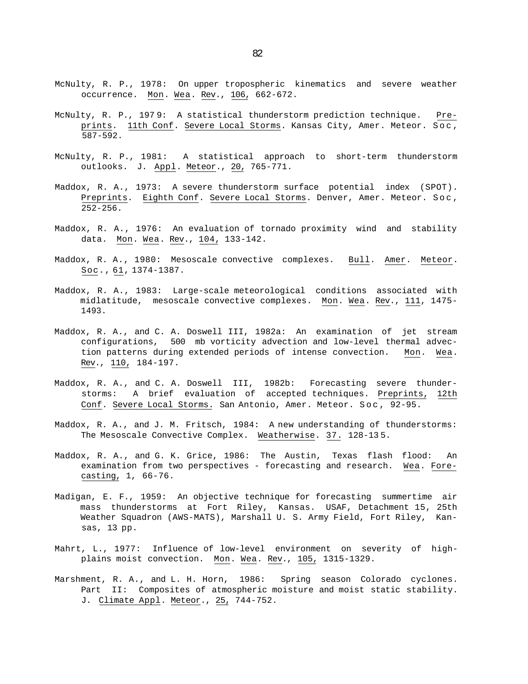- McNulty, R. P., 1978: On upper tropospheric kinematics and severe weather occurrence. Mon. Wea. Rev., 106, 662-672.
- McNulty, R. P., 197 9: A statistical thunderstorm prediction technique. Preprints. 11th Conf. Severe Local Storms. Kansas City, Amer. Meteor. Soc ,  $\overline{587-592}$ .
- McNulty, R. P., 1981: A statistical approach to short-term thunderstorm outlooks. J. Appl. Meteor., 20, 765-771.
- Maddox, R. A., 1973: A severe thunderstorm surface potential index (SPOT). Preprints. Eighth Conf. Severe Local Storms. Denver, Amer. Meteor. Soc , 252-256.
- Maddox, R. A., 1976: An evaluation of tornado proximity wind and stability data. Mon. Wea. Rev., 104, 133-142.
- Maddox, R. A., 1980: Mesoscale convective complexes. Bull. Amer. Meteor. Soc., 61, 1374-1387.
- Maddox, R. A., 1983: Large-scale meteorological conditions associated with midlatitude, mesoscale convective complexes. Mon. Wea. Rev., 111, 1475-1493.
- Maddox, R. A., and C. A. Doswell III, 1982a: An examination of jet stream configurations, 500 mb vorticity advection and low-level thermal advection patterns during extended periods of intense convection. Mon. Wea. Rev., 110, 184-197.
- Maddox, R. A., and C. A. Doswell III, 1982b: Forecasting severe thunderstorms: A brief evaluation of accepted techniques. Preprints, 12th Conf. Severe Local Storms. San Antonio, Amer. Meteor. Soc , 92-95.
- Maddox, R. A., and J. M. Fritsch, 1984: A new understanding of thunderstorms: The Mesoscale Convective Complex. Weatherwise. 37. 128-13 5.
- Maddox, R. A., and G. K. Grice, 1986: The Austin, Texas flash flood: An examination from two perspectives - forecasting and research. Wea. Forecasting, 1, 66-76.
- Madigan, E. F., 1959: An objective technique for forecasting summertime air mass thunderstorms at Fort Riley, Kansas. USAF, Detachment 15, 25th Weather Squadron (AWS-MATS), Marshall U. S. Army Field, Fort Riley, Kansas, 13 pp.
- Mahrt, L., 1977: Influence of low-level environment on severity of highplains moist convection. Mon. Wea. Rev., 105, 1315-1329.
- Marshment, R. A., and L. H. Horn, 1986: Spring season Colorado cyclones. Part II: Composites of atmospheric moisture and moist static stability. J. Climate Appl. Meteor., 25, 744-752.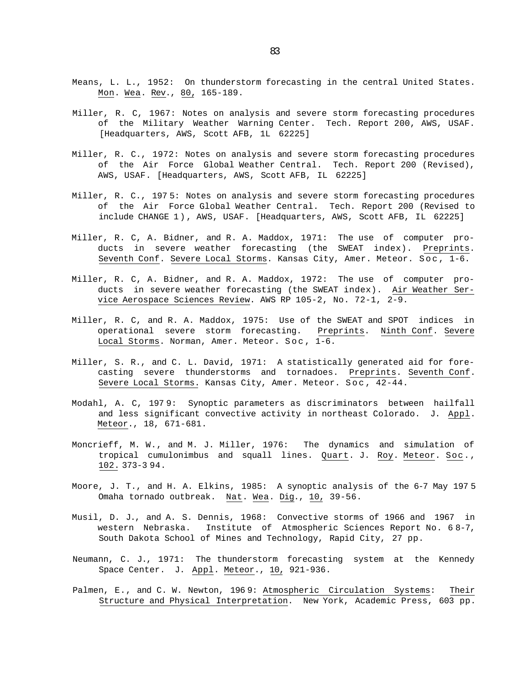- Means, L. L., 1952: On thunderstorm forecasting in the central United States. Mon. Wea. Rev., 80, 165-189.
- Miller, R. C, 1967: Notes on analysis and severe storm forecasting procedures of the Military Weather Warning Center. Tech. Report 200, AWS, USAF. [Headquarters, AWS, Scott AFB, 1L 62225]
- Miller, R. C., 1972: Notes on analysis and severe storm forecasting procedures of the Air Force Global Weather Central. Tech. Report 200 (Revised), AWS, USAF. [Headquarters, AWS, Scott AFB, IL 62225]
- Miller, R. C., 197 5: Notes on analysis and severe storm forecasting procedures of the Air Force Global Weather Central. Tech. Report 200 (Revised to include CHANGE 1), AWS, USAF. [Headquarters, AWS, Scott AFB, IL 62225]
- Miller, R. C, A. Bidner, and R. A. Maddox, 1971: The use of computer products in severe weather forecasting (the SWEAT index). Preprints. Seventh Conf. Severe Local Storms. Kansas City, Amer. Meteor. Soc, 1-6.
- Miller, R. C, A. Bidner, and R. A. Maddox, 1972: The use of computer products in severe weather forecasting (the SWEAT index). Air Weather Service Aerospace Sciences Review. AWS RP 105-2, No. 72-1, 2-9.
- Miller, R. C, and R. A. Maddox, 1975: Use of the SWEAT and SPOT indices in operational severe storm forecasting. Preprints. Ninth Conf. Severe Local Storms. Norman, Amer. Meteor. Soc,  $1-6$ .
- Miller, S. R., and C. L. David, 1971: A statistically generated aid for forecasting severe thunderstorms and tornadoes. Preprints. Seventh Conf. Severe Local Storms. Kansas City, Amer. Meteor. Soc , 42-44.
- Modahl, A. C, 197 9: Synoptic parameters as discriminators between hailfall and less significant convective activity in northeast Colorado. J. Appl. Meteor., 18, 671-681.
- Moncrieff, M. W., and M. J. Miller, 1976: The dynamics and simulation of tropical cumulonimbus and squall lines. Quart. J. Roy. Meteor. Soc., 102. 373-3 94.
- Moore, J. T., and H. A. Elkins, 1985: A synoptic analysis of the 6-7 May 197 5 Omaha tornado outbreak. Nat. Wea. Dig., 10, 39-56.
- Musil, D. J., and A. S. Dennis, 1968: Convective storms of 1966 and 1967 in western Nebraska. Institute of Atmospheric Sciences Report No. 6 8-7, South Dakota School of Mines and Technology, Rapid City, 27 pp.
- Neumann, C. J., 1971: The thunderstorm forecasting system at the Kennedy Space Center. J. Appl. Meteor., 10, 921-936.
- Palmen, E., and C. W. Newton, 196 9: Atmospheric Circulation Systems: Their Structure and Physical Interpretation. New York, Academic Press, 603 pp.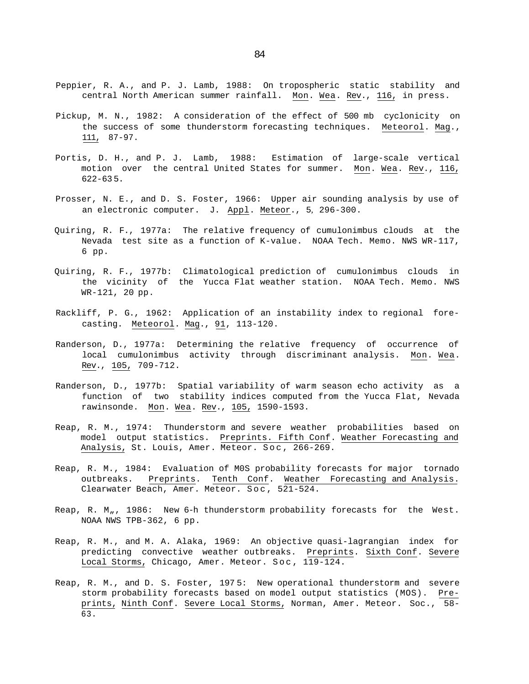- Peppier, R. A., and P. J. Lamb, 1988: On tropospheric static stability and central North American summer rainfall. Mon. Wea. Rev., 116, in press.
- Pickup, M. N., 1982: A consideration of the effect of 500 mb cyclonicity on the success of some thunderstorm forecasting techniques. Meteorol. Mag., 111, 87-97.
- Portis, D. H., and P. J. Lamb, 1988: Estimation of large-scale vertical motion over the central United States for summer. Mon. Wea. Rev., 116, 622-63 5.
- Prosser, N. E., and D. S. Foster, 1966: Upper air sounding analysis by use of an electronic computer. J. Appl. Meteor., 5*,* 296-300.
- Quiring, R. F., 1977a: The relative frequency of cumulonimbus clouds at the Nevada test site as a function of K-value. NOAA Tech. Memo. NWS WR-117, 6 pp.
- Quiring, R. F., 1977b: Climatological prediction of cumulonimbus clouds in the vicinity of the Yucca Flat weather station. NOAA Tech. Memo. NWS WR-121, 20 pp.
- Rackliff, P. G., 1962: Application of an instability index to regional forecasting. Meteorol. Mag., 91, 113-120.
- Randerson, D., 1977a: Determining the relative frequency of occurrence of local cumulonimbus activity through discriminant analysis. Mon. Wea. Rev., 105, 709-712.
- Randerson, D., 1977b: Spatial variability of warm season echo activity as a function of two stability indices computed from the Yucca Flat, Nevada rawinsonde. Mon. Wea. Rev., 105, 1590-1593.
- Reap, R. M., 1974: Thunderstorm and severe weather probabilities based on model output statistics. Preprints. Fifth Conf. Weather Forecasting and Analysis, St. Louis, Amer. Meteor. Soc , 266-269.
- Reap, R. M., 1984: Evaluation of M0S probability forecasts for major tornado outbreaks. Preprints. Tenth Conf. Weather Forecasting and Analysis. Clearwater Beach, Amer. Meteor. Soc , 521-524.
- Reap, R. M $_{\prime\prime}$ , 1986: New 6-h thunderstorm probability forecasts for the West. NOAA NWS TPB-362, 6 pp.
- Reap, R. M., and M. A. Alaka, 1969: An objective quasi-lagrangian index for predicting convective weather outbreaks. Preprints. Sixth Conf. Severe Local Storms, Chicago, Amer. Meteor. Soc , 119-124.
- Reap, R. M., and D. S. Foster, 197 5: New operational thunderstorm and severe storm probability forecasts based on model output statistics (MOS). Preprints, Ninth Conf. Severe Local Storms, Norman, Amer. Meteor. Soc., 58- 63.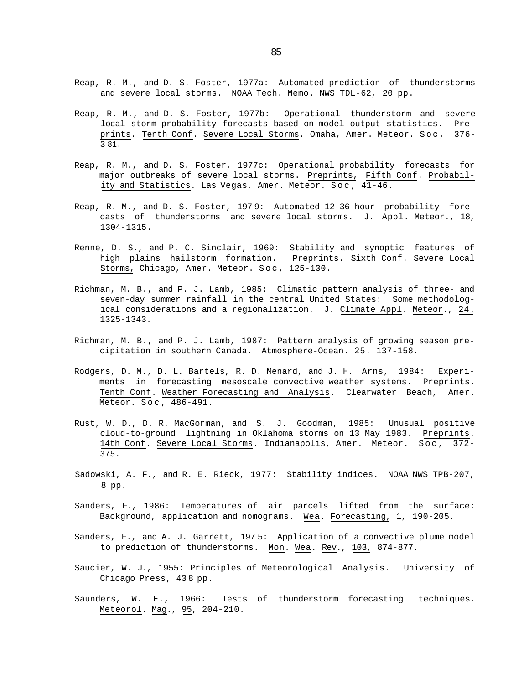- Reap, R. M., and D. S. Foster, 1977a: Automated prediction of thunderstorms and severe local storms. NOAA Tech. Memo. NWS TDL-62, 20 pp.
- Reap, R. M., and D. S. Foster, 1977b: Operational thunderstorm and severe local storm probability forecasts based on model output statistics. Preprints. Tenth Conf. Severe Local Storms. Omaha, Amer. Meteor. Soc , 376- 3 81.
- Reap, R. M., and D. S. Foster, 1977c: Operational probability forecasts for major outbreaks of severe local storms. Preprints, Fifth Conf. Probability and Statistics. Las Vegas, Amer. Meteor. Soc , 41-46.
- Reap, R. M., and D. S. Foster, 197 9: Automated 12-36 hour probability forecasts of thunderstorms and severe local storms. J. Appl. Meteor., 18, 1304-1315.
- Renne, D. S., and P. C. Sinclair, 1969: Stability and synoptic features of high plains hailstorm formation. Preprints. Sixth Conf. Severe Local Storms, Chicago, Amer. Meteor. Soc , 125-130.
- Richman, M. B., and P. J. Lamb, 1985: Climatic pattern analysis of three- and seven-day summer rainfall in the central United States: Some methodological considerations and a regionalization. J. Climate Appl. Meteor., 24. 1325-1343.
- Richman, M. B., and P. J. Lamb, 1987: Pattern analysis of growing season precipitation in southern Canada. Atmosphere-Ocean. 25. 137-158.
- Rodgers, D. M., D. L. Bartels, R. D. Menard, and J. H. Arns, 1984: Experiments in forecasting mesoscale convective weather systems. Preprints. Tenth Conf. Weather Forecasting and Analysis. Clearwater Beach, Amer. Meteor. Soc , 486-491.
- Rust, W. D., D. R. MacGorman, and S. J. Goodman, 1985: Unusual positive cloud-to-ground lightning in Oklahoma storms on 13 May 1983. Preprints. 14th Conf. Severe Local Storms. Indianapolis, Amer. Meteor. Soc, 372-375.
- Sadowski, A. F., and R. E. Rieck, 1977: Stability indices. NOAA NWS TPB-207, 8 pp.
- Sanders, F., 1986: Temperatures of air parcels lifted from the surface: Background, application and nomograms. Wea. Forecasting, 1, 190-205.
- Sanders, F., and A. J. Garrett, 197 5: Application of a convective plume model to prediction of thunderstorms. Mon. Wea. Rev., 103, 874-877.
- Saucier, W. J., 1955: Principles of Meteorological Analysis. University of Chicago Press, 43 8 pp.
- Saunders, W. E., 1966: Tests of thunderstorm forecasting techniques. Meteorol. Mag., 95, 204-210.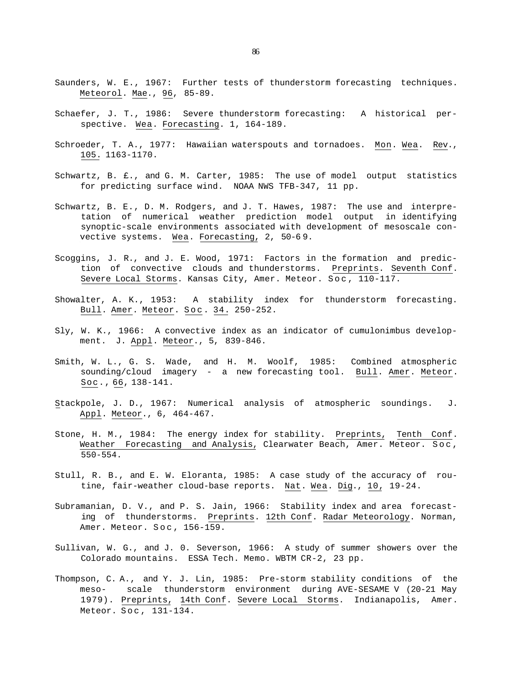- Saunders, W. E., 1967: Further tests of thunderstorm forecasting techniques. Meteorol. Mae., 96, 85-89.
- Schaefer, J. T., 1986: Severe thunderstorm forecasting: A historical perspective. Wea. Forecasting. 1, 164-189.
- Schroeder, T. A., 1977: Hawaiian waterspouts and tornadoes. Mon. Wea. Rev., 105. 1163-1170.
- Schwartz, B. £., and G. M. Carter, 1985: The use of model output statistics for predicting surface wind. NOAA NWS TFB-347, 11 pp.
- Schwartz, B. E., D. M. Rodgers, and J. T. Hawes, 1987: The use and interpretation of numerical weather prediction model output in identifying synoptic-scale environments associated with development of mesoscale convective systems. Wea. Forecasting, 2, 50-6 9.
- Scoggins, J. R., and J. E. Wood, 1971: Factors in the formation and prediction of convective clouds and thunderstorms. Preprints. Seventh Conf. Severe Local Storms. Kansas City, Amer. Meteor. Soc , 110-117.
- Showalter, A. K., 1953: A stability index for thunderstorm forecasting. Bull. Amer. Meteor. Soc . 34. 250-252.
- Sly, W. K., 1966: A convective index as an indicator of cumulonimbus development. J. Appl. Meteor., 5, 839-846.
- Smith, W. L., G. S. Wade, and H. M. Woolf, 1985: Combined atmospheric sounding/cloud imagery - a new forecasting tool. Bull. Amer. Meteor. Soc., 66, 138-141.
- Stackpole, J. D., 1967: Numerical analysis of atmospheric soundings. J. Appl. Meteor., 6, 464-467.
- Stone, H. M., 1984: The energy index for stability. Preprints, Tenth Conf. Weather Forecasting and Analysis, Clearwater Beach, Amer. Meteor. Soc , 550-554.
- Stull, R. B., and E. W. Eloranta, 1985: A case study of the accuracy of routine, fair-weather cloud-base reports. Nat. Wea. Dig., 10, 19-24.
- Subramanian, D. V., and P. S. Jain, 1966: Stability index and area forecasting of thunderstorms. Preprints. 12th Conf. Radar Meteorology. Norman, Amer. Meteor. Soc , 156-159.
- Sullivan, W. G., and J. 0. Severson, 1966: A study of summer showers over the Colorado mountains. ESSA Tech. Memo. WBTM CR-2, 23 pp.
- Thompson, C. A., and Y. J. Lin, 1985: Pre-storm stability conditions of the meso- scale thunderstorm environment during AVE-SESAME V (20-21 May 1979). Preprints, 14th Conf. Severe Local Storms. Indianapolis, Amer. Meteor. Soc , 131-134.